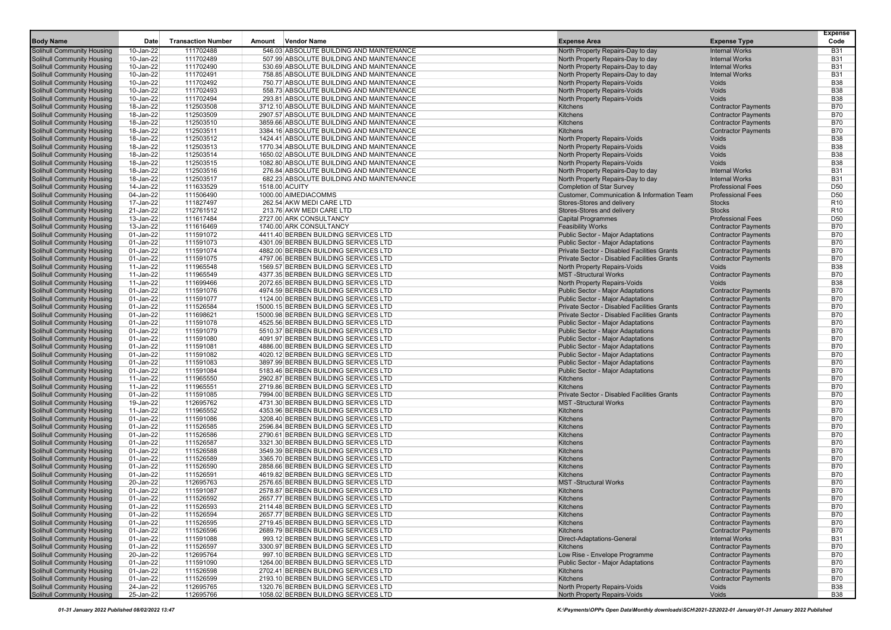| <b>Body Name</b>                                                | Date                   | <b>Transaction Number</b> | <b>Vendor Name</b><br>Amount                                                           | <b>Expense Area</b>                                          | <b>Expense Type</b>                                      | <b>Expense</b><br>Code   |
|-----------------------------------------------------------------|------------------------|---------------------------|----------------------------------------------------------------------------------------|--------------------------------------------------------------|----------------------------------------------------------|--------------------------|
| <b>Solihull Community Housing</b>                               | 10-Jan-22              | 111702488                 | 546.03 ABSOLUTE BUILDING AND MAINTENANCE                                               | North Property Repairs-Day to day                            | <b>Internal Works</b>                                    | <b>B31</b>               |
| <b>Solihull Community Housing</b>                               | 10-Jan-22              | 111702489                 | 507.99 ABSOLUTE BUILDING AND MAINTENANCE                                               | North Property Repairs-Day to day                            | <b>Internal Works</b>                                    | <b>B31</b>               |
| <b>Solihull Community Housing</b>                               | 10-Jan-22              | 111702490                 | 530.69 ABSOLUTE BUILDING AND MAINTENANCE                                               | North Property Repairs-Day to day                            | <b>Internal Works</b>                                    | <b>B31</b>               |
| Solihull Community Housing                                      | 10-Jan-22              | 111702491                 | 758.85 ABSOLUTE BUILDING AND MAINTENANCE                                               | North Property Repairs-Day to day                            | <b>Internal Works</b>                                    | <b>B31</b>               |
| <b>Solihull Community Housing</b>                               | 10-Jan-22              | 111702492                 | 750.77 ABSOLUTE BUILDING AND MAINTENANCE                                               | North Property Repairs-Voids                                 | Voids                                                    | <b>B38</b>               |
| <b>Solihull Community Housing</b>                               | 10-Jan-22              | 111702493                 | 558.73 ABSOLUTE BUILDING AND MAINTENANCE                                               | North Property Repairs-Voids                                 | Voids                                                    | <b>B38</b>               |
| Solihull Community Housing                                      | 10-Jan-22              | 111702494                 | 293.81 ABSOLUTE BUILDING AND MAINTENANCE                                               | North Property Repairs-Voids                                 | Voids                                                    | <b>B38</b>               |
| <b>Solihull Community Housing</b>                               | 18-Jan-22              | 112503508                 | 3712.10 ABSOLUTE BUILDING AND MAINTENANCE                                              | Kitchens                                                     | <b>Contractor Payments</b>                               | <b>B70</b>               |
| <b>Solihull Community Housing</b>                               | 18-Jan-22              | 112503509                 | 2907.57 ABSOLUTE BUILDING AND MAINTENANCE                                              | Kitchens                                                     | <b>Contractor Payments</b>                               | <b>B70</b>               |
| <b>Solihull Community Housing</b>                               | 18-Jan-22              | 112503510                 | 3859.66 ABSOLUTE BUILDING AND MAINTENANCE                                              | <b>Kitchens</b>                                              | <b>Contractor Payments</b>                               | <b>B70</b>               |
| Solihull Community Housing                                      | 18-Jan-22              | 112503511                 | 3384.16 ABSOLUTE BUILDING AND MAINTENANCE                                              | <b>Kitchens</b>                                              | <b>Contractor Payments</b>                               | <b>B70</b>               |
| <b>Solihull Community Housing</b>                               | 18-Jan-22<br>18-Jan-22 | 112503512<br>112503513    | 1424.41 ABSOLUTE BUILDING AND MAINTENANCE                                              | North Property Repairs-Voids                                 | Voids<br>Voids                                           | <b>B38</b><br><b>B38</b> |
| Solihull Community Housing<br><b>Solihull Community Housing</b> | 18-Jan-22              | 112503514                 | 1770.34 ABSOLUTE BUILDING AND MAINTENANCE<br>1650.02 ABSOLUTE BUILDING AND MAINTENANCE | North Property Repairs-Voids<br>North Property Repairs-Voids | Voids                                                    | <b>B38</b>               |
| <b>Solihull Community Housing</b>                               | 18-Jan-22              | 112503515                 | 1082.80 ABSOLUTE BUILDING AND MAINTENANCE                                              | <b>North Property Repairs-Voids</b>                          | Voids                                                    | <b>B38</b>               |
| <b>Solihull Community Housing</b>                               | 18-Jan-22              | 112503516                 | 276.84 ABSOLUTE BUILDING AND MAINTENANCE                                               | North Property Repairs-Day to day                            | <b>Internal Works</b>                                    | <b>B31</b>               |
| <b>Solihull Community Housing</b>                               | 18-Jan-22              | 112503517                 | 682.23 ABSOLUTE BUILDING AND MAINTENANCE                                               | North Property Repairs-Day to day                            | <b>Internal Works</b>                                    | <b>B31</b>               |
| <b>Solihull Community Housing</b>                               | 14-Jan-22              | 111633529                 | 1518.00 ACUITY                                                                         | <b>Completion of Star Survey</b>                             | <b>Professional Fees</b>                                 | D <sub>50</sub>          |
| <b>Solihull Community Housing</b>                               | 04-Jan-22              | 111506490                 | 1000.00 AIMEDIACOMMS                                                                   | Customer, Communication & Information Team                   | <b>Professional Fees</b>                                 | D <sub>50</sub>          |
| <b>Solihull Community Housing</b>                               | 17-Jan-22              | 111827497                 | 262.54 AKW MEDI CARE LTD                                                               | Stores-Stores and delivery                                   | <b>Stocks</b>                                            | R <sub>10</sub>          |
| Solihull Community Housing                                      | 21-Jan-22              | 112761512                 | 213.76 AKW MEDI CARE LTD                                                               | Stores-Stores and delivery                                   | <b>Stocks</b>                                            | R <sub>10</sub>          |
| Solihull Community Housing                                      | 13-Jan-22              | 111617484                 | 2727.00 ARK CONSULTANCY                                                                | <b>Capital Programmes</b>                                    | <b>Professional Fees</b>                                 | D <sub>50</sub>          |
| Solihull Community Housing                                      | 13-Jan-22              | 111616469                 | 1740.00 ARK CONSULTANCY                                                                | <b>Feasibility Works</b>                                     | <b>Contractor Payments</b>                               | <b>B70</b>               |
| Solihull Community Housing                                      | 01-Jan-22              | 111591072                 | 4411.40 BERBEN BUILDING SERVICES LTD                                                   | <b>Public Sector - Major Adaptations</b>                     | <b>Contractor Payments</b>                               | <b>B70</b>               |
| <b>Solihull Community Housing</b>                               | 01-Jan-22              | 111591073                 | 4301.09 BERBEN BUILDING SERVICES LTD                                                   | <b>Public Sector - Major Adaptations</b>                     | <b>Contractor Payments</b>                               | <b>B70</b>               |
| Solihull Community Housing                                      | 01-Jan-22              | 111591074                 | 4882.00 BERBEN BUILDING SERVICES LTD                                                   | Private Sector - Disabled Facilities Grants                  | <b>Contractor Payments</b>                               | <b>B70</b>               |
| <b>Solihull Community Housing</b>                               | 01-Jan-22              | 111591075                 | 4797.06 BERBEN BUILDING SERVICES LTD                                                   | Private Sector - Disabled Facilities Grants                  | <b>Contractor Payments</b>                               | <b>B70</b>               |
| <b>Solihull Community Housing</b>                               | 11-Jan-22              | 111965548                 | 1569.57 BERBEN BUILDING SERVICES LTD                                                   | North Property Repairs-Voids                                 | Voids                                                    | <b>B38</b>               |
| <b>Solihull Community Housing</b>                               | 11-Jan-22              | 111965549                 | 4377.35 BERBEN BUILDING SERVICES LTD                                                   | <b>MST-Structural Works</b>                                  | <b>Contractor Payments</b>                               | <b>B70</b>               |
| Solihull Community Housing                                      | 11-Jan-22              | 111699466                 | 2072.65 BERBEN BUILDING SERVICES LTD                                                   | North Property Repairs-Voids                                 | Voids                                                    | <b>B38</b>               |
| Solihull Community Housing                                      | 01-Jan-22              | 111591076                 | 4974.59 BERBEN BUILDING SERVICES LTD                                                   | <b>Public Sector - Major Adaptations</b>                     | <b>Contractor Payments</b>                               | <b>B70</b>               |
| Solihull Community Housing                                      | 01-Jan-22              | 111591077                 | 1124.00 BERBEN BUILDING SERVICES LTD                                                   | <b>Public Sector - Maior Adaptations</b>                     | <b>Contractor Payments</b>                               | <b>B70</b>               |
| <b>Solihull Community Housing</b>                               | 01-Jan-22              | 111526584                 | 15000.15 BERBEN BUILDING SERVICES LTD                                                  | Private Sector - Disabled Facilities Grants                  | <b>Contractor Payments</b>                               | <b>B70</b>               |
| <b>Solihull Community Housing</b>                               | 01-Jan-22              | 111698621                 | 15000.98 BERBEN BUILDING SERVICES LTD                                                  | <b>Private Sector - Disabled Facilities Grants</b>           | <b>Contractor Payments</b>                               | <b>B70</b>               |
| <b>Solihull Community Housing</b>                               | 01-Jan-22              | 111591078                 | 4525.56 BERBEN BUILDING SERVICES LTD                                                   | <b>Public Sector - Major Adaptations</b>                     | <b>Contractor Payments</b>                               | <b>B70</b>               |
| Solihull Community Housing                                      | 01-Jan-22              | 111591079                 | 5510.37 BERBEN BUILDING SERVICES LTD                                                   | <b>Public Sector - Major Adaptations</b>                     | <b>Contractor Payments</b>                               | <b>B70</b>               |
| <b>Solihull Community Housing</b>                               | 01-Jan-22              | 111591080                 | 4091.97 BERBEN BUILDING SERVICES LTD                                                   | <b>Public Sector - Major Adaptations</b>                     | <b>Contractor Payments</b>                               | <b>B70</b>               |
| <b>Solihull Community Housing</b>                               | 01-Jan-22              | 111591081                 | 4886.00 BERBEN BUILDING SERVICES LTD                                                   | <b>Public Sector - Major Adaptations</b>                     | <b>Contractor Payments</b>                               | <b>B70</b>               |
| <b>Solihull Community Housing</b>                               | 01-Jan-22              | 111591082                 | 4020.12 BERBEN BUILDING SERVICES LTD                                                   | <b>Public Sector - Major Adaptations</b>                     | <b>Contractor Payments</b>                               | <b>B70</b>               |
| Solihull Community Housing                                      | 01-Jan-22              | 111591083                 | 3897.99 BERBEN BUILDING SERVICES LTD                                                   | Public Sector - Major Adaptations                            | <b>Contractor Payments</b>                               | <b>B70</b>               |
| <b>Solihull Community Housing</b>                               | 01-Jan-22              | 111591084                 | 5183.46 BERBEN BUILDING SERVICES LTD                                                   | Public Sector - Major Adaptations                            | <b>Contractor Payments</b>                               | <b>B70</b>               |
| <b>Solihull Community Housing</b>                               | 11-Jan-22              | 111965550                 | 2902.87 BERBEN BUILDING SERVICES LTD                                                   | <b>Kitchens</b>                                              | <b>Contractor Payments</b>                               | <b>B70</b>               |
| <b>Solihull Community Housing</b>                               | 11-Jan-22              | 111965551                 | 2719.86 BERBEN BUILDING SERVICES LTD                                                   | <b>Kitchens</b>                                              | <b>Contractor Payments</b>                               | <b>B70</b>               |
| <b>Solihull Community Housing</b>                               | 01-Jan-22              | 111591085                 | 7994.00 BERBEN BUILDING SERVICES LTD                                                   | <b>Private Sector - Disabled Facilities Grants</b>           | <b>Contractor Payments</b>                               | <b>B70</b>               |
| <b>Solihull Community Housing</b>                               | 19-Jan-22              | 112695762                 | 4731.30 BERBEN BUILDING SERVICES LTD                                                   | <b>MST-Structural Works</b>                                  | <b>Contractor Payments</b>                               | <b>B70</b>               |
| Solihull Community Housing                                      | 11-Jan-22              | 111965552                 | 4353.96 BERBEN BUILDING SERVICES LTD                                                   | Kitchens                                                     | <b>Contractor Payments</b>                               | <b>B70</b>               |
| Solihull Community Housing                                      | 01-Jan-22              | 111591086                 | 3208.40 BERBEN BUILDING SERVICES LTD                                                   | Kitchens                                                     | <b>Contractor Payments</b>                               | <b>B70</b>               |
| <b>Solihull Community Housing</b>                               | 01-Jan-22              | 111526585                 | 2596.84 BERBEN BUILDING SERVICES LTD                                                   | Kitchens                                                     | <b>Contractor Payments</b>                               | <b>B70</b>               |
| Solihull Community Housing                                      | 01-Jan-22<br>01-Jan-22 | 111526586<br>111526587    | 2790.61 BERBEN BUILDING SERVICES LTD<br>3321.30 BERBEN BUILDING SERVICES LTD           | Kitchens<br>Kitchens                                         | <b>Contractor Payments</b>                               | <b>B70</b><br><b>B70</b> |
| Solihull Community Housing<br>Solihull Community Housing        | 01-Jan-22              | 111526588                 | 3549.39 BERBEN BUILDING SERVICES LTD                                                   | Kitchens                                                     | <b>Contractor Payments</b><br><b>Contractor Payments</b> | <b>B70</b>               |
| <b>Solihull Community Housing</b>                               | 01-Jan-22              | 111526589                 | 3365.70 BERBEN BUILDING SERVICES LTD                                                   | Kitchens                                                     | <b>Contractor Payments</b>                               | <b>B70</b>               |
| Solihull Community Housing                                      | 01-Jan-22              | 111526590                 | 2858.66 BERBEN BUILDING SERVICES LTD                                                   | Kitchens                                                     | <b>Contractor Payments</b>                               | <b>B70</b>               |
| <b>Solihull Community Housing</b>                               | 01-Jan-22              | 111526591                 | 4619.82 BERBEN BUILDING SERVICES LTD                                                   | Kitchens                                                     | <b>Contractor Payments</b>                               | <b>B70</b>               |
| Solihull Community Housing                                      | 20-Jan-22              | 112695763                 | 2576.65 BERBEN BUILDING SERVICES LTD                                                   | <b>MST-Structural Works</b>                                  | <b>Contractor Payments</b>                               | <b>B70</b>               |
| Solihull Community Housing                                      | 01-Jan-22              | 111591087                 | 2578.87 BERBEN BUILDING SERVICES LTD                                                   | Kitchens                                                     | <b>Contractor Payments</b>                               | <b>B70</b>               |
| Solihull Community Housing                                      | 01-Jan-22              | 111526592                 | 2657.77 BERBEN BUILDING SERVICES LTD                                                   | Kitchens                                                     | <b>Contractor Payments</b>                               | <b>B70</b>               |
|                                                                 | 01-Jan-22              | 111526593                 | 2114.48 BERBEN BUILDING SERVICES LTD                                                   | Kitchens                                                     | <b>Contractor Payments</b>                               | B70                      |
| Solihull Community Housing<br>Solihull Community Housing        | $01$ -Jan-22           | 111526594                 | 2657.77 BERBEN BUILDING SERVICES LTD                                                   | Kitchens                                                     | <b>Contractor Payments</b>                               | <b>B70</b>               |
| <b>Solihull Community Housing</b>                               | 01-Jan-22              | 111526595                 | 2719.45 BERBEN BUILDING SERVICES LTD                                                   | Kitchens                                                     | <b>Contractor Payments</b>                               | <b>B70</b>               |
| Solihull Community Housing                                      | $01$ -Jan-22           | 111526596                 | 2689.79 BERBEN BUILDING SERVICES LTD                                                   | Kitchens                                                     | <b>Contractor Payments</b>                               | <b>B70</b>               |
| <b>Solihull Community Housing</b>                               | 01-Jan-22              | 111591088                 | 993.12 BERBEN BUILDING SERVICES LTD                                                    | Direct-Adaptations-General                                   | <b>Internal Works</b>                                    | <b>B31</b>               |
| Solihull Community Housing                                      | $01$ -Jan-22           | 111526597                 | 3300.97 BERBEN BUILDING SERVICES LTD                                                   | Kitchens                                                     | <b>Contractor Payments</b>                               | B70                      |
| <b>Solihull Community Housing</b>                               | 20-Jan-22              | 112695764                 | 997.10 BERBEN BUILDING SERVICES LTD                                                    | Low Rise - Envelope Programme                                | <b>Contractor Payments</b>                               | <b>B70</b>               |
| Solihull Community Housing                                      | $01$ -Jan-22           | 111591090                 | 1264.00 BERBEN BUILDING SERVICES LTD                                                   | <b>Public Sector - Major Adaptations</b>                     | <b>Contractor Payments</b>                               | <b>B70</b>               |
| <b>Solihull Community Housing</b>                               | 01-Jan-22              | 111526598                 | 2702.41 BERBEN BUILDING SERVICES LTD                                                   | Kitchens                                                     | <b>Contractor Payments</b>                               | <b>B70</b>               |
| <b>Solihull Community Housing</b>                               | $01$ -Jan-22           | 111526599                 | 2193.10 BERBEN BUILDING SERVICES LTD                                                   | Kitchens                                                     | <b>Contractor Payments</b>                               | B70                      |
| <b>Solihull Community Housing</b>                               | 24-Jan-22              | 112695765                 | 1320.76 BERBEN BUILDING SERVICES LTD                                                   | North Property Repairs-Voids                                 | Voids                                                    | <b>B38</b>               |
| <b>Solihull Community Housing</b>                               | 25-Jan-22              | 112695766                 | 1058.02 BERBEN BUILDING SERVICES LTD                                                   | North Property Repairs-Voids                                 | Voids                                                    | <b>B38</b>               |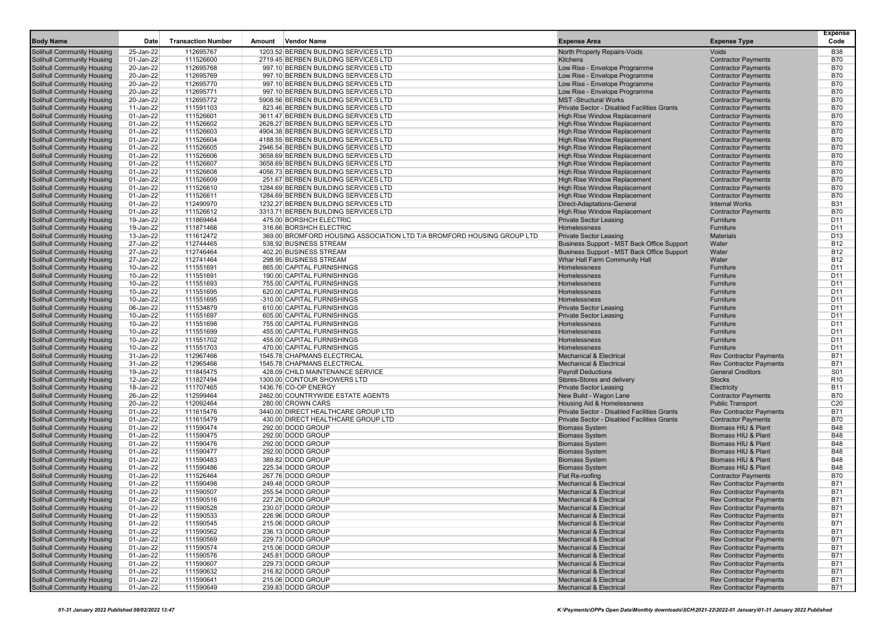| <b>Body Name</b>                                                       | Date                   | <b>Transaction Number</b> | Amount | <b>Vendor Name</b>                                                           | <b>Expense Area</b>                                                      | <b>Expense Type</b>                                              | <b>Expense</b><br>Code        |
|------------------------------------------------------------------------|------------------------|---------------------------|--------|------------------------------------------------------------------------------|--------------------------------------------------------------------------|------------------------------------------------------------------|-------------------------------|
| <b>Solihull Community Housing</b>                                      | 25-Jan-22              | 112695767                 |        | 1203.52 BERBEN BUILDING SERVICES LTD                                         | North Property Repairs-Voids                                             | Voids                                                            | <b>B38</b>                    |
| <b>Solihull Community Housing</b>                                      | 01-Jan-22              | 111526600                 |        | 2719.45 BERBEN BUILDING SERVICES LTD                                         | <b>Kitchens</b>                                                          | <b>Contractor Payments</b>                                       | <b>B70</b>                    |
| <b>Solihull Community Housing</b>                                      | 20-Jan-22              | 112695768                 |        | 997.10 BERBEN BUILDING SERVICES LTD                                          | Low Rise - Envelope Programme                                            | <b>Contractor Payments</b>                                       | <b>B70</b>                    |
| <b>Solihull Community Housing</b>                                      | 20-Jan-22              | 112695769                 |        | 997.10 BERBEN BUILDING SERVICES LTD                                          | Low Rise - Envelope Programme                                            | <b>Contractor Payments</b>                                       | <b>B70</b>                    |
| <b>Solihull Community Housing</b>                                      | 20-Jan-22              | 112695770                 |        | 997.10 BERBEN BUILDING SERVICES LTD                                          | Low Rise - Envelope Programme                                            | <b>Contractor Payments</b>                                       | <b>B70</b>                    |
| <b>Solihull Community Housing</b>                                      | 20-Jan-22              | 112695771                 |        | 997.10 BERBEN BUILDING SERVICES LTD                                          | Low Rise - Envelope Programme                                            | <b>Contractor Payments</b>                                       | <b>B70</b>                    |
| <b>Solihull Community Housing</b>                                      | 20-Jan-22              | 112695772                 |        | 5908.56 BERBEN BUILDING SERVICES LTD                                         | <b>MST-Structural Works</b>                                              | <b>Contractor Payments</b>                                       | <b>B70</b>                    |
| <b>Solihull Community Housing</b>                                      | 11-Jan-22              | 111591103                 |        | 823.46 BERBEN BUILDING SERVICES LTD                                          | Private Sector - Disabled Facilities Grants                              | <b>Contractor Payments</b>                                       | <b>B70</b>                    |
| <b>Solihull Community Housing</b>                                      | 01-Jan-22              | 111526601                 |        | 3611.47 BERBEN BUILDING SERVICES LTD                                         | High Rise Window Replacement                                             | <b>Contractor Payments</b>                                       | <b>B70</b><br><b>B70</b>      |
| <b>Solihull Community Housing</b><br><b>Solihull Community Housing</b> | 01-Jan-22<br>01-Jan-22 | 111526602<br>111526603    |        | 2628.27 BERBEN BUILDING SERVICES LTD<br>4904.38 BERBEN BUILDING SERVICES LTD | High Rise Window Replacement<br>High Rise Window Replacement             | <b>Contractor Payments</b><br><b>Contractor Payments</b>         | <b>B70</b>                    |
| Solihull Community Housing                                             | 01-Jan-22              | 111526604                 |        | 4188.55 BERBEN BUILDING SERVICES LTD                                         | <b>High Rise Window Replacement</b>                                      | <b>Contractor Payments</b>                                       | <b>B70</b>                    |
| Solihull Community Housing                                             | 01-Jan-22              | 111526605                 |        | 2946.54 BERBEN BUILDING SERVICES LTD                                         | <b>High Rise Window Replacement</b>                                      | <b>Contractor Payments</b>                                       | <b>B70</b>                    |
| Solihull Community Housing                                             | 01-Jan-22              | 111526606                 |        | 3658.69 BERBEN BUILDING SERVICES LTD                                         | <b>High Rise Window Replacement</b>                                      | <b>Contractor Payments</b>                                       | <b>B70</b>                    |
| Solihull Community Housing                                             | 01-Jan-22              | 111526607                 |        | 3658.69 BERBEN BUILDING SERVICES LTD                                         | High Rise Window Replacement                                             | <b>Contractor Payments</b>                                       | <b>B70</b>                    |
| <b>Solihull Community Housing</b>                                      | 01-Jan-22              | 111526608                 |        | 4056.73 BERBEN BUILDING SERVICES LTD                                         | High Rise Window Replacement                                             | <b>Contractor Payments</b>                                       | <b>B70</b>                    |
| <b>Solihull Community Housing</b>                                      | 01-Jan-22              | 111526609                 |        | 251.67 BERBEN BUILDING SERVICES LTD                                          | High Rise Window Replacement                                             | <b>Contractor Payments</b>                                       | <b>B70</b>                    |
| Solihull Community Housing                                             | 01-Jan-22              | 111526610                 |        | 1284.69 BERBEN BUILDING SERVICES LTD                                         | <b>High Rise Window Replacement</b>                                      | <b>Contractor Payments</b>                                       | <b>B70</b>                    |
| Solihull Community Housing                                             | 01-Jan-22              | 111526611                 |        | 1284.69 BERBEN BUILDING SERVICES LTD                                         | <b>High Rise Window Replacement</b>                                      | <b>Contractor Payments</b>                                       | <b>B70</b>                    |
| <b>Solihull Community Housing</b>                                      | 01-Jan-22              | 112490970                 |        | 1232.27 BERBEN BUILDING SERVICES LTD                                         | Direct-Adaptations-General                                               | <b>Internal Works</b>                                            | <b>B31</b>                    |
| <b>Solihull Community Housing</b>                                      | 01-Jan-22              | 111526612                 |        | 3313.71 BERBEN BUILDING SERVICES LTD                                         | <b>High Rise Window Replacement</b>                                      | <b>Contractor Payments</b>                                       | <b>B70</b>                    |
| <b>Solihull Community Housing</b>                                      | 19-Jan-22              | 111869464                 |        | 475.00 BORSHCH ELECTRIC                                                      | <b>Private Sector Leasing</b>                                            | Furniture                                                        | D <sub>11</sub>               |
| <b>Solihull Community Housing</b>                                      | $19 - Jan-22$          | 111871466                 |        | 316.66 BORSHCH ELECTRIC                                                      | <b>Homelessness</b>                                                      | Furniture                                                        | D <sub>11</sub>               |
| <b>Solihull Community Housing</b>                                      | 13-Jan-22              | 111612472                 |        | 369.00 BROMFORD HOUSING ASSOCIATION LTD T/A BROMFORD HOUSING GROUP LTD       | <b>Private Sector Leasing</b>                                            | <b>Materials</b>                                                 | D <sub>13</sub>               |
| <b>Solihull Community Housing</b>                                      | 27-Jan-22              | 112744465                 |        | 538.92 BUSINESS STREAM                                                       | Business Support - MST Back Office Support                               | Water                                                            | <b>B12</b>                    |
| <b>Solihull Community Housing</b>                                      | 27-Jan-22              | 112746464                 |        | 402.20 BUSINESS STREAM                                                       | Business Support - MST Back Office Support                               | Water                                                            | <b>B12</b>                    |
| <b>Solihull Community Housing</b>                                      | 27-Jan-22<br>10-Jan-22 | 112741464<br>111551691    |        | 298.95 BUSINESS STREAM                                                       | Whar Hall Farm Community Hall<br>Homelessness                            | Water<br>Furniture                                               | <b>B12</b><br>D <sub>11</sub> |
| <b>Solihull Community Housing</b><br><b>Solihull Community Housing</b> | 10-Jan-22              | 111551691                 |        | 865.00 CAPITAL FURNISHINGS<br>190.00 CAPITAL FURNISHINGS                     | Homelessness                                                             | Furniture                                                        | D <sub>11</sub>               |
| Solihull Community Housing                                             | 10-Jan-22              | 111551693                 |        | 755.00 CAPITAL FURNISHINGS                                                   | Homelessness                                                             | Furniture                                                        | D <sub>11</sub>               |
| <b>Solihull Community Housing</b>                                      | 10-Jan-22              | 111551695                 |        | 620.00 CAPITAL FURNISHINGS                                                   | Homelessness                                                             | Furniture                                                        | D <sub>11</sub>               |
| <b>Solihull Community Housing</b>                                      | 10-Jan-22              | 111551695                 |        | -310.00 CAPITAL FURNISHINGS                                                  | Homelessness                                                             | Furniture                                                        | D <sub>11</sub>               |
| <b>Solihull Community Housing</b>                                      | 06-Jan-22              | 111534879                 |        | 610.00 CAPITAL FURNISHINGS                                                   | <b>Private Sector Leasing</b>                                            | Furniture                                                        | D <sub>11</sub>               |
| <b>Solihull Community Housing</b>                                      | 10-Jan-22              | 111551697                 |        | 605.00 CAPITAL FURNISHINGS                                                   | <b>Private Sector Leasing</b>                                            | Furniture                                                        | D <sub>11</sub>               |
| <b>Solihull Community Housing</b>                                      | 10-Jan-22              | 111551698                 |        | 755.00 CAPITAL FURNISHINGS                                                   | <b>Homelessness</b>                                                      | Furniture                                                        | D <sub>11</sub>               |
| <b>Solihull Community Housing</b>                                      | 10-Jan-22              | 111551699                 |        | 455.00 CAPITAL FURNISHINGS                                                   | Homelessness                                                             | Furniture                                                        | D <sub>11</sub>               |
| Solihull Community Housing                                             | 10-Jan-22              | 111551702                 |        | 455.00 CAPITAL FURNISHINGS                                                   | Homelessness                                                             | Furniture                                                        | D <sub>11</sub>               |
| Solihull Community Housing                                             | 10-Jan-22              | 111551703                 |        | 470.00 CAPITAL FURNISHINGS                                                   | Homelessness                                                             | Furniture                                                        | D <sub>11</sub>               |
| <b>Solihull Community Housing</b>                                      | 31-Jan-22              | 112967466                 |        | 1545.78 CHAPMANS ELECTRICAL                                                  | <b>Mechanical &amp; Electrical</b>                                       | <b>Rev Contractor Payments</b>                                   | <b>B71</b>                    |
| <b>Solihull Community Housing</b>                                      | 31-Jan-22              | 112965466                 |        | 1545.78 CHAPMANS ELECTRICAL                                                  | <b>Mechanical &amp; Electrical</b>                                       | <b>Rev Contractor Payments</b>                                   | <b>B71</b>                    |
| <b>Solihull Community Housing</b>                                      | 19-Jan-22              | 111845475                 |        | 428.09 CHILD MAINTENANCE SERVICE                                             | <b>Payroll Deductions</b>                                                | <b>General Creditors</b>                                         | S <sub>01</sub>               |
| <b>Solihull Community Housing</b>                                      | 12-Jan-22              | 111827494                 |        | 1300.00 CONTOUR SHOWERS LTD                                                  | Stores-Stores and delivery                                               | <b>Stocks</b>                                                    | R <sub>10</sub><br><b>B11</b> |
| Solihull Community Housing<br>Solihull Community Housing               | 18-Jan-22<br>26-Jan-22 | 111707465<br>112599464    |        | 1436.76 CO-OP ENERGY<br>2462.00 COUNTRYWIDE ESTATE AGENTS                    | <b>Private Sector Leasing</b><br>New Build - Wagon Lane                  | Electricity<br><b>Contractor Payments</b>                        | <b>B70</b>                    |
| <b>Solihull Community Housing</b>                                      | 20-Jan-22              | 112092464                 |        | 280.00 CROWN CARS                                                            | <b>Housing Aid &amp; Homelessness</b>                                    | <b>Public Transport</b>                                          | C <sub>20</sub>               |
| <b>Solihull Community Housing</b>                                      | 01-Jan-22              | 111615476                 |        | 3440.00 DIRECT HEALTHCARE GROUP LTD                                          | Private Sector - Disabled Facilities Grants                              | <b>Rev Contractor Payments</b>                                   | <b>B71</b>                    |
| <b>Solihull Community Housing</b>                                      | 01-Jan-22              | 111615479                 |        | 430.00 DIRECT HEALTHCARE GROUP LTD                                           | Private Sector - Disabled Facilities Grants                              | <b>Contractor Payments</b>                                       | <b>B70</b>                    |
| <b>Solihull Community Housing</b>                                      | 01-Jan-22              | 111590474                 |        | 292.00 DODD GROUP                                                            | <b>Biomass System</b>                                                    | Biomass HIU & Plant                                              | <b>B48</b>                    |
| <b>Solihull Community Housing</b>                                      | 01-Jan-22              | 111590475                 |        | 292.00 DODD GROUP                                                            | <b>Biomass System</b>                                                    | Biomass HIU & Plant                                              | <b>B48</b>                    |
| <b>Solihull Community Housing</b>                                      | 01-Jan-22              | 111590476                 |        | 292.00 DODD GROUP                                                            | <b>Biomass System</b>                                                    | <b>Biomass HIU &amp; Plant</b>                                   | <b>B48</b>                    |
| <b>Solihull Community Housing</b>                                      | 01-Jan-22              | 111590477                 |        | 292.00 DODD GROUP                                                            | <b>Biomass System</b>                                                    | Biomass HIU & Plant                                              | <b>B48</b>                    |
| Solihull Community Housing                                             | 01-Jan-22              | 111590483                 |        | 389.82 DODD GROUP                                                            | <b>Biomass System</b>                                                    | <b>Biomass HIU &amp; Plant</b>                                   | <b>B48</b>                    |
| Solihull Community Housing                                             | 01-Jan-22              | 111590486                 |        | 225.34 DODD GROUP                                                            | <b>Biomass System</b>                                                    | Biomass HIU & Plant                                              | <b>B48</b>                    |
| <b>Solihull Community Housing</b>                                      | 01-Jan-22              | 111526464                 |        | 267.76 DODD GROUP                                                            | Flat Re-roofing                                                          | <b>Contractor Payments</b>                                       | <b>B70</b>                    |
| <b>Solihull Community Housing</b>                                      | 01-Jan-22              | 111590498                 |        | 249.48 DODD GROUP                                                            | <b>Mechanical &amp; Electrical</b>                                       | <b>Rev Contractor Payments</b>                                   | <b>B71</b>                    |
| <b>Solihull Community Housing</b>                                      | 01-Jan-22              | 111590507                 |        | 255.54 DODD GROUP                                                            | <b>Mechanical &amp; Electrical</b>                                       | <b>Rev Contractor Payments</b>                                   | <b>B71</b>                    |
| <b>Solihull Community Housing</b>                                      | 01-Jan-22              | 111590516                 |        | 227.26 DODD GROUP                                                            | <b>Mechanical &amp; Electrical</b>                                       | <b>Rev Contractor Payments</b>                                   | <b>B71</b>                    |
| <b>Solihull Community Housing</b>                                      | 01-Jan-22              | 111590528                 |        | 230.07 DODD GROUP                                                            | <b>Mechanical &amp; Electrical</b>                                       | <b>Rev Contractor Payments</b>                                   | <b>B71</b>                    |
| <b>Solihull Community Housing</b><br><b>Solihull Community Housing</b> | 01-Jan-22<br>01-Jan-22 | 111590533<br>111590545    |        | 226.96 DODD GROUP<br>215.06 DODD GROUP                                       | <b>Mechanical &amp; Electrical</b><br><b>Mechanical &amp; Electrical</b> | <b>Rev Contractor Payments</b><br><b>Rev Contractor Payments</b> | <b>B71</b>                    |
| <b>Solihull Community Housing</b>                                      | 01-Jan-22              | 111590562                 |        | 236.13 DODD GROUP                                                            | <b>Mechanical &amp; Electrical</b>                                       | <b>Rev Contractor Payments</b>                                   | <b>B71</b><br><b>B71</b>      |
| <b>Solihull Community Housing</b>                                      | 01-Jan-22              | 111590569                 |        | 229.73 DODD GROUP                                                            | <b>Mechanical &amp; Electrical</b>                                       | <b>Rev Contractor Payments</b>                                   | <b>B71</b>                    |
| Solihull Community Housing                                             | 01-Jan-22              | 111590574                 |        | 215.06 DODD GROUP                                                            | <b>Mechanical &amp; Electrical</b>                                       | <b>Rev Contractor Payments</b>                                   | <b>B71</b>                    |
| Solihull Community Housing                                             | 01-Jan-22              | 111590576                 |        | 245.81 DODD GROUP                                                            | <b>Mechanical &amp; Electrical</b>                                       | <b>Rev Contractor Payments</b>                                   | <b>B71</b>                    |
| Solihull Community Housing                                             | 01-Jan-22              | 111590607                 |        | 229.73 DODD GROUP                                                            | <b>Mechanical &amp; Electrical</b>                                       | <b>Rev Contractor Payments</b>                                   | <b>B71</b>                    |
| <b>Solihull Community Housing</b>                                      | 01-Jan-22              | 111590632                 |        | 216.82 DODD GROUP                                                            | <b>Mechanical &amp; Electrical</b>                                       | <b>Rev Contractor Payments</b>                                   | <b>B71</b>                    |
| <b>Solihull Community Housing</b>                                      | 01-Jan-22              | 111590641                 |        | 215.06 DODD GROUP                                                            | <b>Mechanical &amp; Electrical</b>                                       | <b>Rev Contractor Payments</b>                                   | B71                           |
| <b>Solihull Community Housing</b>                                      | 01-Jan-22              | 111590649                 |        | 239.83 DODD GROUP                                                            | <b>Mechanical &amp; Electrical</b>                                       | <b>Rev Contractor Payments</b>                                   | B71                           |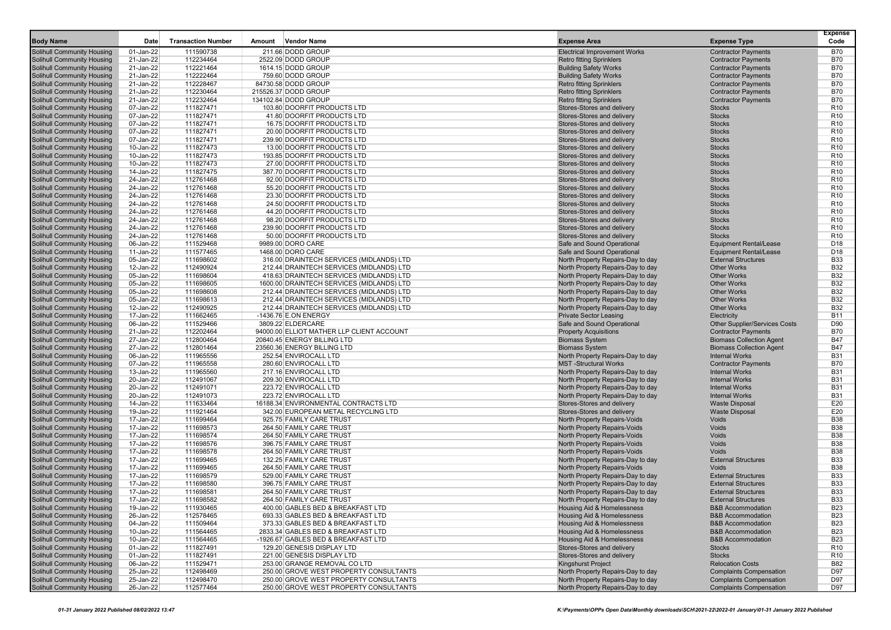| <b>Body Name</b>                                                       | Date                   | <b>Transaction Number</b> | Amount | <b>Vendor Name</b>                                        | <b>Expense Area</b>                                              | <b>Expense Type</b>                                 | <b>Expense</b><br>Code             |
|------------------------------------------------------------------------|------------------------|---------------------------|--------|-----------------------------------------------------------|------------------------------------------------------------------|-----------------------------------------------------|------------------------------------|
| <b>Solihull Community Housing</b>                                      | 01-Jan-22              | 111590738                 |        | 211.66 DODD GROUP                                         | <b>Electrical Improvement Works</b>                              | <b>Contractor Payments</b>                          | <b>B70</b>                         |
| <b>Solihull Community Housing</b>                                      | 21-Jan-22              | 112234464                 |        | 2522.09 DODD GROUP                                        | <b>Retro fitting Sprinklers</b>                                  | <b>Contractor Payments</b>                          | <b>B70</b>                         |
| <b>Solihull Community Housing</b>                                      | 21-Jan-22              | 112221464                 |        | 1614.15 DODD GROUP                                        | <b>Building Safety Works</b>                                     | <b>Contractor Payments</b>                          | <b>B70</b>                         |
| <b>Solihull Community Housing</b>                                      | 21-Jan-22              | 112222464                 |        | 759.60 DODD GROUP                                         | <b>Building Safety Works</b>                                     | <b>Contractor Payments</b>                          | <b>B70</b>                         |
| <b>Solihull Community Housing</b>                                      | 21-Jan-22              | 112228467                 |        | 84730.58 DODD GROUP                                       | <b>Retro fitting Sprinklers</b>                                  | <b>Contractor Payments</b>                          | <b>B70</b>                         |
| <b>Solihull Community Housing</b>                                      | 21-Jan-22              | 112230464                 |        | 215526.37 DODD GROUP                                      | <b>Retro fitting Sprinklers</b>                                  | <b>Contractor Payments</b>                          | <b>B70</b>                         |
| <b>Solihull Community Housing</b>                                      | 21-Jan-22              | 112232464                 |        | 134102.84 DODD GROUP                                      | <b>Retro fitting Sprinklers</b>                                  | <b>Contractor Payments</b>                          | <b>B70</b>                         |
| <b>Solihull Community Housing</b>                                      | 07-Jan-22              | 111827471                 |        | 103.80 DOORFIT PRODUCTS LTD                               | Stores-Stores and delivery                                       | <b>Stocks</b>                                       | R <sub>10</sub>                    |
| <b>Solihull Community Housing</b>                                      | 07-Jan-22              | 111827471                 |        | 41.80 DOORFIT PRODUCTS LTD                                | Stores-Stores and delivery                                       | <b>Stocks</b>                                       | R <sub>10</sub>                    |
| <b>Solihull Community Housing</b>                                      | 07-Jan-22              | 111827471<br>111827471    |        | 16.75 DOORFIT PRODUCTS LTD                                | Stores-Stores and delivery                                       | <b>Stocks</b><br><b>Stocks</b>                      | R <sub>10</sub><br>R <sub>10</sub> |
| <b>Solihull Community Housing</b><br>Solihull Community Housing        | 07-Jan-22              | 111827471                 |        | 20.00 DOORFIT PRODUCTS LTD                                | Stores-Stores and delivery                                       |                                                     | R <sub>10</sub>                    |
| <b>Solihull Community Housing</b>                                      | 07-Jan-22<br>10-Jan-22 | 111827473                 |        | 239.90 DOORFIT PRODUCTS LTD<br>13.00 DOORFIT PRODUCTS LTD | Stores-Stores and delivery<br>Stores-Stores and delivery         | <b>Stocks</b><br><b>Stocks</b>                      | R <sub>10</sub>                    |
| Solihull Community Housing                                             | 10-Jan-22              | 111827473                 |        | 193.85 DOORFIT PRODUCTS LTD                               | Stores-Stores and delivery                                       | <b>Stocks</b>                                       | R <sub>10</sub>                    |
| Solihull Community Housing                                             | 10-Jan-22              | 111827473                 |        | 27.00 DOORFIT PRODUCTS LTD                                | Stores-Stores and delivery                                       | <b>Stocks</b>                                       | R <sub>10</sub>                    |
| Solihull Community Housing                                             | 14-Jan-22              | 111827475                 |        | 387.70 DOORFIT PRODUCTS LTD                               | Stores-Stores and delivery                                       | <b>Stocks</b>                                       | R <sub>10</sub>                    |
| <b>Solihull Community Housing</b>                                      | 24-Jan-22              | 112761468                 |        | 92.00 DOORFIT PRODUCTS LTD                                | Stores-Stores and delivery                                       | <b>Stocks</b>                                       | R <sub>10</sub>                    |
| Solihull Community Housing                                             | 24-Jan-22              | 112761468                 |        | 55.20 DOORFIT PRODUCTS LTD                                | Stores-Stores and delivery                                       | <b>Stocks</b>                                       | R <sub>10</sub>                    |
| Solihull Community Housing                                             | 24-Jan-22              | 112761468                 |        | 23.30 DOORFIT PRODUCTS LTD                                | Stores-Stores and delivery                                       | <b>Stocks</b>                                       | R <sub>10</sub>                    |
| <b>Solihull Community Housing</b>                                      | 24-Jan-22              | 112761468                 |        | 24.50 DOORFIT PRODUCTS LTD                                | Stores-Stores and delivery                                       | <b>Stocks</b>                                       | R <sub>10</sub>                    |
| <b>Solihull Community Housing</b>                                      | 24-Jan-22              | 112761468                 |        | 44.20 DOORFIT PRODUCTS LTD                                | Stores-Stores and delivery                                       | <b>Stocks</b>                                       | R <sub>10</sub>                    |
| <b>Solihull Community Housing</b>                                      | 24-Jan-22              | 112761468                 |        | 98.20 DOORFIT PRODUCTS LTD                                | Stores-Stores and delivery                                       | <b>Stocks</b>                                       | R <sub>10</sub>                    |
| <b>Solihull Community Housing</b>                                      | 24-Jan-22              | 112761468                 |        | 239.90 DOORFIT PRODUCTS LTD                               | Stores-Stores and delivery                                       | <b>Stocks</b>                                       | R <sub>10</sub>                    |
| <b>Solihull Community Housing</b>                                      | 24-Jan-22              | 112761468                 |        | 50.00 DOORFIT PRODUCTS LTD                                | Stores-Stores and delivery                                       | <b>Stocks</b>                                       | R <sub>10</sub>                    |
| <b>Solihull Community Housing</b>                                      | 06-Jan-22              | 111529468                 |        | 9989.00 DORO CARE                                         | Safe and Sound Operational                                       | <b>Equipment Rental/Lease</b>                       | D <sub>18</sub>                    |
| <b>Solihull Community Housing</b>                                      | 11-Jan-22              | 111577465                 |        | 1468.00 DORO CARE                                         | Safe and Sound Operational                                       | <b>Equipment Rental/Lease</b>                       | D <sub>18</sub>                    |
| <b>Solihull Community Housing</b>                                      | 05-Jan-22              | 111698602                 |        | 316.00 DRAINTECH SERVICES (MIDLANDS) LTD                  | North Property Repairs-Day to day                                | <b>External Structures</b>                          | <b>B33</b>                         |
| <b>Solihull Community Housing</b>                                      | 12-Jan-22              | 112490924                 |        | 212.44 DRAINTECH SERVICES (MIDLANDS) LTD                  | North Property Repairs-Day to day                                | <b>Other Works</b>                                  | <b>B32</b>                         |
| <b>Solihull Community Housing</b>                                      | 05-Jan-22              | 111698604                 |        | 418.63 DRAINTECH SERVICES (MIDLANDS) LTD                  | North Property Repairs-Day to day                                | <b>Other Works</b>                                  | <b>B32</b>                         |
| Solihull Community Housing                                             | 05-Jan-22              | 111698605                 |        | 1600.00 DRAINTECH SERVICES (MIDLANDS) LTD                 | North Property Repairs-Day to day                                | <b>Other Works</b>                                  | <b>B32</b>                         |
| <b>Solihull Community Housing</b>                                      | 05-Jan-22              | 111698608                 |        | 212.44 DRAINTECH SERVICES (MIDLANDS) LTD                  | North Property Repairs-Day to day                                | <b>Other Works</b>                                  | <b>B32</b>                         |
| <b>Solihull Community Housing</b>                                      | 05-Jan-22              | 111698613                 |        | 212.44 DRAINTECH SERVICES (MIDLANDS) LTD                  | North Property Repairs-Day to day                                | <b>Other Works</b>                                  | <b>B32</b>                         |
| <b>Solihull Community Housing</b>                                      | 12-Jan-22              | 112490925                 |        | 212.44 DRAINTECH SERVICES (MIDLANDS) LTD                  | North Property Repairs-Day to day                                | <b>Other Works</b>                                  | <b>B32</b>                         |
| <b>Solihull Community Housing</b>                                      | 17-Jan-22              | 111662465                 |        | -1436.76 E.ON ENERGY                                      | <b>Private Sector Leasing</b>                                    | Electricity                                         | <b>B11</b>                         |
| <b>Solihull Community Housing</b>                                      | 06-Jan-22              | 111529466                 |        | 3809.22 ELDERCARE                                         | Safe and Sound Operational                                       | <b>Other Supplier/Services Costs</b>                | D90                                |
| <b>Solihull Community Housing</b>                                      | 21-Jan-22              | 112202464                 |        | 94000.00 ELLIOT MATHER LLP CLIENT ACCOUNT                 | <b>Property Acquisitions</b>                                     | <b>Contractor Payments</b>                          | <b>B70</b>                         |
| Solihull Community Housing                                             | 27-Jan-22              | 112800464                 |        | 20840.45 ENERGY BILLING LTD                               | <b>Biomass System</b>                                            | <b>Biomass Collection Agent</b>                     | <b>B47</b>                         |
| <b>Solihull Community Housing</b>                                      | 27-Jan-22              | 112801464                 |        | 23560.36 ENERGY BILLING LTD                               | <b>Biomass System</b>                                            | <b>Biomass Collection Agent</b>                     | <b>B47</b>                         |
| <b>Solihull Community Housing</b>                                      | 06-Jan-22              | 111965556                 |        | 252.54 ENVIROCALL LTD                                     | North Property Repairs-Day to day                                | <b>Internal Works</b>                               | <b>B31</b><br><b>B70</b>           |
| <b>Solihull Community Housing</b><br><b>Solihull Community Housing</b> | 07-Jan-22<br>13-Jan-22 | 111965558<br>111965560    |        | 280.60 ENVIROCALL LTD<br>217.16 ENVIROCALL LTD            | <b>MST-Structural Works</b><br>North Property Repairs-Day to day | <b>Contractor Payments</b><br><b>Internal Works</b> | <b>B31</b>                         |
| <b>Solihull Community Housing</b>                                      | 20-Jan-22              | 112491067                 |        | 209.30 ENVIROCALL LTD                                     | North Property Repairs-Day to day                                | <b>Internal Works</b>                               | <b>B31</b>                         |
| <b>Solihull Community Housing</b>                                      | 20-Jan-22              | 112491071                 |        | 223.72 ENVIROCALL LTD                                     | North Property Repairs-Day to day                                | <b>Internal Works</b>                               | <b>B31</b>                         |
| <b>Solihull Community Housing</b>                                      | 20-Jan-22              | 112491073                 |        | 223.72 ENVIROCALL LTD                                     | North Property Repairs-Day to day                                | <b>Internal Works</b>                               | <b>B31</b>                         |
| <b>Solihull Community Housing</b>                                      | 14-Jan-22              | 111633464                 |        | 16188.34 ENVIRONMENTAL CONTRACTS LTD                      | Stores-Stores and delivery                                       | <b>Waste Disposal</b>                               | E20                                |
| <b>Solihull Community Housing</b>                                      | 19-Jan-22              | 111921464                 |        | 342.00 EUROPEAN METAL RECYCLING LTD                       | Stores-Stores and delivery                                       | <b>Waste Disposal</b>                               | E20                                |
| <b>Solihull Community Housing</b>                                      | 17-Jan-22              | 111699464                 |        | 925.75 FAMILY CARE TRUST                                  | North Property Repairs-Voids                                     | Voids                                               | <b>B38</b>                         |
| <b>Solihull Community Housing</b>                                      | 17-Jan-22              | 111698573                 |        | 264.50 FAMILY CARE TRUST                                  | North Property Repairs-Voids                                     | Voids                                               | <b>B38</b>                         |
| <b>Solihull Community Housing</b>                                      | 17-Jan-22              | 111698574                 |        | 264.50 FAMILY CARE TRUST                                  | North Property Repairs-Voids                                     | Voids                                               | <b>B38</b>                         |
| <b>Solihull Community Housing</b>                                      | 17-Jan-22              | 111698576                 |        | 396.75 FAMILY CARE TRUST                                  | North Property Repairs-Voids                                     | Voids                                               | <b>B38</b>                         |
| <b>Solihull Community Housing</b>                                      | 17-Jan-22              | 111698578                 |        | 264.50 FAMILY CARE TRUST                                  | North Property Repairs-Voids                                     | Voids                                               | <b>B38</b>                         |
| <b>Solihull Community Housing</b>                                      | 17-Jan-22              | 111699465                 |        | 132.25 FAMILY CARE TRUST                                  | North Property Repairs-Day to day                                | <b>External Structures</b>                          | <b>B33</b>                         |
| Solihull Community Housing                                             | 17-Jan-22              | 111699465                 |        | 264.50 FAMILY CARE TRUST                                  | North Property Repairs-Voids                                     | <b>Voids</b>                                        | <b>B38</b>                         |
| <b>Solihull Community Housing</b>                                      | 17-Jan-22              | 111698579                 |        | 529.00 FAMILY CARE TRUST                                  | North Property Repairs-Day to day                                | <b>External Structures</b>                          | <b>B33</b>                         |
| <b>Solihull Community Housing</b>                                      | 17-Jan-22              | 111698580                 |        | 396.75 FAMILY CARE TRUST                                  | North Property Repairs-Day to day                                | <b>External Structures</b>                          | <b>B33</b>                         |
| <b>Solihull Community Housing</b>                                      | 17-Jan-22              | 111698581                 |        | 264.50 FAMILY CARE TRUST                                  | North Property Repairs-Day to day                                | <b>External Structures</b>                          | <b>B33</b>                         |
| <b>Solihull Community Housing</b>                                      | 17-Jan-22              | 111698582                 |        | 264.50 FAMILY CARE TRUST                                  | North Property Repairs-Day to day                                | <b>External Structures</b>                          | <b>B33</b>                         |
| <b>Solihull Community Housing</b>                                      | 19-Jan-22              | 111930465                 |        | 400.00 GABLES BED & BREAKFAST LTD                         | <b>Housing Aid &amp; Homelessness</b>                            | <b>B&amp;B Accommodation</b>                        | <b>B23</b>                         |
| <b>Solihull Community Housing</b>                                      | 26-Jan-22              | 112578465                 |        | 693.33 GABLES BED & BREAKFAST LTD                         | <b>Housing Aid &amp; Homelessness</b>                            | <b>B&amp;B Accommodation</b>                        | <b>B23</b>                         |
| <b>Solihull Community Housing</b>                                      | 04-Jan-22              | 111509464                 |        | 373.33 GABLES BED & BREAKFAST LTD                         | <b>Housing Aid &amp; Homelessness</b>                            | <b>B&amp;B Accommodation</b>                        | <b>B23</b>                         |
| <b>Solihull Community Housing</b>                                      | 10-Jan-22              | 111564465                 |        | 2833.34 GABLES BED & BREAKFAST LTD                        | <b>Housing Aid &amp; Homelessness</b>                            | <b>B&amp;B Accommodation</b>                        | <b>B23</b>                         |
| Solihull Community Housing                                             | 10-Jan-22              | 111564465                 |        | -1926.67 GABLES BED & BREAKFAST LTD                       | <b>Housing Aid &amp; Homelessness</b>                            | <b>B&amp;B Accommodation</b>                        | <b>B23</b>                         |
| Solihull Community Housing                                             | 01-Jan-22              | 111827491                 |        | 129.20 GENESIS DISPLAY LTD                                | Stores-Stores and delivery                                       | <b>Stocks</b>                                       | R <sub>10</sub>                    |
| <b>Solihull Community Housing</b>                                      | 01-Jan-22              | 111827491                 |        | 221.00 GENESIS DISPLAY LTD                                | Stores-Stores and delivery                                       | <b>Stocks</b>                                       | R <sub>10</sub>                    |
| <b>Solihull Community Housing</b>                                      | 06-Jan-22              | 111529471                 |        | 253.00 GRANGE REMOVAL CO LTD                              | <b>Kingshurst Project</b>                                        | <b>Relocation Costs</b>                             | <b>B82</b>                         |
| <b>Solihull Community Housing</b>                                      | 25-Jan-22              | 112498469                 |        | 250.00 GROVE WEST PROPERTY CONSULTANTS                    | North Property Repairs-Day to day                                | <b>Complaints Compensation</b>                      | D97                                |
| <b>Solihull Community Housing</b>                                      | 25-Jan-22              | 112498470                 |        | 250.00 GROVE WEST PROPERTY CONSULTANTS                    | North Property Repairs-Day to day                                | <b>Complaints Compensation</b>                      | D97                                |
| <b>Solihull Community Housing</b>                                      | 26-Jan-22              | 112577464                 |        | 250.00 GROVE WEST PROPERTY CONSULTANTS                    | North Property Repairs-Day to day                                | <b>Complaints Compensation</b>                      | D97                                |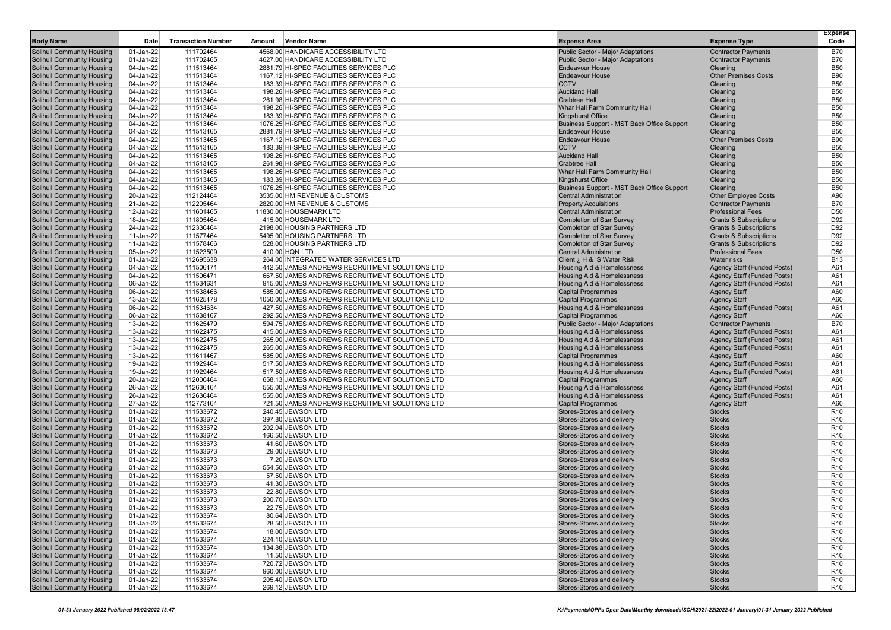| <b>Body Name</b>                                                | Date                   | <b>Transaction Number</b> | Amount | <b>Vendor Name</b>                                                                               | <b>Expense Area</b>                                                | <b>Expense Type</b>                                       | <b>Expense</b><br>Code             |
|-----------------------------------------------------------------|------------------------|---------------------------|--------|--------------------------------------------------------------------------------------------------|--------------------------------------------------------------------|-----------------------------------------------------------|------------------------------------|
| <b>Solihull Community Housing</b>                               | 01-Jan-22              | 111702464                 |        | 4568.00 HANDICARE ACCESSIBILITY LTD                                                              | Public Sector - Major Adaptations                                  | <b>Contractor Payments</b>                                | <b>B70</b>                         |
| Solihull Community Housing                                      | 01-Jan-22              | 111702465                 |        | 4627.00 HANDICARE ACCESSIBILITY LTD                                                              | Public Sector - Major Adaptations                                  | <b>Contractor Payments</b>                                | <b>B70</b>                         |
| Solihull Community Housing                                      | 04-Jan-22              | 111513464                 |        | 2881.79 HI-SPEC FACILITIES SERVICES PLC                                                          | <b>Endeavour House</b>                                             | Cleaning                                                  | <b>B50</b>                         |
| Solihull Community Housing                                      | 04-Jan-22              | 111513464                 |        | 1167.12 HI-SPEC FACILITIES SERVICES PLC                                                          | <b>Endeavour House</b>                                             | <b>Other Premises Costs</b>                               | <b>B90</b>                         |
| Solihull Community Housing                                      | 04-Jan-22              | 111513464                 |        | 183.39 HI-SPEC FACILITIES SERVICES PLC                                                           | <b>CCTV</b>                                                        | Cleaning                                                  | <b>B50</b>                         |
| <b>Solihull Community Housing</b>                               | 04-Jan-22              | 111513464                 |        | 198.26 HI-SPEC FACILITIES SERVICES PLC                                                           | <b>Auckland Hall</b>                                               | Cleaning                                                  | <b>B50</b>                         |
| Solihull Community Housing                                      | 04-Jan-22              | 111513464                 |        | 261.98 HI-SPEC FACILITIES SERVICES PLC                                                           | <b>Crabtree Hall</b>                                               | Cleaning                                                  | <b>B50</b>                         |
| Solihull Community Housing<br><b>Solihull Community Housing</b> | 04-Jan-22<br>04-Jan-22 | 111513464<br>111513464    |        | 198.26 HI-SPEC FACILITIES SERVICES PLC<br>183.39 HI-SPEC FACILITIES SERVICES PLC                 | Whar Hall Farm Community Hall<br><b>Kingshurst Office</b>          | Cleaning                                                  | <b>B50</b><br><b>B50</b>           |
| Solihull Community Housing                                      | 04-Jan-22              | 111513464                 |        | 1076.25 HI-SPEC FACILITIES SERVICES PLC                                                          | Business Support - MST Back Office Support                         | Cleaning<br>Cleaning                                      | <b>B50</b>                         |
| Solihull Community Housing                                      | 04-Jan-22              | 111513465                 |        | 2881.79 HI-SPEC FACILITIES SERVICES PLC                                                          | <b>Endeavour House</b>                                             | Cleaning                                                  | <b>B50</b>                         |
| <b>Solihull Community Housing</b>                               | 04-Jan-22              | 111513465                 |        | 1167.12 HI-SPEC FACILITIES SERVICES PLC                                                          | <b>Endeavour House</b>                                             | <b>Other Premises Costs</b>                               | <b>B90</b>                         |
| Solihull Community Housing                                      | 04-Jan-22              | 111513465                 |        | 183.39 HI-SPEC FACILITIES SERVICES PLC                                                           | <b>CCTV</b>                                                        | Cleaning                                                  | <b>B50</b>                         |
| <b>Solihull Community Housing</b>                               | 04-Jan-22              | 111513465                 |        | 198.26 HI-SPEC FACILITIES SERVICES PLC                                                           | <b>Auckland Hall</b>                                               | Cleaning                                                  | <b>B50</b>                         |
| Solihull Community Housing                                      | 04-Jan-22              | 111513465                 |        | 261.98 HI-SPEC FACILITIES SERVICES PLC                                                           | <b>Crabtree Hall</b>                                               | Cleaning                                                  | <b>B50</b>                         |
| <b>Solihull Community Housing</b>                               | 04-Jan-22              | 111513465                 |        | 198.26 HI-SPEC FACILITIES SERVICES PLC                                                           | Whar Hall Farm Community Hall                                      | Cleaning                                                  | <b>B50</b>                         |
| <b>Solihull Community Housing</b>                               | 04-Jan-22              | 111513465                 |        | 183.39 HI-SPEC FACILITIES SERVICES PLC                                                           | <b>Kingshurst Office</b>                                           | Cleaning                                                  | <b>B50</b>                         |
| Solihull Community Housing                                      | 04-Jan-22              | 111513465                 |        | 1076.25 HI-SPEC FACILITIES SERVICES PLC                                                          | Business Support - MST Back Office Support                         | Cleaning                                                  | <b>B50</b>                         |
| Solihull Community Housing                                      | 20-Jan-22              | 112124464                 |        | 3535.00 HM REVENUE & CUSTOMS                                                                     | <b>Central Administration</b>                                      | <b>Other Employee Costs</b>                               | A90                                |
| Solihull Community Housing                                      | 21-Jan-22              | 112205464                 |        | 2820.00 HM REVENUE & CUSTOMS                                                                     | <b>Property Acquisitions</b>                                       | <b>Contractor Payments</b>                                | <b>B70</b>                         |
| Solihull Community Housing                                      | 12-Jan-22              | 111601465                 |        | 11830.00 HOUSEMARK LTD                                                                           | <b>Central Administration</b>                                      | <b>Professional Fees</b>                                  | D <sub>50</sub>                    |
| Solihull Community Housing                                      | 18-Jan-22              | 111805464                 |        | 415.00 HOUSEMARK LTD                                                                             | <b>Completion of Star Survey</b>                                   | <b>Grants &amp; Subscriptions</b>                         | D92                                |
| Solihull Community Housing                                      | 24-Jan-22              | 112330464                 |        | 2198.00 HOUSING PARTNERS LTD                                                                     | <b>Completion of Star Survey</b>                                   | <b>Grants &amp; Subscriptions</b>                         | D92                                |
| <b>Solihull Community Housing</b>                               | 11-Jan-22              | 111577464                 |        | 5495.00 HOUSING PARTNERS LTD                                                                     | <b>Completion of Star Survey</b>                                   | <b>Grants &amp; Subscriptions</b>                         | D92                                |
| Solihull Community Housing                                      | 11-Jan-22              | 111578466                 |        | 528.00 HOUSING PARTNERS LTD                                                                      | <b>Completion of Star Survey</b>                                   | <b>Grants &amp; Subscriptions</b>                         | D92                                |
| Solihull Community Housing<br><b>Solihull Community Housing</b> | 05-Jan-22<br>01-Jan-22 | 111523509<br>112695638    |        | 410.00 HQN LTD<br>264.00 INTEGRATED WATER SERVICES LTD                                           | <b>Central Administration</b><br>Client ¿ H & S Water Risk         | <b>Professional Fees</b><br><b>Water risks</b>            | D <sub>50</sub><br><b>B13</b>      |
| Solihull Community Housing                                      | 04-Jan-22              | 111506471                 |        | 442.50 JAMES ANDREWS RECRUITMENT SOLUTIONS LTD                                                   | <b>Housing Aid &amp; Homelessness</b>                              | <b>Agency Staff (Funded Posts)</b>                        | A61                                |
| Solihull Community Housing                                      | $04$ -Jan-22           | 111506471                 |        | 667.50 JAMES ANDREWS RECRUITMENT SOLUTIONS LTD                                                   | <b>Housing Aid &amp; Homelessness</b>                              | <b>Agency Staff (Funded Posts)</b>                        | A61                                |
| Solihull Community Housing                                      | 06-Jan-22              | 111534631                 |        | 915.00 JAMES ANDREWS RECRUITMENT SOLUTIONS LTD                                                   | <b>Housing Aid &amp; Homelessness</b>                              | <b>Agency Staff (Funded Posts)</b>                        | A61                                |
| <b>Solihull Community Housing</b>                               | 06-Jan-22              | 111538466                 |        | 585.00 JAMES ANDREWS RECRUITMENT SOLUTIONS LTD                                                   | <b>Capital Programmes</b>                                          | <b>Agency Staff</b>                                       | A60                                |
| Solihull Community Housing                                      | 13-Jan-22              | 111625478                 |        | 1050.00 JAMES ANDREWS RECRUITMENT SOLUTIONS LTD                                                  | <b>Capital Programmes</b>                                          | <b>Agency Staff</b>                                       | A60                                |
| Solihull Community Housing                                      | 06-Jan-22              | 111534634                 |        | 427.50 JAMES ANDREWS RECRUITMENT SOLUTIONS LTD                                                   | <b>Housing Aid &amp; Homelessness</b>                              | Agency Staff (Funded Posts)                               | A61                                |
| Solihull Community Housing                                      | 06-Jan-22              | 111538467                 |        | 292.50 JAMES ANDREWS RECRUITMENT SOLUTIONS LTD                                                   | <b>Capital Programmes</b>                                          | <b>Agency Staff</b>                                       | A60                                |
| Solihull Community Housing                                      | 13-Jan-22              | 111625479                 |        | 594.75 JAMES ANDREWS RECRUITMENT SOLUTIONS LTD                                                   | Public Sector - Major Adaptations                                  | <b>Contractor Payments</b>                                | <b>B70</b>                         |
| <b>Solihull Community Housing</b>                               | 13-Jan-22              | 111622475                 |        | 415.00 JAMES ANDREWS RECRUITMENT SOLUTIONS LTD                                                   | <b>Housing Aid &amp; Homelessness</b>                              | Agency Staff (Funded Posts)                               | A61                                |
| <b>Solihull Community Housing</b>                               | 13-Jan-22              | 111622475                 |        | 265.00 JAMES ANDREWS RECRUITMENT SOLUTIONS LTD                                                   | <b>Housing Aid &amp; Homelessness</b>                              | Agency Staff (Funded Posts)                               | A61                                |
| Solihull Community Housing                                      | 13-Jan-22              | 111622475                 |        | 265.00 JAMES ANDREWS RECRUITMENT SOLUTIONS LTD                                                   | <b>Housing Aid &amp; Homelessness</b>                              | <b>Agency Staff (Funded Posts)</b>                        | A61                                |
| <b>Solihull Community Housing</b>                               | 13-Jan-22              | 111611467                 |        | 585.00 JAMES ANDREWS RECRUITMENT SOLUTIONS LTD                                                   | <b>Capital Programmes</b>                                          | <b>Agency Staff</b>                                       | A60                                |
| <b>Solihull Community Housing</b>                               | 19-Jan-22              | 111929464                 |        | 517.50 JAMES ANDREWS RECRUITMENT SOLUTIONS LTD                                                   | <b>Housing Aid &amp; Homelessness</b>                              | <b>Agency Staff (Funded Posts)</b>                        | A61                                |
| Solihull Community Housing<br><b>Solihull Community Housing</b> | 19-Jan-22<br>20-Jan-22 | 111929464<br>112000464    |        | 517.50 JAMES ANDREWS RECRUITMENT SOLUTIONS LTD                                                   | <b>Housing Aid &amp; Homelessness</b><br><b>Capital Programmes</b> | <b>Agency Staff (Funded Posts)</b>                        | A61<br>A60                         |
| Solihull Community Housing                                      | 26-Jan-22              | 112636464                 |        | 658.13 JAMES ANDREWS RECRUITMENT SOLUTIONS LTD<br>555.00 JAMES ANDREWS RECRUITMENT SOLUTIONS LTD | <b>Housing Aid &amp; Homelessness</b>                              | <b>Agency Staff</b><br><b>Agency Staff (Funded Posts)</b> | A61                                |
| Solihull Community Housing                                      | 26-Jan-22              | 112636464                 |        | 555.00 JAMES ANDREWS RECRUITMENT SOLUTIONS LTD                                                   | <b>Housing Aid &amp; Homelessness</b>                              | <b>Agency Staff (Funded Posts)</b>                        | A61                                |
| Solihull Community Housing                                      | 27-Jan-22              | 112773464                 |        | 721.50 JAMES ANDREWS RECRUITMENT SOLUTIONS LTD                                                   | <b>Capital Programmes</b>                                          | <b>Agency Staff</b>                                       | A60                                |
| <b>Solihull Community Housing</b>                               | 01-Jan-22              | 111533672                 |        | 240.45 JEWSON LTD                                                                                | Stores-Stores and delivery                                         | <b>Stocks</b>                                             | R <sub>10</sub>                    |
| Solihull Community Housing                                      | 01-Jan-22              | 111533672                 |        | 397.80 JEWSON LTD                                                                                | Stores-Stores and delivery                                         | <b>Stocks</b>                                             | R <sub>10</sub>                    |
| Solihull Community Housing                                      | 01-Jan-22              | 111533672                 |        | 202.04 JEWSON LTD                                                                                | Stores-Stores and delivery                                         | <b>Stocks</b>                                             | R <sub>10</sub>                    |
| Solihull Community Housing                                      | 01-Jan-22              | 111533672                 |        | 166.50 JEWSON LTD                                                                                | Stores-Stores and delivery                                         | <b>Stocks</b>                                             | R <sub>10</sub>                    |
| Solihull Community Housing                                      | 01-Jan-22              | 111533673                 |        | 41.60 JEWSON LTD                                                                                 | Stores-Stores and delivery                                         | <b>Stocks</b>                                             | R <sub>10</sub>                    |
| Solihull Community Housing                                      | 01-Jan-22              | 111533673                 |        | 29.00 JEWSON LTD                                                                                 | Stores-Stores and delivery                                         | <b>Stocks</b>                                             | R <sub>10</sub>                    |
| Solihull Community Housing                                      | 01-Jan-22              | 111533673                 |        | 7.20 JEWSON LTD                                                                                  | Stores-Stores and delivery                                         | <b>Stocks</b>                                             | R <sub>10</sub>                    |
| Solihull Community Housing                                      | 01-Jan-22              | 111533673                 |        | 554.50 JEWSON LTD                                                                                | Stores-Stores and delivery                                         | <b>Stocks</b>                                             | R <sub>10</sub>                    |
| <b>Solihull Community Housing</b>                               | 01-Jan-22              | 111533673                 |        | 57.50 JEWSON LTD                                                                                 | Stores-Stores and delivery                                         | <b>Stocks</b>                                             | R <sub>10</sub>                    |
| <b>Solihull Community Housing</b>                               | 01-Jan-22              | 111533673                 |        | 41.30 JEWSON LTD                                                                                 | Stores-Stores and delivery                                         | <b>Stocks</b>                                             | R <sub>10</sub>                    |
| <b>Solihull Community Housing</b>                               | 01-Jan-22              | 111533673                 |        | 22.80 JEWSON LTD                                                                                 | Stores-Stores and delivery                                         | <b>Stocks</b>                                             | R <sub>10</sub>                    |
| Solihull Community Housing                                      | 01-Jan-22<br>01-Jan-22 | 111533673<br>111533673    |        | 200.70 JEWSON LTD<br>22.75 JEWSON LTD                                                            | Stores-Stores and delivery<br>Stores-Stores and delivery           | <b>Stocks</b><br><b>Stocks</b>                            | R <sub>10</sub><br>R <sub>10</sub> |
| Solihull Community Housing<br>Solihull Community Housing        | 01-Jan-22              | 111533674                 |        | 80.64 JEWSON LTD                                                                                 | Stores-Stores and delivery                                         | <b>Stocks</b>                                             | R <sub>10</sub>                    |
| <b>Solihull Community Housing</b>                               | 01-Jan-22              | 111533674                 |        | 28.50 JEWSON LTD                                                                                 | Stores-Stores and delivery                                         | <b>Stocks</b>                                             | R <sub>10</sub>                    |
| <b>Solihull Community Housing</b>                               | 01-Jan-22              | 111533674                 |        | 18.00 JEWSON LTD                                                                                 | Stores-Stores and delivery                                         | <b>Stocks</b>                                             | R <sub>10</sub>                    |
| <b>Solihull Community Housing</b>                               | 01-Jan-22              | 111533674                 |        | 224.10 JEWSON LTD                                                                                | Stores-Stores and delivery                                         | <b>Stocks</b>                                             | R <sub>10</sub>                    |
| <b>Solihull Community Housing</b>                               | 01-Jan-22              | 111533674                 |        | 134.88 JEWSON LTD                                                                                | Stores-Stores and delivery                                         | <b>Stocks</b>                                             | R <sub>10</sub>                    |
| <b>Solihull Community Housing</b>                               | 01-Jan-22              | 111533674                 |        | 11.50 JEWSON LTD                                                                                 | Stores-Stores and delivery                                         | <b>Stocks</b>                                             | R <sub>10</sub>                    |
| <b>Solihull Community Housing</b>                               | 01-Jan-22              | 111533674                 |        | 720.72 JEWSON LTD                                                                                | Stores-Stores and delivery                                         | <b>Stocks</b>                                             | R <sub>10</sub>                    |
| <b>Solihull Community Housing</b>                               | 01-Jan-22              | 111533674                 |        | 960.00 JEWSON LTD                                                                                | Stores-Stores and delivery                                         | <b>Stocks</b>                                             | R <sub>10</sub>                    |
| <b>Solihull Community Housing</b>                               | 01-Jan-22              | 111533674                 |        | 205.40 JEWSON LTD                                                                                | Stores-Stores and delivery                                         | <b>Stocks</b>                                             | R <sub>10</sub>                    |
| Solihull Community Housing                                      | $01$ -Jan-22           | 111533674                 |        | 269.12 JEWSON LTD                                                                                | Stores-Stores and delivery                                         | <b>Stocks</b>                                             | R <sub>10</sub>                    |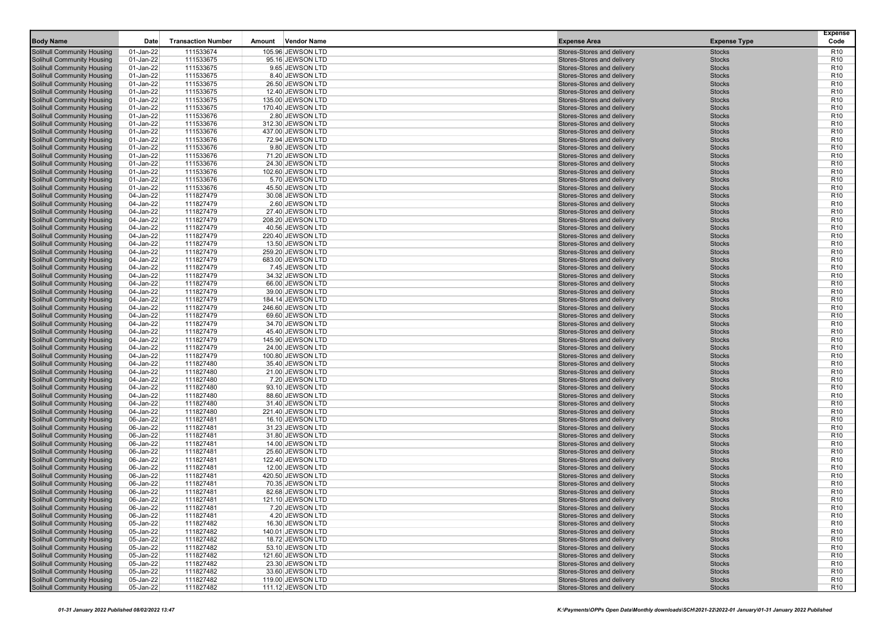| <b>Body Name</b>                                                | Date                   | <b>Transaction Number</b> | Amount | <b>Vendor Name</b>                   | <b>Expense Area</b>                                      | <b>Expense Type</b>            | <b>Expense</b><br>Code             |
|-----------------------------------------------------------------|------------------------|---------------------------|--------|--------------------------------------|----------------------------------------------------------|--------------------------------|------------------------------------|
| <b>Solihull Community Housing</b>                               | 01-Jan-22              | 111533674                 |        | 105.96 JEWSON LTD                    | Stores-Stores and delivery                               | <b>Stocks</b>                  | R <sub>10</sub>                    |
| <b>Solihull Community Housing</b>                               | 01-Jan-22              | 111533675                 |        | 95.16 JEWSON LTD                     | Stores-Stores and delivery                               | <b>Stocks</b>                  | R <sub>10</sub>                    |
| <b>Solihull Community Housing</b>                               | 01-Jan-22              | 111533675                 |        | 9.65 JEWSON LTD                      | Stores-Stores and delivery                               | <b>Stocks</b>                  | R <sub>10</sub>                    |
| <b>Solihull Community Housing</b>                               | 01-Jan-22              | 111533675                 |        | 8.40 JEWSON LTD                      | Stores-Stores and delivery                               | <b>Stocks</b>                  | R <sub>10</sub>                    |
| <b>Solihull Community Housing</b>                               | 01-Jan-22              | 111533675                 |        | 26.50 JEWSON LTD                     | Stores-Stores and delivery                               | <b>Stocks</b>                  | R <sub>10</sub>                    |
| Solihull Community Housing                                      | 01-Jan-22              | 111533675                 |        | 12.40 JEWSON LTD                     | Stores-Stores and delivery                               | <b>Stocks</b>                  | R <sub>10</sub>                    |
| <b>Solihull Community Housing</b>                               | 01-Jan-22              | 111533675                 |        | 135.00 JEWSON LTD                    | Stores-Stores and delivery                               | <b>Stocks</b>                  | R <sub>10</sub>                    |
| <b>Solihull Community Housing</b>                               | 01-Jan-22              | 111533675                 |        | 170.40 JEWSON LTD                    | Stores-Stores and delivery                               | <b>Stocks</b>                  | R <sub>10</sub>                    |
| <b>Solihull Community Housing</b>                               | 01-Jan-22              | 111533676                 |        | 2.80 JEWSON LTD                      | Stores-Stores and delivery                               | <b>Stocks</b>                  | R <sub>10</sub>                    |
| <b>Solihull Community Housing</b>                               | 01-Jan-22              | 111533676                 |        | 312.30 JEWSON LTD                    | Stores-Stores and delivery                               | <b>Stocks</b>                  | R <sub>10</sub>                    |
| <b>Solihull Community Housing</b>                               | 01-Jan-22              | 111533676                 |        | 437.00 JEWSON LTD                    | Stores-Stores and delivery                               | <b>Stocks</b>                  | R <sub>10</sub>                    |
| <b>Solihull Community Housing</b>                               | 01-Jan-22              | 111533676                 |        | 72.94 JEWSON LTD                     | Stores-Stores and delivery                               | <b>Stocks</b>                  | R <sub>10</sub>                    |
| <b>Solihull Community Housing</b>                               | 01-Jan-22              | 111533676                 |        | 9.80 JEWSON LTD                      | Stores-Stores and delivery                               | <b>Stocks</b>                  | R <sub>10</sub>                    |
| <b>Solihull Community Housing</b>                               | $01$ -Jan-22           | 111533676                 |        | 71.20 JEWSON LTD                     | Stores-Stores and delivery                               | <b>Stocks</b>                  | R <sub>10</sub>                    |
| <b>Solihull Community Housing</b>                               | 01-Jan-22              | 111533676                 |        | 24.30 JEWSON LTD                     | Stores-Stores and delivery                               | <b>Stocks</b>                  | R <sub>10</sub>                    |
| <b>Solihull Community Housing</b>                               | 01-Jan-22              | 111533676                 |        | 102.60 JEWSON LTD                    | Stores-Stores and delivery                               | <b>Stocks</b>                  | R <sub>10</sub>                    |
| <b>Solihull Community Housing</b>                               | 01-Jan-22              | 111533676                 |        | 5.70 JEWSON LTD                      | Stores-Stores and delivery                               | <b>Stocks</b>                  | R <sub>10</sub>                    |
| <b>Solihull Community Housing</b>                               | 01-Jan-22              | 111533676                 |        | 45.50 JEWSON LTD                     | Stores-Stores and delivery                               | <b>Stocks</b>                  | R <sub>10</sub>                    |
| <b>Solihull Community Housing</b>                               | 04-Jan-22              | 111827479                 |        | 30.08 JEWSON LTD                     | Stores-Stores and delivery                               | <b>Stocks</b>                  | R <sub>10</sub>                    |
| <b>Solihull Community Housing</b>                               | 04-Jan-22              | 111827479                 |        | 2.60 JEWSON LTD                      | Stores-Stores and delivery                               | <b>Stocks</b>                  | R <sub>10</sub>                    |
| <b>Solihull Community Housing</b>                               | 04-Jan-22              | 111827479                 |        | 27.40 JEWSON LTD                     | Stores-Stores and delivery                               | <b>Stocks</b>                  | R <sub>10</sub>                    |
| <b>Solihull Community Housing</b>                               | 04-Jan-22              | 111827479                 |        | 208.20 JEWSON LTD                    | Stores-Stores and delivery                               | <b>Stocks</b>                  | R <sub>10</sub>                    |
| <b>Solihull Community Housing</b>                               | 04-Jan-22              | 111827479                 |        | 40.56 JEWSON LTD                     | Stores-Stores and delivery                               | <b>Stocks</b>                  | R <sub>10</sub>                    |
| <b>Solihull Community Housing</b>                               | 04-Jan-22              | 111827479                 |        | 220.40 JEWSON LTD                    | Stores-Stores and delivery                               | <b>Stocks</b>                  | R <sub>10</sub>                    |
| <b>Solihull Community Housing</b>                               | 04-Jan-22              | 111827479                 |        | 13.50 JEWSON LTD                     | Stores-Stores and delivery                               | <b>Stocks</b>                  | R <sub>10</sub>                    |
| <b>Solihull Community Housing</b>                               | 04-Jan-22              | 111827479                 |        | 259.20 JEWSON LTD                    | Stores-Stores and delivery                               | <b>Stocks</b>                  | R <sub>10</sub>                    |
| <b>Solihull Community Housing</b>                               | 04-Jan-22              | 111827479                 |        | 683.00 JEWSON LTD                    | Stores-Stores and delivery                               | <b>Stocks</b>                  | R <sub>10</sub>                    |
| <b>Solihull Community Housing</b>                               | 04-Jan-22              | 111827479                 |        | 7.45 JEWSON LTD                      | Stores-Stores and delivery                               | <b>Stocks</b>                  | R <sub>10</sub><br>R <sub>10</sub> |
| <b>Solihull Community Housing</b><br>Solihull Community Housing | 04-Jan-22<br>04-Jan-22 | 111827479<br>111827479    |        | 34.32 JEWSON LTD<br>66.00 JEWSON LTD | Stores-Stores and delivery<br>Stores-Stores and delivery | <b>Stocks</b><br><b>Stocks</b> | R <sub>10</sub>                    |
| Solihull Community Housing                                      | 04-Jan-22              | 111827479                 |        | 39.00 JEWSON LTD                     | Stores-Stores and delivery                               | <b>Stocks</b>                  | R <sub>10</sub>                    |
| <b>Solihull Community Housing</b>                               | 04-Jan-22              | 111827479                 |        | 184.14 JEWSON LTD                    | Stores-Stores and delivery                               | <b>Stocks</b>                  | R <sub>10</sub>                    |
| Solihull Community Housing                                      | 04-Jan-22              | 111827479                 |        | 246.60 JEWSON LTD                    | Stores-Stores and delivery                               | <b>Stocks</b>                  | R <sub>10</sub>                    |
| <b>Solihull Community Housing</b>                               | 04-Jan-22              | 111827479                 |        | 69.60 JEWSON LTD                     | Stores-Stores and delivery                               | <b>Stocks</b>                  | R <sub>10</sub>                    |
| <b>Solihull Community Housing</b>                               | 04-Jan-22              | 111827479                 |        | 34.70 JEWSON LTD                     | Stores-Stores and delivery                               | <b>Stocks</b>                  | R <sub>10</sub>                    |
| <b>Solihull Community Housing</b>                               | 04-Jan-22              | 111827479                 |        | 45.40 JEWSON LTD                     | Stores-Stores and delivery                               | <b>Stocks</b>                  | R <sub>10</sub>                    |
| <b>Solihull Community Housing</b>                               | 04-Jan-22              | 111827479                 |        | 145.90 JEWSON LTD                    | Stores-Stores and delivery                               | <b>Stocks</b>                  | R <sub>10</sub>                    |
| <b>Solihull Community Housing</b>                               | 04-Jan-22              | 111827479                 |        | 24.00 JEWSON LTD                     | Stores-Stores and delivery                               | <b>Stocks</b>                  | R <sub>10</sub>                    |
| <b>Solihull Community Housing</b>                               | 04-Jan-22              | 111827479                 |        | 100.80 JEWSON LTD                    | Stores-Stores and delivery                               | <b>Stocks</b>                  | R <sub>10</sub>                    |
| <b>Solihull Community Housing</b>                               | 04-Jan-22              | 111827480                 |        | 35.40 JEWSON LTD                     | Stores-Stores and delivery                               | <b>Stocks</b>                  | R <sub>10</sub>                    |
| <b>Solihull Community Housing</b>                               | 04-Jan-22              | 111827480                 |        | 21.00 JEWSON LTD                     | Stores-Stores and delivery                               | <b>Stocks</b>                  | R <sub>10</sub>                    |
| <b>Solihull Community Housing</b>                               | 04-Jan-22              | 111827480                 |        | 7.20 JEWSON LTD                      | Stores-Stores and delivery                               | <b>Stocks</b>                  | R <sub>10</sub>                    |
| <b>Solihull Community Housing</b>                               | 04-Jan-22              | 111827480                 |        | 93.10 JEWSON LTD                     | Stores-Stores and delivery                               | <b>Stocks</b>                  | R <sub>10</sub>                    |
| <b>Solihull Community Housing</b>                               | 04-Jan-22              | 111827480                 |        | 88.60 JEWSON LTD                     | Stores-Stores and delivery                               | <b>Stocks</b>                  | R <sub>10</sub>                    |
| <b>Solihull Community Housing</b>                               | 04-Jan-22              | 111827480                 |        | 31.40 JEWSON LTD                     | Stores-Stores and delivery                               | <b>Stocks</b>                  | R <sub>10</sub>                    |
| <b>Solihull Community Housing</b>                               | 04-Jan-22              | 111827480                 |        | 221.40 JEWSON LTD                    | Stores-Stores and delivery                               | <b>Stocks</b>                  | R <sub>10</sub>                    |
| <b>Solihull Community Housing</b>                               | 06-Jan-22              | 111827481                 |        | 16.10 JEWSON LTD                     | Stores-Stores and delivery                               | <b>Stocks</b>                  | R <sub>10</sub>                    |
| <b>Solihull Community Housing</b>                               | 06-Jan-22              | 111827481                 |        | 31.23 JEWSON LTD                     | Stores-Stores and delivery                               | <b>Stocks</b>                  | R <sub>10</sub>                    |
| <b>Solihull Community Housing</b>                               | 06-Jan-22              | 111827481                 |        | 31.80 JEWSON LTD                     | Stores-Stores and delivery                               | <b>Stocks</b>                  | R <sub>10</sub>                    |
| Solihull Community Housing<br><b>Solihull Community Housing</b> | 06-Jan-22<br>06-Jan-22 | 111827481<br>111827481    |        | 14.00 JEWSON LTD<br>25.60 JEWSON LTD | Stores-Stores and delivery<br>Stores-Stores and delivery | <b>Stocks</b><br><b>Stocks</b> | R <sub>10</sub><br>R <sub>10</sub> |
| <b>Solihull Community Housing</b>                               | 06-Jan-22              | 111827481                 |        | 122.40 JEWSON LTD                    | Stores-Stores and delivery                               | <b>Stocks</b>                  | R <sub>10</sub>                    |
| <b>Solihull Community Housing</b>                               | 06-Jan-22              | 111827481                 |        | 12.00 JEWSON LTD                     | Stores-Stores and delivery                               | <b>Stocks</b>                  | R <sub>10</sub>                    |
| <b>Solihull Community Housing</b>                               | 06-Jan-22              | 111827481                 |        | 420.50 JEWSON LTD                    | Stores-Stores and delivery                               | <b>Stocks</b>                  | R <sub>10</sub>                    |
| Solihull Community Housing                                      | 06-Jan-22              | 111827481                 |        | 70.35 JEWSON LTD                     | Stores-Stores and delivery                               | <b>Stocks</b>                  | R <sub>10</sub>                    |
| <b>Solihull Community Housing</b>                               | 06-Jan-22              | 111827481                 |        | 82.68 JEWSON LTD                     | Stores-Stores and delivery                               | <b>Stocks</b>                  | R <sub>10</sub>                    |
| <b>Solihull Community Housing</b>                               | 06-Jan-22              | 111827481                 |        | 121.10 JEWSON LTD                    | Stores-Stores and delivery                               | <b>Stocks</b>                  | R <sub>10</sub>                    |
| <b>Solihull Community Housing</b>                               | 06-Jan-22              | 111827481                 |        | 7.20 JEWSON LTD                      | Stores-Stores and delivery                               | <b>Stocks</b>                  | R <sub>10</sub>                    |
| <b>Solihull Community Housing</b>                               | 06-Jan-22              | 111827481                 |        | 4.20 JEWSON LTD                      | Stores-Stores and delivery                               | <b>Stocks</b>                  | R <sub>10</sub>                    |
| <b>Solihull Community Housing</b>                               | 05-Jan-22              | 111827482                 |        | 16.30 JEWSON LTD                     | Stores-Stores and delivery                               | <b>Stocks</b>                  | R <sub>10</sub>                    |
| Solihull Community Housing                                      | 05-Jan-22              | 111827482                 |        | 140.01 JEWSON LTD                    | Stores-Stores and delivery                               | <b>Stocks</b>                  | R <sub>10</sub>                    |
| <b>Solihull Community Housing</b>                               | 05-Jan-22              | 111827482                 |        | 18.72 JEWSON LTD                     | Stores-Stores and delivery                               | <b>Stocks</b>                  | R <sub>10</sub>                    |
| <b>Solihull Community Housing</b>                               | 05-Jan-22              | 111827482                 |        | 53.10 JEWSON LTD                     | Stores-Stores and delivery                               | <b>Stocks</b>                  | R <sub>10</sub>                    |
| Solihull Community Housing                                      | 05-Jan-22              | 111827482                 |        | 121.60 JEWSON LTD                    | Stores-Stores and delivery                               | <b>Stocks</b>                  | R <sub>10</sub>                    |
| <b>Solihull Community Housing</b>                               | 05-Jan-22              | 111827482                 |        | 23.30 JEWSON LTD                     | Stores-Stores and delivery                               | <b>Stocks</b>                  | R <sub>10</sub>                    |
| <b>Solihull Community Housing</b>                               | 05-Jan-22              | 111827482                 |        | 33.60 JEWSON LTD                     | Stores-Stores and delivery                               | <b>Stocks</b>                  | R <sub>10</sub>                    |
| <b>Solihull Community Housing</b>                               | 05-Jan-22              | 111827482                 |        | 119.00 JEWSON LTD                    | Stores-Stores and delivery                               | <b>Stocks</b>                  | R <sub>10</sub>                    |
| Solihull Community Housing                                      | 05-Jan-22              | 111827482                 |        | 111.12 JEWSON LTD                    | Stores-Stores and delivery                               | Stocks                         | R <sub>10</sub>                    |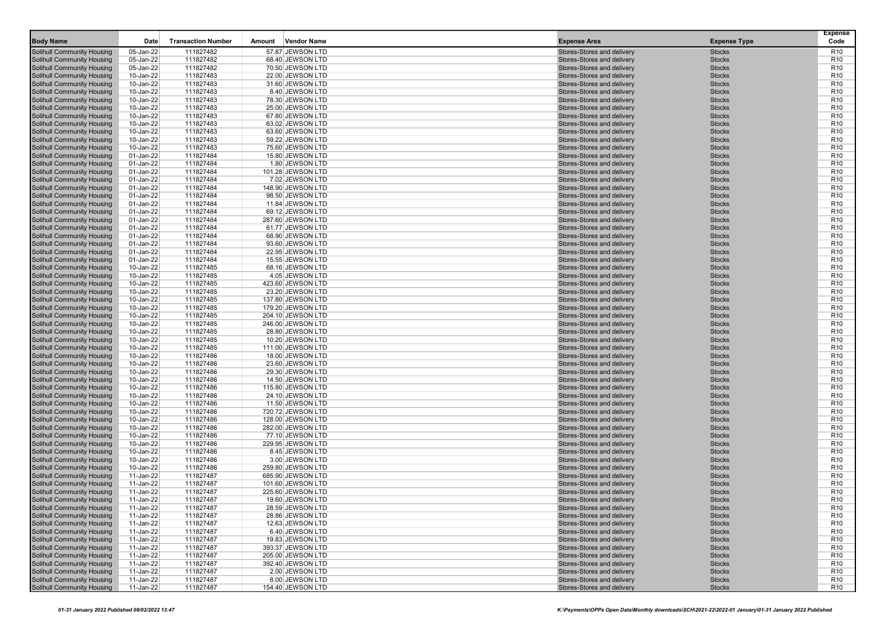| <b>Body Name</b>                                                       | Date                   | <b>Transaction Number</b> | Amount | <b>Vendor Name</b>                    | <b>Expense Area</b>                                      | <b>Expense Type</b>            | <b>Expense</b><br>Code             |
|------------------------------------------------------------------------|------------------------|---------------------------|--------|---------------------------------------|----------------------------------------------------------|--------------------------------|------------------------------------|
| <b>Solihull Community Housing</b>                                      | 05-Jan-22              | 111827482                 |        | 57.87 JEWSON LTD                      | Stores-Stores and delivery                               | <b>Stocks</b>                  | R <sub>10</sub>                    |
| <b>Solihull Community Housing</b>                                      | 05-Jan-22              | 111827482                 |        | 68.40 JEWSON LTD                      | Stores-Stores and delivery                               | <b>Stocks</b>                  | R <sub>10</sub>                    |
| <b>Solihull Community Housing</b>                                      | 05-Jan-22              | 111827482                 |        | 70.50 JEWSON LTD                      | Stores-Stores and delivery                               | <b>Stocks</b>                  | R <sub>10</sub>                    |
| <b>Solihull Community Housing</b>                                      | 10-Jan-22              | 111827483                 |        | 22.00 JEWSON LTD                      | Stores-Stores and delivery                               | <b>Stocks</b>                  | R <sub>10</sub>                    |
| <b>Solihull Community Housing</b>                                      | 10-Jan-22              | 111827483                 |        | 31.60 JEWSON LTD                      | Stores-Stores and delivery                               | <b>Stocks</b>                  | R <sub>10</sub>                    |
| <b>Solihull Community Housing</b>                                      | 10-Jan-22              | 111827483                 |        | 8.40 JEWSON LTD                       | Stores-Stores and delivery                               | <b>Stocks</b>                  | R <sub>10</sub>                    |
| Solihull Community Housing                                             | 10-Jan-22              | 111827483                 |        | 78.30 JEWSON LTD                      | Stores-Stores and delivery                               | <b>Stocks</b>                  | R <sub>10</sub>                    |
| <b>Solihull Community Housing</b>                                      | 10-Jan-22              | 111827483                 |        | 25.00 JEWSON LTD                      | Stores-Stores and delivery                               | <b>Stocks</b>                  | R <sub>10</sub>                    |
| <b>Solihull Community Housing</b>                                      | 10-Jan-22              | 111827483                 |        | 67.80 JEWSON LTD                      | Stores-Stores and delivery                               | <b>Stocks</b>                  | R <sub>10</sub>                    |
| <b>Solihull Community Housing</b>                                      | 10-Jan-22              | 111827483                 |        | 63.02 JEWSON LTD                      | Stores-Stores and delivery                               | <b>Stocks</b>                  | R <sub>10</sub>                    |
| <b>Solihull Community Housing</b>                                      | 10-Jan-22              | 111827483                 |        | 63.60 JEWSON LTD                      | Stores-Stores and delivery                               | <b>Stocks</b>                  | R <sub>10</sub>                    |
| <b>Solihull Community Housing</b>                                      | 10-Jan-22              | 111827483                 |        | 59.22 JEWSON LTD                      | Stores-Stores and delivery                               | <b>Stocks</b>                  | R <sub>10</sub>                    |
| <b>Solihull Community Housing</b>                                      | 10-Jan-22              | 111827483                 |        | 75.60 JEWSON LTD                      | Stores-Stores and delivery                               | <b>Stocks</b>                  | R <sub>10</sub>                    |
| <b>Solihull Community Housing</b>                                      | $01$ -Jan-22           | 111827484                 |        | 15.80 JEWSON LTD                      | Stores-Stores and delivery                               | <b>Stocks</b>                  | R <sub>10</sub>                    |
| <b>Solihull Community Housing</b>                                      | 01-Jan-22              | 111827484                 |        | 1.80 JEWSON LTD                       | Stores-Stores and delivery                               | <b>Stocks</b>                  | R <sub>10</sub>                    |
| <b>Solihull Community Housing</b>                                      | 01-Jan-22              | 111827484                 |        | 101.28 JEWSON LTD                     | Stores-Stores and delivery                               | <b>Stocks</b>                  | R <sub>10</sub>                    |
| <b>Solihull Community Housing</b>                                      | 01-Jan-22              | 111827484                 |        | 7.02 JEWSON LTD                       | Stores-Stores and delivery                               | <b>Stocks</b>                  | R <sub>10</sub>                    |
| <b>Solihull Community Housing</b>                                      | 01-Jan-22              | 111827484                 |        | 148.90 JEWSON LTD                     | Stores-Stores and delivery                               | <b>Stocks</b>                  | R <sub>10</sub>                    |
| <b>Solihull Community Housing</b>                                      | 01-Jan-22              | 111827484                 |        | 98.50 JEWSON LTD                      | Stores-Stores and delivery                               | <b>Stocks</b>                  | R <sub>10</sub>                    |
| <b>Solihull Community Housing</b>                                      | 01-Jan-22              | 111827484                 |        | 11.84 JEWSON LTD                      | Stores-Stores and delivery                               | <b>Stocks</b>                  | R <sub>10</sub>                    |
| <b>Solihull Community Housing</b>                                      | 01-Jan-22              | 111827484                 |        | 69.12 JEWSON LTD                      | Stores-Stores and delivery                               | <b>Stocks</b>                  | R <sub>10</sub>                    |
| <b>Solihull Community Housing</b>                                      | 01-Jan-22              | 111827484                 |        | 287.60 JEWSON LTD                     | Stores-Stores and delivery                               | <b>Stocks</b>                  | R <sub>10</sub>                    |
| <b>Solihull Community Housing</b>                                      | 01-Jan-22              | 111827484                 |        | 61.77 JEWSON LTD                      | Stores-Stores and delivery                               | <b>Stocks</b>                  | R <sub>10</sub>                    |
| <b>Solihull Community Housing</b>                                      | 01-Jan-22              | 111827484                 |        | 68.90 JEWSON LTD                      | Stores-Stores and delivery                               | <b>Stocks</b>                  | R <sub>10</sub>                    |
| <b>Solihull Community Housing</b>                                      | 01-Jan-22              | 111827484                 |        | 93.60 JEWSON LTD                      | Stores-Stores and delivery                               | <b>Stocks</b>                  | R <sub>10</sub>                    |
| <b>Solihull Community Housing</b>                                      | 01-Jan-22              | 111827484                 |        | 22.95 JEWSON LTD                      | Stores-Stores and delivery                               | <b>Stocks</b>                  | R <sub>10</sub>                    |
| Solihull Community Housing                                             | 01-Jan-22              | 111827484                 |        | 15.55 JEWSON LTD                      | Stores-Stores and delivery                               | <b>Stocks</b>                  | R <sub>10</sub>                    |
| <b>Solihull Community Housing</b>                                      | 10-Jan-22              | 111827485                 |        | 68.16 JEWSON LTD                      | Stores-Stores and delivery                               | <b>Stocks</b>                  | R <sub>10</sub>                    |
| <b>Solihull Community Housing</b><br>Solihull Community Housing        | 10-Jan-22<br>10-Jan-22 | 111827485<br>111827485    |        | 4.05 JEWSON LTD<br>423.60 JEWSON LTD  | Stores-Stores and delivery<br>Stores-Stores and delivery | <b>Stocks</b><br><b>Stocks</b> | R <sub>10</sub><br>R <sub>10</sub> |
| <b>Solihull Community Housing</b>                                      | 10-Jan-22              | 111827485                 |        |                                       | Stores-Stores and delivery                               | <b>Stocks</b>                  | R <sub>10</sub>                    |
| <b>Solihull Community Housing</b>                                      | 10-Jan-22              | 111827485                 |        | 23.20 JEWSON LTD<br>137.80 JEWSON LTD | Stores-Stores and delivery                               | <b>Stocks</b>                  | R <sub>10</sub>                    |
| <b>Solihull Community Housing</b>                                      | 10-Jan-22              | 111827485                 |        | 179.20 JEWSON LTD                     | Stores-Stores and delivery                               | <b>Stocks</b>                  | R <sub>10</sub>                    |
| <b>Solihull Community Housing</b>                                      | 10-Jan-22              | 111827485                 |        | 204.10 JEWSON LTD                     | Stores-Stores and delivery                               | <b>Stocks</b>                  | R <sub>10</sub>                    |
| <b>Solihull Community Housing</b>                                      | 10-Jan-22              | 111827485                 |        | 246.00 JEWSON LTD                     | Stores-Stores and delivery                               | <b>Stocks</b>                  | R <sub>10</sub>                    |
| <b>Solihull Community Housing</b>                                      | 10-Jan-22              | 111827485                 |        | 28.80 JEWSON LTD                      | Stores-Stores and delivery                               | <b>Stocks</b>                  | R <sub>10</sub>                    |
| <b>Solihull Community Housing</b>                                      | 10-Jan-22              | 111827485                 |        | 10.20 JEWSON LTD                      | Stores-Stores and delivery                               | <b>Stocks</b>                  | R <sub>10</sub>                    |
| <b>Solihull Community Housing</b>                                      | 10-Jan-22              | 111827485                 |        | 111.00 JEWSON LTD                     | Stores-Stores and delivery                               | <b>Stocks</b>                  | R <sub>10</sub>                    |
| <b>Solihull Community Housing</b>                                      | 10-Jan-22              | 111827486                 |        | 18.00 JEWSON LTD                      | Stores-Stores and delivery                               | <b>Stocks</b>                  | R <sub>10</sub>                    |
| <b>Solihull Community Housing</b>                                      | 10-Jan-22              | 111827486                 |        | 23.60 JEWSON LTD                      | Stores-Stores and delivery                               | <b>Stocks</b>                  | R <sub>10</sub>                    |
| <b>Solihull Community Housing</b>                                      | 10-Jan-22              | 111827486                 |        | 29.30 JEWSON LTD                      | Stores-Stores and delivery                               | <b>Stocks</b>                  | R <sub>10</sub>                    |
| <b>Solihull Community Housing</b>                                      | 10-Jan-22              | 111827486                 |        | 14.50 JEWSON LTD                      | Stores-Stores and delivery                               | <b>Stocks</b>                  | R <sub>10</sub>                    |
| <b>Solihull Community Housing</b>                                      | 10-Jan-22              | 111827486                 |        | 115.80 JEWSON LTD                     | Stores-Stores and delivery                               | <b>Stocks</b>                  | R <sub>10</sub>                    |
| <b>Solihull Community Housing</b>                                      | 10-Jan-22              | 111827486                 |        | 24.10 JEWSON LTD                      | Stores-Stores and delivery                               | <b>Stocks</b>                  | R <sub>10</sub>                    |
| <b>Solihull Community Housing</b>                                      | 10-Jan-22              | 111827486                 |        | 11.50 JEWSON LTD                      | Stores-Stores and delivery                               | <b>Stocks</b>                  | R <sub>10</sub>                    |
| <b>Solihull Community Housing</b>                                      | 10-Jan-22              | 111827486                 |        | 720.72 JEWSON LTD                     | Stores-Stores and delivery                               | <b>Stocks</b>                  | R <sub>10</sub>                    |
| <b>Solihull Community Housing</b>                                      | 10-Jan-22              | 111827486                 |        | 128.00 JEWSON LTD                     | Stores-Stores and delivery                               | <b>Stocks</b>                  | R <sub>10</sub>                    |
| <b>Solihull Community Housing</b>                                      | 10-Jan-22              | 111827486                 |        | 282.00 JEWSON LTD                     | Stores-Stores and delivery                               | <b>Stocks</b>                  | R <sub>10</sub>                    |
| <b>Solihull Community Housing</b>                                      | 10-Jan-22              | 111827486                 |        | 77.10 JEWSON LTD                      | Stores-Stores and delivery                               | <b>Stocks</b>                  | R <sub>10</sub>                    |
| <b>Solihull Community Housing</b>                                      | 10-Jan-22              | 111827486                 |        | 229.95 JEWSON LTD                     | Stores-Stores and delivery                               | <b>Stocks</b>                  | R <sub>10</sub>                    |
| <b>Solihull Community Housing</b>                                      | 10-Jan-22              | 111827486                 |        | 8.45 JEWSON LTD                       | Stores-Stores and delivery                               | <b>Stocks</b>                  | R <sub>10</sub>                    |
| <b>Solihull Community Housing</b>                                      | 10-Jan-22              | 111827486                 |        | 3.00 JEWSON LTD                       | Stores-Stores and delivery                               | <b>Stocks</b>                  | R <sub>10</sub>                    |
| <b>Solihull Community Housing</b>                                      | 10-Jan-22              | 111827486                 |        | 259.80 JEWSON LTD                     | Stores-Stores and delivery                               | <b>Stocks</b>                  | R <sub>10</sub>                    |
| <b>Solihull Community Housing</b>                                      | 11-Jan-22              | 111827487                 |        | 685.90 JEWSON LTD                     | Stores-Stores and delivery                               | <b>Stocks</b>                  | R <sub>10</sub>                    |
| Solihull Community Housing                                             | 11-Jan-22              | 111827487                 |        | 101.60 JEWSON LTD                     | Stores-Stores and delivery                               | <b>Stocks</b>                  | R <sub>10</sub>                    |
| <b>Solihull Community Housing</b>                                      | 11-Jan-22<br>11-Jan-22 | 111827487<br>111827487    |        | 225.60 JEWSON LTD                     | Stores-Stores and delivery<br>Stores-Stores and delivery | <b>Stocks</b><br><b>Stocks</b> | R <sub>10</sub><br>R <sub>10</sub> |
| <b>Solihull Community Housing</b><br><b>Solihull Community Housing</b> |                        | 111827487                 |        | 19.60 JEWSON LTD                      |                                                          | <b>Stocks</b>                  | R <sub>10</sub>                    |
| <b>Solihull Community Housing</b>                                      | 11-Jan-22<br>11-Jan-22 | 111827487                 |        | 28.59 JEWSON LTD<br>28.86 JEWSON LTD  | Stores-Stores and delivery<br>Stores-Stores and delivery | <b>Stocks</b>                  | R <sub>10</sub>                    |
| <b>Solihull Community Housing</b>                                      | 11-Jan-22              | 111827487                 |        | 12.63 JEWSON LTD                      | Stores-Stores and delivery                               | <b>Stocks</b>                  | R <sub>10</sub>                    |
| Solihull Community Housing                                             | 11-Jan-22              | 111827487                 |        | 6.40 JEWSON LTD                       | Stores-Stores and delivery                               | <b>Stocks</b>                  | R <sub>10</sub>                    |
| <b>Solihull Community Housing</b>                                      | 11-Jan-22              | 111827487                 |        | 19.83 JEWSON LTD                      | Stores-Stores and delivery                               | <b>Stocks</b>                  | R <sub>10</sub>                    |
| <b>Solihull Community Housing</b>                                      | 11-Jan-22              | 111827487                 |        | 393.37 JEWSON LTD                     | Stores-Stores and delivery                               | <b>Stocks</b>                  | R <sub>10</sub>                    |
| <b>Solihull Community Housing</b>                                      | 11-Jan-22              | 111827487                 |        | 205.00 JEWSON LTD                     | Stores-Stores and delivery                               | <b>Stocks</b>                  | R <sub>10</sub>                    |
| <b>Solihull Community Housing</b>                                      | 11-Jan-22              | 111827487                 |        | 392.40 JEWSON LTD                     | Stores-Stores and delivery                               | <b>Stocks</b>                  | R <sub>10</sub>                    |
| <b>Solihull Community Housing</b>                                      | 11-Jan-22              | 111827487                 |        | 2.00 JEWSON LTD                       | Stores-Stores and delivery                               | <b>Stocks</b>                  | R <sub>10</sub>                    |
| <b>Solihull Community Housing</b>                                      | 11-Jan-22              | 111827487                 |        | 8.00 JEWSON LTD                       | Stores-Stores and delivery                               | <b>Stocks</b>                  | R <sub>10</sub>                    |
| Solihull Community Housing                                             | 11-Jan-22              | 111827487                 |        | 154.40 JEWSON LTD                     | Stores-Stores and delivery                               | Stocks                         | R <sub>10</sub>                    |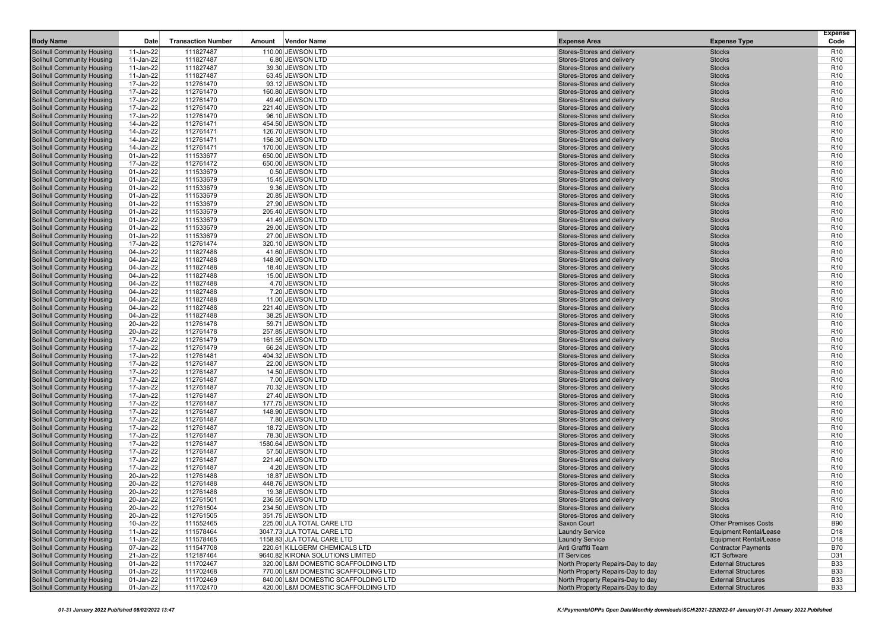| <b>Body Name</b>                                                       | Date                   | <b>Transaction Number</b> | Amount | <b>Vendor Name</b>                     | <b>Expense Area</b>                                      | <b>Expense Type</b>            | <b>Expense</b><br>Code             |
|------------------------------------------------------------------------|------------------------|---------------------------|--------|----------------------------------------|----------------------------------------------------------|--------------------------------|------------------------------------|
| <b>Solihull Community Housing</b>                                      | 11-Jan-22              | 111827487                 |        | 110.00 JEWSON LTD                      | Stores-Stores and delivery                               | <b>Stocks</b>                  | R <sub>10</sub>                    |
| <b>Solihull Community Housing</b>                                      | 11-Jan-22              | 111827487                 |        | 6.80 JEWSON LTD                        | Stores-Stores and delivery                               | <b>Stocks</b>                  | R <sub>10</sub>                    |
| <b>Solihull Community Housing</b>                                      | 11-Jan-22              | 111827487                 |        | 39.30 JEWSON LTD                       | Stores-Stores and delivery                               | <b>Stocks</b>                  | R <sub>10</sub>                    |
| <b>Solihull Community Housing</b>                                      | 11-Jan-22              | 111827487                 |        | 63.45 JEWSON LTD                       | Stores-Stores and delivery                               | <b>Stocks</b>                  | R <sub>10</sub>                    |
| Solihull Community Housing                                             | 17-Jan-22              | 112761470                 |        | 93.12 JEWSON LTD                       | Stores-Stores and delivery                               | <b>Stocks</b>                  | R <sub>10</sub>                    |
| <b>Solihull Community Housing</b>                                      | 17-Jan-22              | 112761470                 |        | 160.80 JEWSON LTD                      | Stores-Stores and delivery                               | <b>Stocks</b>                  | R <sub>10</sub>                    |
| Solihull Community Housing                                             | 17-Jan-22              | 112761470                 |        | 49.40 JEWSON LTD                       | Stores-Stores and delivery                               | <b>Stocks</b>                  | R <sub>10</sub>                    |
| <b>Solihull Community Housing</b>                                      | 17-Jan-22              | 112761470                 |        | 221.40 JEWSON LTD                      | Stores-Stores and delivery                               | <b>Stocks</b>                  | R <sub>10</sub>                    |
| <b>Solihull Community Housing</b>                                      | 17-Jan-22              | 112761470                 |        | 96.10 JEWSON LTD                       | Stores-Stores and delivery                               | <b>Stocks</b>                  | R <sub>10</sub>                    |
| <b>Solihull Community Housing</b>                                      | 14-Jan-22              | 112761471                 |        | 454.50 JEWSON LTD                      | Stores-Stores and delivery                               | <b>Stocks</b>                  | R <sub>10</sub>                    |
| <b>Solihull Community Housing</b>                                      | 14-Jan-22              | 112761471                 |        | 126.70 JEWSON LTD                      | Stores-Stores and delivery<br>Stores-Stores and delivery | <b>Stocks</b>                  | R <sub>10</sub>                    |
| <b>Solihull Community Housing</b>                                      | 14-Jan-22              | 112761471<br>112761471    |        | 156.30 JEWSON LTD                      |                                                          | <b>Stocks</b>                  | R <sub>10</sub><br>R <sub>10</sub> |
| <b>Solihull Community Housing</b><br><b>Solihull Community Housing</b> | 14-Jan-22<br>01-Jan-22 | 111533677                 |        | 170.00 JEWSON LTD<br>650.00 JEWSON LTD | Stores-Stores and delivery<br>Stores-Stores and delivery | <b>Stocks</b><br><b>Stocks</b> | R <sub>10</sub>                    |
| Solihull Community Housing                                             | 17-Jan-22              | 112761472                 |        | 650.00 JEWSON LTD                      | Stores-Stores and delivery                               | <b>Stocks</b>                  | R <sub>10</sub>                    |
| <b>Solihull Community Housing</b>                                      | 01-Jan-22              | 111533679                 |        | 0.50 JEWSON LTD                        | Stores-Stores and delivery                               | <b>Stocks</b>                  | R <sub>10</sub>                    |
| <b>Solihull Community Housing</b>                                      | 01-Jan-22              | 111533679                 |        | 15.45 JEWSON LTD                       | Stores-Stores and delivery                               | <b>Stocks</b>                  | R <sub>10</sub>                    |
| <b>Solihull Community Housing</b>                                      | 01-Jan-22              | 111533679                 |        | 9.36 JEWSON LTD                        | Stores-Stores and delivery                               | <b>Stocks</b>                  | R <sub>10</sub>                    |
| <b>Solihull Community Housing</b>                                      | 01-Jan-22              | 111533679                 |        | 20.85 JEWSON LTD                       | Stores-Stores and delivery                               | <b>Stocks</b>                  | R <sub>10</sub>                    |
| <b>Solihull Community Housing</b>                                      | 01-Jan-22              | 111533679                 |        | 27.90 JEWSON LTD                       | Stores-Stores and delivery                               | <b>Stocks</b>                  | R <sub>10</sub>                    |
| <b>Solihull Community Housing</b>                                      | 01-Jan-22              | 111533679                 |        | 205.40 JEWSON LTD                      | Stores-Stores and delivery                               | <b>Stocks</b>                  | R <sub>10</sub>                    |
| <b>Solihull Community Housing</b>                                      | 01-Jan-22              | 111533679                 |        | 41.49 JEWSON LTD                       | Stores-Stores and delivery                               | <b>Stocks</b>                  | R <sub>10</sub>                    |
| <b>Solihull Community Housing</b>                                      | 01-Jan-22              | 111533679                 |        | 29.00 JEWSON LTD                       | Stores-Stores and delivery                               | <b>Stocks</b>                  | R <sub>10</sub>                    |
| <b>Solihull Community Housing</b>                                      | 01-Jan-22              | 111533679                 |        | 27.00 JEWSON LTD                       | Stores-Stores and delivery                               | <b>Stocks</b>                  | R <sub>10</sub>                    |
| <b>Solihull Community Housing</b>                                      | 17-Jan-22              | 112761474                 |        | 320.10 JEWSON LTD                      | Stores-Stores and delivery                               | <b>Stocks</b>                  | R <sub>10</sub>                    |
| <b>Solihull Community Housing</b>                                      | 04-Jan-22              | 111827488                 |        | 41.60 JEWSON LTD                       | Stores-Stores and delivery                               | <b>Stocks</b>                  | R <sub>10</sub>                    |
| <b>Solihull Community Housing</b>                                      | 04-Jan-22              | 111827488                 |        | 148.90 JEWSON LTD                      | Stores-Stores and delivery                               | <b>Stocks</b>                  | R <sub>10</sub>                    |
| <b>Solihull Community Housing</b>                                      | 04-Jan-22              | 111827488                 |        | 18.40 JEWSON LTD                       | Stores-Stores and delivery                               | <b>Stocks</b>                  | R <sub>10</sub>                    |
| <b>Solihull Community Housing</b>                                      | 04-Jan-22              | 111827488                 |        | 15.00 JEWSON LTD                       | Stores-Stores and delivery                               | <b>Stocks</b>                  | R <sub>10</sub>                    |
| <b>Solihull Community Housing</b>                                      | 04-Jan-22              | 111827488                 |        | 4.70 JEWSON LTD                        | Stores-Stores and delivery                               | <b>Stocks</b>                  | R <sub>10</sub>                    |
| Solihull Community Housing                                             | 04-Jan-22              | 111827488                 |        | 7.20 JEWSON LTD                        | Stores-Stores and delivery                               | <b>Stocks</b>                  | R <sub>10</sub>                    |
| <b>Solihull Community Housing</b>                                      | 04-Jan-22              | 111827488                 |        | 11.00 JEWSON LTD                       | Stores-Stores and delivery                               | <b>Stocks</b>                  | R <sub>10</sub>                    |
| Solihull Community Housing                                             | 04-Jan-22              | 111827488                 |        | 221.40 JEWSON LTD                      | Stores-Stores and delivery                               | <b>Stocks</b>                  | R <sub>10</sub>                    |
| <b>Solihull Community Housing</b>                                      | 04-Jan-22              | 111827488<br>112761478    |        | 38.25 JEWSON LTD                       | Stores-Stores and delivery                               | <b>Stocks</b>                  | R <sub>10</sub><br>R <sub>10</sub> |
| <b>Solihull Community Housing</b><br>Solihull Community Housing        | 20-Jan-22<br>20-Jan-22 | 112761478                 |        | 59.71 JEWSON LTD<br>257.85 JEWSON LTD  | Stores-Stores and delivery<br>Stores-Stores and delivery | <b>Stocks</b><br><b>Stocks</b> | R <sub>10</sub>                    |
| Solihull Community Housing                                             | 17-Jan-22              | 112761479                 |        | 161.55 JEWSON LTD                      | Stores-Stores and delivery                               | <b>Stocks</b>                  | R <sub>10</sub>                    |
| Solihull Community Housing                                             | 17-Jan-22              | 112761479                 |        | 66.24 JEWSON LTD                       | Stores-Stores and delivery                               | <b>Stocks</b>                  | R <sub>10</sub>                    |
| <b>Solihull Community Housing</b>                                      | 17-Jan-22              | 112761481                 |        | 404.32 JEWSON LTD                      | Stores-Stores and delivery                               | <b>Stocks</b>                  | R <sub>10</sub>                    |
| <b>Solihull Community Housing</b>                                      | 17-Jan-22              | 112761487                 |        | 22.00 JEWSON LTD                       | Stores-Stores and delivery                               | <b>Stocks</b>                  | R <sub>10</sub>                    |
| <b>Solihull Community Housing</b>                                      | 17-Jan-22              | 112761487                 |        | 14.50 JEWSON LTD                       | Stores-Stores and delivery                               | <b>Stocks</b>                  | R <sub>10</sub>                    |
| <b>Solihull Community Housing</b>                                      | 17-Jan-22              | 112761487                 |        | 7.00 JEWSON LTD                        | Stores-Stores and delivery                               | <b>Stocks</b>                  | R <sub>10</sub>                    |
| <b>Solihull Community Housing</b>                                      | 17-Jan-22              | 112761487                 |        | 70.32 JEWSON LTD                       | Stores-Stores and delivery                               | <b>Stocks</b>                  | R <sub>10</sub>                    |
| <b>Solihull Community Housing</b>                                      | 17-Jan-22              | 112761487                 |        | 27.40 JEWSON LTD                       | Stores-Stores and delivery                               | <b>Stocks</b>                  | R <sub>10</sub>                    |
| <b>Solihull Community Housing</b>                                      | 17-Jan-22              | 112761487                 |        | 177.75 JEWSON LTD                      | Stores-Stores and delivery                               | <b>Stocks</b>                  | R <sub>10</sub>                    |
| <b>Solihull Community Housing</b>                                      | 17-Jan-22              | 112761487                 |        | 148.90 JEWSON LTD                      | Stores-Stores and delivery                               | <b>Stocks</b>                  | R <sub>10</sub>                    |
| <b>Solihull Community Housing</b>                                      | 17-Jan-22              | 112761487                 |        | 7.80 JEWSON LTD                        | Stores-Stores and delivery                               | <b>Stocks</b>                  | R <sub>10</sub>                    |
| <b>Solihull Community Housing</b>                                      | 17-Jan-22              | 112761487                 |        | 18.72 JEWSON LTD                       | Stores-Stores and delivery                               | <b>Stocks</b>                  | R <sub>10</sub>                    |
| <b>Solihull Community Housing</b>                                      | 17-Jan-22              | 112761487                 |        | 78.30 JEWSON LTD                       | Stores-Stores and delivery                               | <b>Stocks</b>                  | R <sub>10</sub>                    |
| <b>Solihull Community Housing</b>                                      | 17-Jan-22              | 112761487                 |        | 1580.64 JEWSON LTD                     | Stores-Stores and delivery                               | <b>Stocks</b>                  | R <sub>10</sub>                    |
| <b>Solihull Community Housing</b>                                      | 17-Jan-22              | 112761487                 |        | 57.50 JEWSON LTD                       | Stores-Stores and delivery                               | <b>Stocks</b>                  | R <sub>10</sub>                    |
| <b>Solihull Community Housing</b>                                      | 17-Jan-22              | 112761487                 |        | 221.40 JEWSON LTD                      | Stores-Stores and delivery                               | <b>Stocks</b>                  | R <sub>10</sub>                    |
| <b>Solihull Community Housing</b>                                      | 17-Jan-22              | 112761487                 |        | 4.20 JEWSON LTD                        | Stores-Stores and delivery                               | <b>Stocks</b>                  | R <sub>10</sub>                    |
| <b>Solihull Community Housing</b>                                      | 20-Jan-22              | 112761488                 |        | 18.87 JEWSON LTD                       | Stores-Stores and delivery                               | <b>Stocks</b>                  | R <sub>10</sub>                    |
| Solihull Community Housing                                             | 20-Jan-22              | 112761488                 |        | 448.76 JEWSON LTD                      | Stores-Stores and delivery                               | <b>Stocks</b>                  | R <sub>10</sub>                    |
| Solihull Community Housing<br><b>Solihull Community Housing</b>        | 20-Jan-22<br>20-Jan-22 | 112761488<br>112761501    |        | 19.38 JEWSON LTD<br>236.55 JEWSON LTD  | Stores-Stores and delivery<br>Stores-Stores and delivery | <b>Stocks</b><br><b>Stocks</b> | R <sub>10</sub><br>R <sub>10</sub> |
| <b>Solihull Community Housing</b>                                      | 20-Jan-22              | 112761504                 |        | 234.50 JEWSON LTD                      | Stores-Stores and delivery                               | <b>Stocks</b>                  | R <sub>10</sub>                    |
| Solihull Community Housing                                             | 20-Jan-22              | 112761505                 |        | 351.75 JEWSON LTD                      | Stores-Stores and delivery                               | <b>Stocks</b>                  | R <sub>10</sub>                    |
| Solihull Community Housing                                             | 10-Jan-22              | 111552465                 |        | 225.00 JLA TOTAL CARE LTD              | Saxon Court                                              | <b>Other Premises Costs</b>    | <b>B90</b>                         |
| <b>Solihull Community Housing</b>                                      | 11-Jan-22              | 111578464                 |        | 3047.73 JLA TOTAL CARE LTD             | <b>Laundry Service</b>                                   | <b>Equipment Rental/Lease</b>  | D <sub>18</sub>                    |
| <b>Solihull Community Housing</b>                                      | 11-Jan-22              | 111578465                 |        | 1158.83 JLA TOTAL CARE LTD             | <b>Laundry Service</b>                                   | <b>Equipment Rental/Lease</b>  | D <sub>18</sub>                    |
| Solihull Community Housing                                             | 07-Jan-22              | 111547708                 |        | 220.61 KILLGERM CHEMICALS LTD          | Anti Graffiti Team                                       | <b>Contractor Payments</b>     | B70                                |
| <b>Solihull Community Housing</b>                                      | 21-Jan-22              | 112187464                 |        | 9640.82 KIRONA SOLUTIONS LIMITED       | <b>IT Services</b>                                       | <b>ICT Software</b>            | D31                                |
| Solihull Community Housing                                             | 01-Jan-22              | 111702467                 |        | 320.00 L&M DOMESTIC SCAFFOLDING LTD    | North Property Repairs-Day to day                        | <b>External Structures</b>     | <b>B33</b>                         |
| <b>Solihull Community Housing</b>                                      | 01-Jan-22              | 111702468                 |        | 770.00 L&M DOMESTIC SCAFFOLDING LTD    | North Property Repairs-Day to day                        | <b>External Structures</b>     | <b>B33</b>                         |
| <b>Solihull Community Housing</b>                                      | 01-Jan-22              | 111702469                 |        | 840.00 L&M DOMESTIC SCAFFOLDING LTD    | North Property Repairs-Day to day                        | <b>External Structures</b>     | <b>B33</b>                         |
| Solihull Community Housing                                             | 01-Jan-22              | 111702470                 |        | 420.00 L&M DOMESTIC SCAFFOLDING LTD    | North Property Repairs-Day to day                        | <b>External Structures</b>     | <b>B33</b>                         |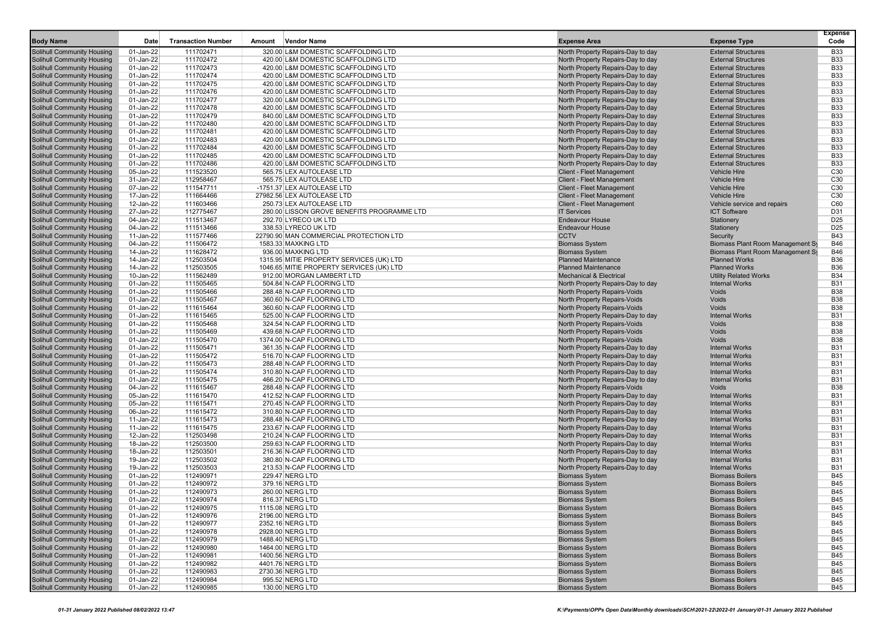| <b>Body Name</b>                                                       | Date                   | <b>Transaction Number</b> | <b>Vendor Name</b><br>Amount                                               | <b>Expense Area</b>                                                     | <b>Expense Type</b>                                      | <b>Expense</b><br>Code   |
|------------------------------------------------------------------------|------------------------|---------------------------|----------------------------------------------------------------------------|-------------------------------------------------------------------------|----------------------------------------------------------|--------------------------|
| <b>Solihull Community Housing</b>                                      | 01-Jan-22              | 111702471                 | 320.00 L&M DOMESTIC SCAFFOLDING LTD                                        | North Property Repairs-Day to day                                       | <b>External Structures</b>                               | <b>B33</b>               |
| Solihull Community Housing                                             | 01-Jan-22              | 111702472                 | 420.00 L&M DOMESTIC SCAFFOLDING LTD                                        | North Property Repairs-Day to day                                       | <b>External Structures</b>                               | <b>B33</b>               |
| <b>Solihull Community Housing</b>                                      | 01-Jan-22              | 111702473                 | 420.00 L&M DOMESTIC SCAFFOLDING LTD                                        | North Property Repairs-Day to day                                       | <b>External Structures</b>                               | <b>B33</b>               |
| <b>Solihull Community Housing</b>                                      | 01-Jan-22              | 111702474                 | 420.00 L&M DOMESTIC SCAFFOLDING LTD                                        | North Property Repairs-Day to day                                       | <b>External Structures</b>                               | <b>B33</b>               |
| <b>Solihull Community Housing</b>                                      | 01-Jan-22              | 111702475                 | 420.00 L&M DOMESTIC SCAFFOLDING LTD                                        | North Property Repairs-Day to day                                       | <b>External Structures</b>                               | <b>B33</b>               |
| <b>Solihull Community Housing</b>                                      | 01-Jan-22              | 111702476                 | 420.00 L&M DOMESTIC SCAFFOLDING LTD                                        | North Property Repairs-Day to day                                       | <b>External Structures</b>                               | <b>B33</b>               |
| Solihull Community Housing                                             | 01-Jan-22              | 111702477                 | 320.00 L&M DOMESTIC SCAFFOLDING LTD                                        | North Property Repairs-Day to day                                       | <b>External Structures</b>                               | <b>B33</b>               |
| <b>Solihull Community Housing</b>                                      | 01-Jan-22              | 111702478<br>111702479    | 420.00 L&M DOMESTIC SCAFFOLDING LTD                                        | North Property Repairs-Day to day                                       | <b>External Structures</b><br><b>External Structures</b> | <b>B33</b><br><b>B33</b> |
| <b>Solihull Community Housing</b><br><b>Solihull Community Housing</b> | 01-Jan-22<br>01-Jan-22 | 111702480                 | 840.00 L&M DOMESTIC SCAFFOLDING LTD<br>420.00 L&M DOMESTIC SCAFFOLDING LTD | North Property Repairs-Day to day<br>North Property Repairs-Day to day  | <b>External Structures</b>                               | <b>B33</b>               |
| Solihull Community Housing                                             | 01-Jan-22              | 111702481                 | 420.00 L&M DOMESTIC SCAFFOLDING LTD                                        | North Property Repairs-Day to day                                       | <b>External Structures</b>                               | <b>B33</b>               |
| <b>Solihull Community Housing</b>                                      | 01-Jan-22              | 111702483                 | 420.00 L&M DOMESTIC SCAFFOLDING LTD                                        | North Property Repairs-Day to day                                       | <b>External Structures</b>                               | <b>B33</b>               |
| <b>Solihull Community Housing</b>                                      | 01-Jan-22              | 111702484                 | 420.00 L&M DOMESTIC SCAFFOLDING LTD                                        | North Property Repairs-Day to day                                       | <b>External Structures</b>                               | <b>B33</b>               |
| <b>Solihull Community Housing</b>                                      | 01-Jan-22              | 111702485                 | 420.00 L&M DOMESTIC SCAFFOLDING LTD                                        | North Property Repairs-Day to day                                       | <b>External Structures</b>                               | <b>B33</b>               |
| Solihull Community Housing                                             | 01-Jan-22              | 111702486                 | 420.00 L&M DOMESTIC SCAFFOLDING LTD                                        | North Property Repairs-Day to day                                       | <b>External Structures</b>                               | <b>B33</b>               |
| <b>Solihull Community Housing</b>                                      | 05-Jan-22              | 111523520                 | 565.75 LEX AUTOLEASE LTD                                                   | <b>Client - Fleet Management</b>                                        | <b>Vehicle Hire</b>                                      | C30                      |
| <b>Solihull Community Housing</b>                                      | 31-Jan-22              | 112958467                 | 565.75 LEX AUTOLEASE LTD                                                   | <b>Client - Fleet Management</b>                                        | <b>Vehicle Hire</b>                                      | C30                      |
| Solihull Community Housing                                             | 07-Jan-22              | 111547711                 | -1751.37 LEX AUTOLEASE LTD                                                 | <b>Client - Fleet Management</b>                                        | <b>Vehicle Hire</b>                                      | C30                      |
| Solihull Community Housing                                             | 17-Jan-22              | 111664466                 | 27982.56 LEX AUTOLEASE LTD                                                 | <b>Client - Fleet Management</b>                                        | <b>Vehicle Hire</b>                                      | C30                      |
| Solihull Community Housing                                             | 12-Jan-22              | 111603466                 | 250.73 LEX AUTOLEASE LTD                                                   | <b>Client - Fleet Management</b>                                        | Vehicle service and repairs                              | C60                      |
| <b>Solihull Community Housing</b>                                      | 27-Jan-22              | 112775467                 | 280.00 LISSON GROVE BENEFITS PROGRAMME LTD                                 | <b>IT Services</b>                                                      | <b>ICT Software</b>                                      | D31                      |
| Solihull Community Housing                                             | 04-Jan-22              | 111513467                 | 292.70 LYRECO UK LTD                                                       | <b>Endeavour House</b>                                                  | Stationery                                               | D <sub>25</sub>          |
| <b>Solihull Community Housing</b>                                      | 04-Jan-22              | 111513466                 | 338.53 LYRECO UK LTD                                                       | <b>Endeavour House</b>                                                  | Stationery                                               | D <sub>25</sub>          |
| <b>Solihull Community Housing</b>                                      | 11-Jan-22              | 111577466                 | 22790.90 MAN COMMERCIAL PROTECTION LTD                                     | <b>CCTV</b>                                                             | Security                                                 | <b>B43</b>               |
| <b>Solihull Community Housing</b>                                      | 04-Jan-22              | 111506472                 | 1583.33 MAXKING LTD                                                        | <b>Biomass System</b>                                                   | Biomass Plant Room Management Sy                         | <b>B46</b>               |
| <b>Solihull Community Housing</b>                                      | 14-Jan-22              | 111628472                 | 936.00 MAXKING LTD                                                         | <b>Biomass System</b>                                                   | Biomass Plant Room Management Sy                         | <b>B46</b>               |
| <b>Solihull Community Housing</b>                                      | 14-Jan-22              | 112503504                 | 1315.95 MITIE PROPERTY SERVICES (UK) LTD                                   | <b>Planned Maintenance</b>                                              | <b>Planned Works</b>                                     | <b>B36</b>               |
| <b>Solihull Community Housing</b>                                      | 14-Jan-22              | 112503505                 | 1046.65 MITIE PROPERTY SERVICES (UK) LTD                                   | <b>Planned Maintenance</b>                                              | <b>Planned Works</b>                                     | <b>B36</b><br><b>B34</b> |
| <b>Solihull Community Housing</b><br><b>Solihull Community Housing</b> | 10-Jan-22<br>01-Jan-22 | 111562489<br>111505465    | 912.00 MORGAN LAMBERT LTD<br>504.84 N-CAP FLOORING LTD                     | <b>Mechanical &amp; Electrical</b><br>North Property Repairs-Day to day | <b>Utility Related Works</b><br><b>Internal Works</b>    | <b>B31</b>               |
| <b>Solihull Community Housing</b>                                      | 01-Jan-22              | 111505466                 | 288.48 N-CAP FLOORING LTD                                                  | North Property Repairs-Voids                                            | Voids                                                    | <b>B38</b>               |
| <b>Solihull Community Housing</b>                                      | 01-Jan-22              | 111505467                 | 360.60 N-CAP FLOORING LTD                                                  | North Property Repairs-Voids                                            | Voids                                                    | <b>B38</b>               |
| <b>Solihull Community Housing</b>                                      | 01-Jan-22              | 111615464                 | 360.60 N-CAP FLOORING LTD                                                  | North Property Repairs-Voids                                            | Voids                                                    | <b>B38</b>               |
| Solihull Community Housing                                             | 01-Jan-22              | 111615465                 | 525.00 N-CAP FLOORING LTD                                                  | North Property Repairs-Day to day                                       | <b>Internal Works</b>                                    | <b>B31</b>               |
| <b>Solihull Community Housing</b>                                      | 01-Jan-22              | 111505468                 | 324.54 N-CAP FLOORING LTD                                                  | North Property Repairs-Voids                                            | Voids                                                    | <b>B38</b>               |
| <b>Solihull Community Housing</b>                                      | 01-Jan-22              | 111505469                 | 439.68 N-CAP FLOORING LTD                                                  | North Property Repairs-Voids                                            | Voids                                                    | <b>B38</b>               |
| <b>Solihull Community Housing</b>                                      | 01-Jan-22              | 111505470                 | 1374.00 N-CAP FLOORING LTD                                                 | North Property Repairs-Voids                                            | Voids                                                    | <b>B38</b>               |
| <b>Solihull Community Housing</b>                                      | 01-Jan-22              | 111505471                 | 361.35 N-CAP FLOORING LTD                                                  | North Property Repairs-Day to day                                       | <b>Internal Works</b>                                    | <b>B31</b>               |
| <b>Solihull Community Housing</b>                                      | 01-Jan-22              | 111505472                 | 516.70 N-CAP FLOORING LTD                                                  | North Property Repairs-Day to day                                       | <b>Internal Works</b>                                    | <b>B31</b>               |
| <b>Solihull Community Housing</b>                                      | 01-Jan-22              | 111505473                 | 288.48 N-CAP FLOORING LTD                                                  | North Property Repairs-Day to day                                       | <b>Internal Works</b>                                    | <b>B31</b>               |
| Solihull Community Housing                                             | 01-Jan-22              | 111505474                 | 310.80 N-CAP FLOORING LTD                                                  | North Property Repairs-Day to day                                       | <b>Internal Works</b>                                    | <b>B31</b>               |
| Solihull Community Housing                                             | 01-Jan-22              | 111505475                 | 466.20 N-CAP FLOORING LTD                                                  | North Property Repairs-Day to day                                       | <b>Internal Works</b>                                    | <b>B31</b>               |
| Solihull Community Housing                                             | 04-Jan-22              | 111615467                 | 288.48 N-CAP FLOORING LTD                                                  | North Property Repairs-Voids                                            | Voids                                                    | <b>B38</b>               |
| <b>Solihull Community Housing</b>                                      | 05-Jan-22              | 111615470                 | 412.52 N-CAP FLOORING LTD                                                  | North Property Repairs-Day to day                                       | <b>Internal Works</b>                                    | <b>B31</b>               |
| Solihull Community Housing                                             | 05-Jan-22              | 111615471                 | 270.45 N-CAP FLOORING LTD                                                  | North Property Repairs-Day to day                                       | <b>Internal Works</b>                                    | <b>B31</b><br><b>B31</b> |
| <b>Solihull Community Housing</b>                                      | 06-Jan-22<br>11-Jan-22 | 111615472<br>111615473    | 310.80 N-CAP FLOORING LTD<br>288.48 N-CAP FLOORING LTD                     | North Property Repairs-Day to day                                       | <b>Internal Works</b><br><b>Internal Works</b>           | <b>B31</b>               |
| Solihull Community Housing<br><b>Solihull Community Housing</b>        | $11$ -Jan-22           | 111615475                 | 233.67 N-CAP FLOORING LTD                                                  | North Property Repairs-Day to day<br>North Property Repairs-Day to day  | <b>Internal Works</b>                                    | <b>B31</b>               |
| Solihull Community Housing                                             | 12-Jan-22              | 112503498                 | 210.24 N-CAP FLOORING LTD                                                  | North Property Repairs-Day to day                                       | <b>Internal Works</b>                                    | <b>B31</b>               |
| <b>Solihull Community Housing</b>                                      | 18-Jan-22              | 112503500                 | 259.63 N-CAP FLOORING LTD                                                  | North Property Repairs-Day to day                                       | <b>Internal Works</b>                                    | <b>B31</b>               |
| <b>Solihull Community Housing</b>                                      | 18-Jan-22              | 112503501                 | 216.36 N-CAP FLOORING LTD                                                  | North Property Repairs-Day to day                                       | <b>Internal Works</b>                                    | <b>B31</b>               |
| <b>Solihull Community Housing</b>                                      | 19-Jan-22              | 112503502                 | 380.80 N-CAP FLOORING LTD                                                  | North Property Repairs-Day to day                                       | <b>Internal Works</b>                                    | <b>B31</b>               |
| <b>Solihull Community Housing</b>                                      | 19-Jan-22              | 112503503                 | 213.53 N-CAP FLOORING LTD                                                  | North Property Repairs-Day to day                                       | <b>Internal Works</b>                                    | <b>B31</b>               |
| <b>Solihull Community Housing</b>                                      | 01-Jan-22              | 112490971                 | 229.47 NERG LTD                                                            | <b>Biomass System</b>                                                   | <b>Biomass Boilers</b>                                   | <b>B45</b>               |
| Solihull Community Housing                                             | 01-Jan-22              | 112490972                 | 379.16 NERG LTD                                                            | <b>Biomass System</b>                                                   | <b>Biomass Boilers</b>                                   | <b>B45</b>               |
| <b>Solihull Community Housing</b>                                      | 01-Jan-22              | 112490973                 | 260.00 NERG LTD                                                            | <b>Biomass System</b>                                                   | <b>Biomass Boilers</b>                                   | <b>B45</b>               |
| Solihull Community Housing                                             | 01-Jan-22              | 112490974                 | 816.37 NERG LTD                                                            | <b>Biomass System</b>                                                   | <b>Biomass Boilers</b>                                   | <b>B45</b>               |
| Solihull Community Housing<br>Solihull Community Housing               | 01-Jan-22              | 112490975                 | 1115.08 NERG LTD                                                           | <b>Biomass System</b>                                                   | <b>Biomass Boilers</b>                                   | <b>B45</b>               |
|                                                                        | 01-Jan-22              | 112490976                 | 2196.00 NERG LTD                                                           | <b>Biomass System</b>                                                   | <b>Biomass Boilers</b>                                   | <b>B45</b>               |
| <b>Solihull Community Housing</b>                                      | 01-Jan-22              | 112490977                 | 2352.16 NERG LTD                                                           | <b>Biomass System</b>                                                   | <b>Biomass Boilers</b>                                   | <b>B45</b>               |
| <b>Solihull Community Housing</b>                                      | 01-Jan-22              | 112490978                 | 2928.00 NERG LTD                                                           | <b>Biomass System</b>                                                   | <b>Biomass Boilers</b>                                   | <b>B45</b>               |
| <b>Solihull Community Housing</b>                                      | 01-Jan-22              | 112490979                 | 1488.40 NERG LTD                                                           | <b>Biomass System</b>                                                   | <b>Biomass Boilers</b>                                   | <b>B45</b>               |
| <b>Solihull Community Housing</b>                                      | 01-Jan-22              | 112490980                 | 1464.00 NERG LTD                                                           | <b>Biomass System</b>                                                   | <b>Biomass Boilers</b>                                   | <b>B45</b>               |
| <b>Solihull Community Housing</b>                                      | $01$ -Jan-22           | 112490981                 | 1400.56 NERG LTD                                                           | <b>Biomass System</b>                                                   | <b>Biomass Boilers</b>                                   | <b>B45</b>               |
| <b>Solihull Community Housing</b><br><b>Solihull Community Housing</b> | 01-Jan-22              | 112490982<br>112490983    | 4401.76 NERG LTD<br>2730.36 NERG LTD                                       | <b>Biomass System</b><br><b>Biomass System</b>                          | <b>Biomass Boilers</b><br><b>Biomass Boilers</b>         | <b>B45</b><br><b>B45</b> |
| <b>Solihull Community Housing</b>                                      | 01-Jan-22<br>01-Jan-22 | 112490984                 | 995.52 NERG LTD                                                            | <b>Biomass System</b>                                                   | <b>Biomass Boilers</b>                                   | <b>B45</b>               |
| Solihull Community Housing                                             | $01$ -Jan-22           | 112490985                 | 130.00 NERG LTD                                                            | <b>Biomass System</b>                                                   | <b>Biomass Boilers</b>                                   | <b>B45</b>               |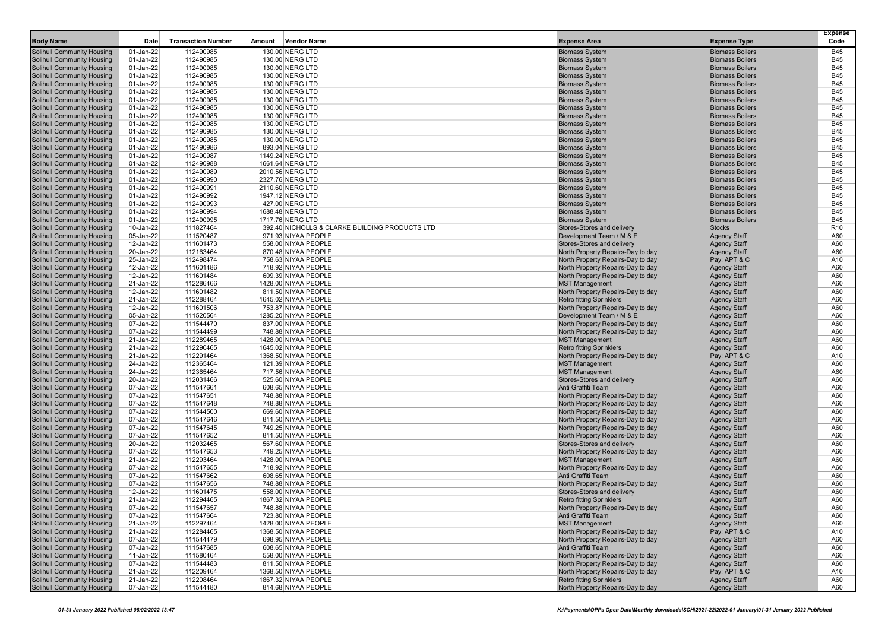| <b>Body Name</b>                                                       | Date                   | <b>Transaction Number</b> | <b>Vendor Name</b><br>Amount                   | <b>Expense Area</b>                                                  | <b>Expense Type</b>                              | <b>Expense</b><br>Code   |
|------------------------------------------------------------------------|------------------------|---------------------------|------------------------------------------------|----------------------------------------------------------------------|--------------------------------------------------|--------------------------|
| <b>Solihull Community Housing</b>                                      | 01-Jan-22              | 112490985                 | 130.00 NERG LTD                                | <b>Biomass System</b>                                                | <b>Biomass Boilers</b>                           | <b>B45</b>               |
| Solihull Community Housing                                             | 01-Jan-22              | 112490985                 | 130.00 NERG LTD                                | <b>Biomass System</b>                                                | <b>Biomass Boilers</b>                           | <b>B45</b>               |
| Solihull Community Housing                                             | 01-Jan-22              | 112490985                 | 130.00 NERG LTD                                | <b>Biomass System</b>                                                | <b>Biomass Boilers</b>                           | <b>B45</b>               |
| <b>Solihull Community Housing</b>                                      | 01-Jan-22              | 112490985                 | 130.00 NERG LTD                                | <b>Biomass System</b>                                                | <b>Biomass Boilers</b>                           | <b>B45</b>               |
| Solihull Community Housing                                             | 01-Jan-22              | 112490985                 | 130.00 NERG LTD                                | <b>Biomass System</b>                                                | <b>Biomass Boilers</b>                           | <b>B45</b>               |
| <b>Solihull Community Housing</b>                                      | 01-Jan-22              | 112490985                 | 130.00 NERG LTD                                | <b>Biomass System</b>                                                | <b>Biomass Boilers</b>                           | <b>B45</b>               |
| <b>Solihull Community Housing</b>                                      | 01-Jan-22              | 112490985                 | 130.00 NERG LTD                                | <b>Biomass System</b>                                                | <b>Biomass Boilers</b>                           | <b>B45</b>               |
| Solihull Community Housing                                             | 01-Jan-22              | 112490985                 | 130.00 NERG LTD                                | <b>Biomass System</b>                                                | <b>Biomass Boilers</b>                           | <b>B45</b>               |
| <b>Solihull Community Housing</b>                                      | 01-Jan-22              | 112490985                 | 130.00 NERG LTD                                | <b>Biomass System</b>                                                | <b>Biomass Boilers</b>                           | <b>B45</b>               |
| <b>Solihull Community Housing</b>                                      | 01-Jan-22              | 112490985                 | 130.00 NERG LTD                                | <b>Biomass System</b>                                                | <b>Biomass Boilers</b>                           | <b>B45</b><br><b>B45</b> |
| <b>Solihull Community Housing</b>                                      | 01-Jan-22              | 112490985                 | 130.00 NERG LTD                                | <b>Biomass System</b><br><b>Biomass System</b>                       | <b>Biomass Boilers</b>                           | <b>B45</b>               |
| Solihull Community Housing<br><b>Solihull Community Housing</b>        | 01-Jan-22<br>01-Jan-22 | 112490985<br>112490986    | 130.00 NERG LTD<br>893.04 NERG LTD             | <b>Biomass System</b>                                                | <b>Biomass Boilers</b><br><b>Biomass Boilers</b> | <b>B45</b>               |
| Solihull Community Housing                                             | 01-Jan-22              | 112490987                 | 1149.24 NERG LTD                               | <b>Biomass System</b>                                                | <b>Biomass Boilers</b>                           | <b>B45</b>               |
| Solihull Community Housing                                             | 01-Jan-22              | 112490988                 | 1661.64 NERG LTD                               | <b>Biomass System</b>                                                | <b>Biomass Boilers</b>                           | <b>B45</b>               |
| Solihull Community Housing                                             | 01-Jan-22              | 112490989                 | 2010.56 NERG LTD                               | <b>Biomass System</b>                                                | <b>Biomass Boilers</b>                           | <b>B45</b>               |
| <b>Solihull Community Housing</b>                                      | 01-Jan-22              | 112490990                 | 2327.76 NERG LTD                               | <b>Biomass System</b>                                                | <b>Biomass Boilers</b>                           | <b>B45</b>               |
| <b>Solihull Community Housing</b>                                      | 01-Jan-22              | 112490991                 | 2110.60 NERG LTD                               | <b>Biomass System</b>                                                | <b>Biomass Boilers</b>                           | <b>B45</b>               |
| Solihull Community Housing                                             | 01-Jan-22              | 112490992                 | 1947.12 NERG LTD                               | <b>Biomass System</b>                                                | <b>Biomass Boilers</b>                           | <b>B45</b>               |
| Solihull Community Housing                                             | 01-Jan-22              | 112490993                 | 427.00 NERG LTD                                | <b>Biomass System</b>                                                | <b>Biomass Boilers</b>                           | <b>B45</b>               |
| <b>Solihull Community Housing</b>                                      | 01-Jan-22              | 112490994                 | 1688.48 NERG LTD                               | <b>Biomass System</b>                                                | <b>Biomass Boilers</b>                           | <b>B45</b>               |
| Solihull Community Housing                                             | 01-Jan-22              | 112490995                 | 1717.76 NERG LTD                               | <b>Biomass System</b>                                                | <b>Biomass Boilers</b>                           | <b>B45</b>               |
| <b>Solihull Community Housing</b>                                      | 10-Jan-22              | 111827464                 | 392.40 NICHOLLS & CLARKE BUILDING PRODUCTS LTD | Stores-Stores and delivery                                           | <b>Stocks</b>                                    | R <sub>10</sub>          |
| Solihull Community Housing                                             | 05-Jan-22              | 111520487                 | 971.93 NIYAA PEOPLE                            | Development Team / M & E                                             | <b>Agency Staff</b>                              | A60                      |
| <b>Solihull Community Housing</b>                                      | 12-Jan-22              | 111601473                 | 558.00 NIYAA PEOPLE                            | Stores-Stores and delivery                                           | <b>Agency Staff</b>                              | A60                      |
| <b>Solihull Community Housing</b>                                      | 20-Jan-22              | 112163464                 | 870.48 NIYAA PEOPLE                            | North Property Repairs-Day to day                                    | <b>Agency Staff</b>                              | A60                      |
| <b>Solihull Community Housing</b>                                      | 25-Jan-22              | 112498474                 | 758.63 NIYAA PEOPLE                            | North Property Repairs-Day to day                                    | Pay: APT & C                                     | A10                      |
| Solihull Community Housing                                             | 12-Jan-22              | 111601486                 | 718.92 NIYAA PEOPLE                            | North Property Repairs-Day to day                                    | <b>Agency Staff</b>                              | A60                      |
| <b>Solihull Community Housing</b>                                      | 12-Jan-22              | 111601484                 | 609.39 NIYAA PEOPLE                            | North Property Repairs-Day to day                                    | <b>Agency Staff</b>                              | A60                      |
| <b>Solihull Community Housing</b>                                      | 21-Jan-22              | 112286466                 | 1428.00 NIYAA PEOPLE                           | <b>MST Management</b>                                                | <b>Agency Staff</b>                              | A60                      |
| <b>Solihull Community Housing</b>                                      | 12-Jan-22              | 111601482                 | 811.50 NIYAA PEOPLE                            | North Property Repairs-Day to day                                    | <b>Agency Staff</b>                              | A60                      |
| Solihull Community Housing                                             | 21-Jan-22<br>12-Jan-22 | 112288464<br>111601506    | 1645.02 NIYAA PEOPLE<br>753.87 NIYAA PEOPLE    | <b>Retro fitting Sprinklers</b><br>North Property Repairs-Day to day | <b>Agency Staff</b><br><b>Agency Staff</b>       | A60<br>A60               |
| <b>Solihull Community Housing</b><br>Solihull Community Housing        | 05-Jan-22              | 111520564                 | 1285.20 NIYAA PEOPLE                           | Development Team / M & E                                             | <b>Agency Staff</b>                              | A60                      |
| <b>Solihull Community Housing</b>                                      | 07-Jan-22              | 111544470                 | 837.00 NIYAA PEOPLE                            | North Property Repairs-Day to day                                    | <b>Agency Staff</b>                              | A60                      |
| <b>Solihull Community Housing</b>                                      | 07-Jan-22              | 111544499                 | 748.88 NIYAA PEOPLE                            | North Property Repairs-Day to day                                    | <b>Agency Staff</b>                              | A60                      |
| <b>Solihull Community Housing</b>                                      | 21-Jan-22              | 112289465                 | 1428.00 NIYAA PEOPLE                           | <b>MST Management</b>                                                | <b>Agency Staff</b>                              | A60                      |
| Solihull Community Housing                                             | 21-Jan-22              | 112290465                 | 1645.02 NIYAA PEOPLE                           | <b>Retro fitting Sprinklers</b>                                      | <b>Agency Staff</b>                              | A60                      |
| Solihull Community Housing                                             | 21-Jan-22              | 112291464                 | 1368.50 NIYAA PEOPLE                           | North Property Repairs-Day to day                                    | Pay: APT & C                                     | A10                      |
| <b>Solihull Community Housing</b>                                      | 24-Jan-22              | 112365464                 | 121.39 NIYAA PEOPLE                            | <b>MST Management</b>                                                | <b>Agency Staff</b>                              | A60                      |
| Solihull Community Housing                                             | 24-Jan-22              | 112365464                 | 717.56 NIYAA PEOPLE                            | <b>MST Management</b>                                                | <b>Agency Staff</b>                              | A60                      |
| Solihull Community Housing                                             | 20-Jan-22              | 112031466                 | 525.60 NIYAA PEOPLE                            | Stores-Stores and delivery                                           | <b>Agency Staff</b>                              | A60                      |
| Solihull Community Housing                                             | 07-Jan-22              | 111547661                 | 608.65 NIYAA PEOPLE                            | Anti Graffiti Team                                                   | <b>Agency Staff</b>                              | A60                      |
| <b>Solihull Community Housing</b>                                      | 07-Jan-22              | 111547651                 | 748.88 NIYAA PEOPLE                            | North Property Repairs-Day to day                                    | <b>Agency Staff</b>                              | A60                      |
| Solihull Community Housing                                             | 07-Jan-22              | 111547648                 | 748.88 NIYAA PEOPLE                            | North Property Repairs-Day to day                                    | <b>Agency Staff</b>                              | A60                      |
| <b>Solihull Community Housing</b>                                      | 07-Jan-22              | 111544500                 | 669.60 NIYAA PEOPLE                            | North Property Repairs-Day to day                                    | <b>Agency Staff</b>                              | A60                      |
| <b>Solihull Community Housing</b>                                      | 07-Jan-22              | 111547646                 | 811.50 NIYAA PEOPLE                            | North Property Repairs-Day to day                                    | <b>Agency Staff</b>                              | A60                      |
| <b>Solihull Community Housing</b>                                      | 07-Jan-22              | 111547645                 | 749.25 NIYAA PEOPLE                            | North Property Repairs-Day to day                                    | <b>Agency Staff</b>                              | A60                      |
| Solihull Community Housing                                             | 07-Jan-22<br>20-Jan-22 | 111547652<br>112032465    | 811.50 NIYAA PEOPLE                            | North Property Repairs-Day to day                                    | <b>Agency Staff</b><br><b>Agency Staff</b>       | A60<br>A60               |
| <b>Solihull Community Housing</b><br>Solihull Community Housing        | 07-Jan-22              | 111547653                 | 567.60 NIYAA PEOPLE<br>749.25 NIYAA PEOPLE     | Stores-Stores and delivery<br>North Property Repairs-Day to day      | <b>Agency Staff</b>                              | A60                      |
| <b>Solihull Community Housing</b>                                      | 21-Jan-22              | 112293464                 | 1428.00 NIYAA PEOPLE                           | <b>MST Management</b>                                                | <b>Agency Staff</b>                              | A60                      |
| <b>Solihull Community Housing</b>                                      | 07-Jan-22              | 111547655                 | 718.92 NIYAA PEOPLE                            | North Property Repairs-Day to day                                    | <b>Agency Staff</b>                              | A60                      |
| <b>Solihull Community Housing</b>                                      | 07-Jan-22              | 111547662                 | 608.65 NIYAA PEOPLE                            | Anti Graffiti Team                                                   | <b>Agency Staff</b>                              | A60                      |
| Solihull Community Housing                                             | 07-Jan-22              | 111547656                 | 748.88 NIYAA PEOPLE                            | North Property Repairs-Day to day                                    | <b>Agency Staff</b>                              | A60                      |
| <b>Solihull Community Housing</b>                                      | 12-Jan-22              | 111601475                 | 558.00 NIYAA PEOPLE                            | Stores-Stores and delivery                                           | <b>Agency Staff</b>                              | A60                      |
| <b>Solihull Community Housing</b>                                      | 21-Jan-22              | 112294465                 | 1867.32 NIYAA PEOPLE                           | <b>Retro fitting Sprinklers</b>                                      | <b>Agency Staff</b>                              | A60                      |
| <b>Solihull Community Housing</b>                                      | 07-Jan-22              | 111547657                 | 748.88 NIYAA PEOPLE                            | North Property Repairs-Day to day                                    | <b>Agency Staff</b>                              | A60                      |
| Solihull Community Housing                                             | 07-Jan-22              | 111547664                 | 723.80 NIYAA PEOPLE                            | Anti Graffiti Team                                                   | <b>Agency Staff</b>                              | A60                      |
| Solihull Community Housing                                             | 21-Jan-22              | 112297464                 | 1428.00 NIYAA PEOPLE                           | <b>MST Management</b>                                                | <b>Agency Staff</b>                              | A60                      |
| <b>Solihull Community Housing</b>                                      | 21-Jan-22              | 112284465                 | 1368.50 NIYAA PEOPLE                           | North Property Repairs-Day to day                                    | Pay: APT & C                                     | A10                      |
| Solihull Community Housing                                             | 07-Jan-22              | 111544479                 | 698.95 NIYAA PEOPLE                            | North Property Repairs-Day to day                                    | <b>Agency Staff</b>                              | A60                      |
| Solihull Community Housing                                             | 07-Jan-22              | 111547685                 | 608.65 NIYAA PEOPLE                            | Anti Graffiti Team                                                   | <b>Agency Staff</b>                              | A60                      |
| <b>Solihull Community Housing</b>                                      | 11-Jan-22              | 111580464                 | 558.00 NIYAA PEOPLE                            | North Property Repairs-Day to day                                    | <b>Agency Staff</b>                              | A60                      |
| <b>Solihull Community Housing</b>                                      | 07-Jan-22              | 111544483                 | 811.50 NIYAA PEOPLE                            | North Property Repairs-Day to day                                    | <b>Agency Staff</b>                              | A60                      |
| <b>Solihull Community Housing</b><br><b>Solihull Community Housing</b> | 21-Jan-22<br>21-Jan-22 | 112209464<br>112208464    | 1368.50 NIYAA PEOPLE<br>1867.32 NIYAA PEOPLE   | North Property Repairs-Day to day<br><b>Retro fitting Sprinklers</b> | Pay: APT & C                                     | A10                      |
| Solihull Community Housing                                             | 07-Jan-22              | 111544480                 | 814.68 NIYAA PEOPLE                            | North Property Repairs-Day to day                                    | <b>Agency Staff</b><br><b>Agency Staff</b>       | A60<br>A60               |
|                                                                        |                        |                           |                                                |                                                                      |                                                  |                          |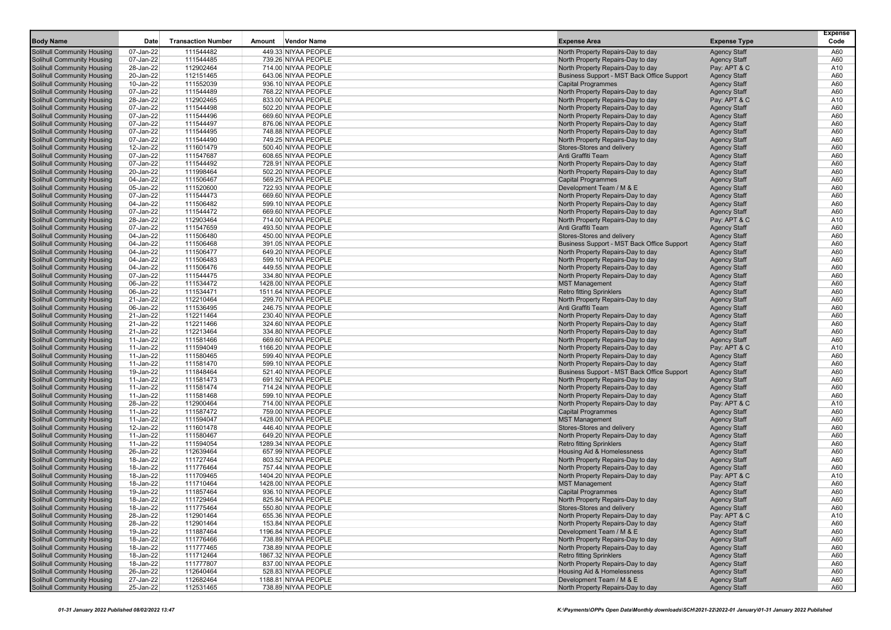| <b>Body Name</b>                                                       | Date                   | <b>Transaction Number</b> | <b>Vendor Name</b><br>Amount               | <b>Expense Area</b>                                                    | <b>Expense Type</b>                        | <b>Expense</b><br>Code |
|------------------------------------------------------------------------|------------------------|---------------------------|--------------------------------------------|------------------------------------------------------------------------|--------------------------------------------|------------------------|
| <b>Solihull Community Housing</b>                                      | 07-Jan-22              | 111544482                 | 449.33 NIYAA PEOPLE                        | North Property Repairs-Day to day                                      | <b>Agency Staff</b>                        | A60                    |
| <b>Solihull Community Housing</b>                                      | 07-Jan-22              | 111544485                 | 739.26 NIYAA PEOPLE                        | North Property Repairs-Day to day                                      | <b>Agency Staff</b>                        | A60                    |
| <b>Solihull Community Housing</b>                                      | 28-Jan-22              | 112902464                 | 714.00 NIYAA PEOPLE                        | North Property Repairs-Day to day                                      | Pay: APT & C                               | A10                    |
| <b>Solihull Community Housing</b>                                      | 20-Jan-22              | 112151465                 | 643.06 NIYAA PEOPLE                        | Business Support - MST Back Office Support                             | <b>Agency Staff</b>                        | A60                    |
| Solihull Community Housing                                             | 10-Jan-22              | 111552039                 | 936.10 NIYAA PEOPLE                        | <b>Capital Programmes</b>                                              | <b>Agency Staff</b>                        | A60                    |
| <b>Solihull Community Housing</b>                                      | 07-Jan-22              | 111544489                 | 768.22 NIYAA PEOPLE                        | North Property Repairs-Day to day                                      | <b>Agency Staff</b>                        | A60                    |
| <b>Solihull Community Housing</b>                                      | 28-Jan-22              | 112902465                 | 833.00 NIYAA PEOPLE                        | North Property Repairs-Day to day                                      | Pay: APT & C                               | A10                    |
| <b>Solihull Community Housing</b>                                      | 07-Jan-22              | 111544498                 | 502.20 NIYAA PEOPLE                        | North Property Repairs-Day to day                                      | <b>Agency Staff</b>                        | A60                    |
| <b>Solihull Community Housing</b>                                      | 07-Jan-22              | 111544496                 | 669.60 NIYAA PEOPLE                        | North Property Repairs-Day to day                                      | <b>Agency Staff</b>                        | A60                    |
| <b>Solihull Community Housing</b>                                      | 07-Jan-22              | 111544497                 | 876.06 NIYAA PEOPLE                        | North Property Repairs-Day to day                                      | <b>Agency Staff</b>                        | A60                    |
| <b>Solihull Community Housing</b>                                      | 07-Jan-22              | 111544495                 | 748.88 NIYAA PEOPLE                        | North Property Repairs-Day to day                                      | <b>Agency Staff</b>                        | A60                    |
| <b>Solihull Community Housing</b>                                      | 07-Jan-22              | 111544490                 | 749.25 NIYAA PEOPLE<br>500.40 NIYAA PEOPLE | North Property Repairs-Day to day                                      | <b>Agency Staff</b>                        | A60<br>A60             |
| <b>Solihull Community Housing</b><br><b>Solihull Community Housing</b> | 12-Jan-22              | 111601479                 |                                            | Stores-Stores and delivery<br>Anti Graffiti Team                       | <b>Agency Staff</b>                        | A60                    |
| Solihull Community Housing                                             | 07-Jan-22<br>07-Jan-22 | 111547687<br>111544492    | 608.65 NIYAA PEOPLE<br>728.91 NIYAA PEOPLE | North Property Repairs-Day to day                                      | <b>Agency Staff</b><br><b>Agency Staff</b> | A60                    |
| Solihull Community Housing                                             | 20-Jan-22              | 111998464                 | 502.20 NIYAA PEOPLE                        | North Property Repairs-Day to day                                      | <b>Agency Staff</b>                        | A60                    |
| <b>Solihull Community Housing</b>                                      | 04-Jan-22              | 111506467                 | 569.25 NIYAA PEOPLE                        | <b>Capital Programmes</b>                                              | <b>Agency Staff</b>                        | A60                    |
| <b>Solihull Community Housing</b>                                      | 05-Jan-22              | 111520600                 | 722.93 NIYAA PEOPLE                        | Development Team / M & E                                               | <b>Agency Staff</b>                        | A60                    |
| <b>Solihull Community Housing</b>                                      | 07-Jan-22              | 111544473                 | 669.60 NIYAA PEOPLE                        | North Property Repairs-Day to day                                      | <b>Agency Staff</b>                        | A60                    |
| <b>Solihull Community Housing</b>                                      | 04-Jan-22              | 111506482                 | 599.10 NIYAA PEOPLE                        | North Property Repairs-Day to day                                      | <b>Agency Staff</b>                        | A60                    |
| <b>Solihull Community Housing</b>                                      | 07-Jan-22              | 111544472                 | 669.60 NIYAA PEOPLE                        | North Property Repairs-Day to day                                      | <b>Agency Staff</b>                        | A60                    |
| Solihull Community Housing                                             | 28-Jan-22              | 112903464                 | 714.00 NIYAA PEOPLE                        | North Property Repairs-Day to day                                      | Pay: APT & C                               | A10                    |
| Solihull Community Housing                                             | 07-Jan-22              | 111547659                 | 493.50 NIYAA PEOPLE                        | Anti Graffiti Team                                                     | <b>Agency Staff</b>                        | A60                    |
| Solihull Community Housing                                             | 04-Jan-22              | 111506480                 | 450.00 NIYAA PEOPLE                        | Stores-Stores and delivery                                             | <b>Agency Staff</b>                        | A60                    |
| <b>Solihull Community Housing</b>                                      | 04-Jan-22              | 111506468                 | 391.05 NIYAA PEOPLE                        | Business Support - MST Back Office Support                             | <b>Agency Staff</b>                        | A60                    |
| Solihull Community Housing                                             | 04-Jan-22              | 111506477                 | 649.20 NIYAA PEOPLE                        | North Property Repairs-Day to day                                      | <b>Agency Staff</b>                        | A60                    |
| Solihull Community Housing                                             | 04-Jan-22              | 111506483                 | 599.10 NIYAA PEOPLE                        | North Property Repairs-Day to day                                      | <b>Agency Staff</b>                        | A60                    |
| Solihull Community Housing                                             | 04-Jan-22              | 111506476                 | 449.55 NIYAA PEOPLE                        | North Property Repairs-Day to day                                      | <b>Agency Staff</b>                        | A60                    |
| <b>Solihull Community Housing</b>                                      | 07-Jan-22              | 111544475                 | 334.80 NIYAA PEOPLE                        | North Property Repairs-Day to day                                      | <b>Agency Staff</b>                        | A60                    |
| Solihull Community Housing                                             | 06-Jan-22              | 111534472                 | 1428.00 NIYAA PEOPLE                       | <b>MST Management</b>                                                  | <b>Agency Staff</b>                        | A60                    |
| <b>Solihull Community Housing</b>                                      | 06-Jan-22              | 111534471                 | 1511.64 NIYAA PEOPLE                       | <b>Retro fitting Sprinklers</b>                                        | <b>Agency Staff</b>                        | A60                    |
| <b>Solihull Community Housing</b>                                      | 21-Jan-22              | 112210464                 | 299.70 NIYAA PEOPLE                        | North Property Repairs-Day to day                                      | <b>Agency Staff</b>                        | A60                    |
| <b>Solihull Community Housing</b>                                      | 06-Jan-22              | 111536495                 | 246.75 NIYAA PEOPLE                        | Anti Graffiti Team                                                     | <b>Agency Staff</b>                        | A60                    |
| <b>Solihull Community Housing</b>                                      | 21-Jan-22              | 112211464                 | 230.40 NIYAA PEOPLE<br>324.60 NIYAA PEOPLE | North Property Repairs-Day to day                                      | <b>Agency Staff</b>                        | A60<br>A60             |
| <b>Solihull Community Housing</b><br><b>Solihull Community Housing</b> | 21-Jan-22<br>21-Jan-22 | 112211466<br>112213464    | 334.80 NIYAA PEOPLE                        | North Property Repairs-Day to day<br>North Property Repairs-Day to day | <b>Agency Staff</b><br><b>Agency Staff</b> | A60                    |
| <b>Solihull Community Housing</b>                                      | 11-Jan-22              | 111581466                 | 669.60 NIYAA PEOPLE                        | North Property Repairs-Day to day                                      | <b>Agency Staff</b>                        | A60                    |
| Solihull Community Housing                                             | 11-Jan-22              | 111594049                 | 1166.20 NIYAA PEOPLE                       | North Property Repairs-Day to day                                      | Pay: APT & C                               | A10                    |
| Solihull Community Housing                                             | 11-Jan-22              | 111580465                 | 599.40 NIYAA PEOPLE                        | North Property Repairs-Day to day                                      | <b>Agency Staff</b>                        | A60                    |
| <b>Solihull Community Housing</b>                                      | 11-Jan-22              | 111581470                 | 599.10 NIYAA PEOPLE                        | North Property Repairs-Day to day                                      | <b>Agency Staff</b>                        | A60                    |
| <b>Solihull Community Housing</b>                                      | 19-Jan-22              | 111848464                 | 521.40 NIYAA PEOPLE                        | Business Support - MST Back Office Support                             | <b>Agency Staff</b>                        | A60                    |
| Solihull Community Housing                                             | 11-Jan-22              | 111581473                 | 691.92 NIYAA PEOPLE                        | North Property Repairs-Day to day                                      | <b>Agency Staff</b>                        | A60                    |
| <b>Solihull Community Housing</b>                                      | 11-Jan-22              | 111581474                 | 714.24 NIYAA PEOPLE                        | North Property Repairs-Day to day                                      | <b>Agency Staff</b>                        | A60                    |
| <b>Solihull Community Housing</b>                                      | 11-Jan-22              | 111581468                 | 599.10 NIYAA PEOPLE                        | North Property Repairs-Day to day                                      | <b>Agency Staff</b>                        | A60                    |
| <b>Solihull Community Housing</b>                                      | 28-Jan-22              | 112900464                 | 714.00 NIYAA PEOPLE                        | North Property Repairs-Day to day                                      | Pay: APT & C                               | A10                    |
| Solihull Community Housing                                             | 11-Jan-22              | 111587472                 | 759.00 NIYAA PEOPLE                        | <b>Capital Programmes</b>                                              | <b>Agency Staff</b>                        | A60                    |
| <b>Solihull Community Housing</b>                                      | 11-Jan-22              | 111594047                 | 1428.00 NIYAA PEOPLE                       | <b>MST Management</b>                                                  | <b>Agency Staff</b>                        | A60                    |
| <b>Solihull Community Housing</b>                                      | 12-Jan-22              | 111601478                 | 446.40 NIYAA PEOPLE                        | Stores-Stores and delivery                                             | <b>Agency Staff</b>                        | A60                    |
| <b>Solihull Community Housing</b>                                      | 11-Jan-22              | 111580467                 | 649.20 NIYAA PEOPLE                        | North Property Repairs-Day to day                                      | <b>Agency Staff</b>                        | A60                    |
| Solihull Community Housing                                             | 11-Jan-22              | 111594054                 | 1289.34 NIYAA PEOPLE                       | <b>Retro fitting Sprinklers</b>                                        | <b>Agency Staff</b>                        | A60                    |
| <b>Solihull Community Housing</b>                                      | 26-Jan-22              | 112639464                 | 657.99 NIYAA PEOPLE                        | <b>Housing Aid &amp; Homelessness</b>                                  | <b>Agency Staff</b>                        | A60                    |
| <b>Solihull Community Housing</b><br>Solihull Community Housing        | 18-Jan-22<br>18-Jan-22 | 111727464<br>111776464    | 803.52 NIYAA PEOPLE<br>757.44 NIYAA PEOPLE | North Property Repairs-Day to day<br>North Property Repairs-Day to day | <b>Agency Staff</b><br><b>Agency Staff</b> | A60<br>A60             |
| <b>Solihull Community Housing</b>                                      | 18-Jan-22              | 111709465                 | 1404.20 NIYAA PEOPLE                       | North Property Repairs-Day to day                                      | Pay: APT & C                               | A10                    |
| <b>Solihull Community Housing</b>                                      | 18-Jan-22              | 111710464                 | 1428.00 NIYAA PEOPLE                       | <b>MST Management</b>                                                  | <b>Agency Staff</b>                        | A60                    |
| <b>Solihull Community Housing</b>                                      | 19-Jan-22              | 111857464                 | 936.10 NIYAA PEOPLE                        | <b>Capital Programmes</b>                                              | <b>Agency Staff</b>                        | A60                    |
| <b>Solihull Community Housing</b>                                      | 18-Jan-22              | 111729464                 | 825.84 NIYAA PEOPLE                        | North Property Repairs-Day to day                                      | <b>Agency Staff</b>                        | A60                    |
| <b>Solihull Community Housing</b>                                      | 18-Jan-22              | 111775464                 | 550.80 NIYAA PEOPLE                        | Stores-Stores and delivery                                             | <b>Agency Staff</b>                        | A60                    |
| Solihull Community Housing                                             | 28-Jan-22              | 112901464                 | 655.36 NIYAA PEOPLE                        | North Property Repairs-Day to day                                      | Pay: APT & C                               | A10                    |
| Solihull Community Housing                                             | 28-Jan-22              | 112901464                 | 153.84 NIYAA PEOPLE                        | North Property Repairs-Day to day                                      | <b>Agency Staff</b>                        | A60                    |
| <b>Solihull Community Housing</b>                                      | 19-Jan-22              | 111887464                 | 1196.84 NIYAA PEOPLE                       | Development Team / M & E                                               | <b>Agency Staff</b>                        | A60                    |
| <b>Solihull Community Housing</b>                                      | 18-Jan-22              | 111776466                 | 738.89 NIYAA PEOPLE                        | North Property Repairs-Day to day                                      | <b>Agency Staff</b>                        | A60                    |
| <b>Solihull Community Housing</b>                                      | 18-Jan-22              | 111777465                 | 738.89 NIYAA PEOPLE                        | North Property Repairs-Day to day                                      | <b>Agency Staff</b>                        | A60                    |
| <b>Solihull Community Housing</b>                                      | 18-Jan-22              | 111712464                 | 1867.32 NIYAA PEOPLE                       | <b>Retro fitting Sprinklers</b>                                        | <b>Agency Staff</b>                        | A60                    |
| <b>Solihull Community Housing</b>                                      | 18-Jan-22              | 111777807                 | 837.00 NIYAA PEOPLE                        | North Property Repairs-Day to day                                      | <b>Agency Staff</b>                        | A60                    |
| <b>Solihull Community Housing</b>                                      | 26-Jan-22              | 112640464                 | 528.83 NIYAA PEOPLE                        | <b>Housing Aid &amp; Homelessness</b>                                  | <b>Agency Staff</b>                        | A60                    |
| <b>Solihull Community Housing</b>                                      | 27-Jan-22              | 112682464                 | 1188.81 NIYAA PEOPLE                       | Development Team / M & E                                               | <b>Agency Staff</b>                        | A60                    |
| <b>Solihull Community Housing</b>                                      | 25-Jan-22              | 112531465                 | 738.89 NIYAA PEOPLE                        | North Property Repairs-Day to day                                      | <b>Agency Staff</b>                        | A60                    |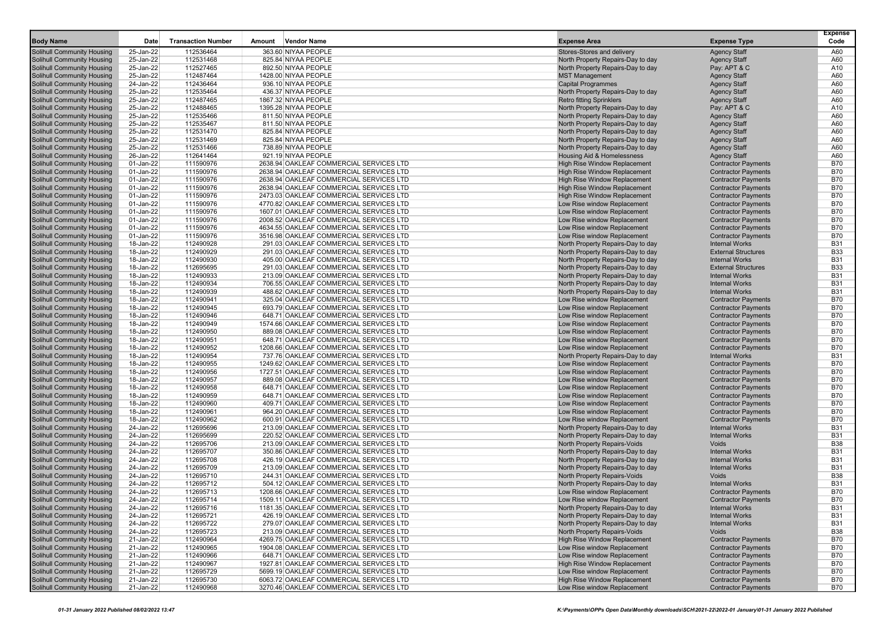| <b>Body Name</b>                                                       | Date                   | <b>Transaction Number</b> | Amount | <b>Vendor Name</b>                                                                 | <b>Expense Area</b>                                                | <b>Expense Type</b>                                      | <b>Expense</b><br>Code   |
|------------------------------------------------------------------------|------------------------|---------------------------|--------|------------------------------------------------------------------------------------|--------------------------------------------------------------------|----------------------------------------------------------|--------------------------|
| <b>Solihull Community Housing</b>                                      | 25-Jan-22              | 112536464                 |        | 363.60 NIYAA PEOPLE                                                                | Stores-Stores and delivery                                         | <b>Agency Staff</b>                                      | A60                      |
| <b>Solihull Community Housing</b>                                      | 25-Jan-22              | 112531468                 |        | 825.84 NIYAA PEOPLE                                                                | North Property Repairs-Day to day                                  | <b>Agency Staff</b>                                      | A60                      |
| <b>Solihull Community Housing</b>                                      | 25-Jan-22              | 112527465                 |        | 892.50 NIYAA PEOPLE                                                                | North Property Repairs-Day to day                                  | Pay: APT & C                                             | A10                      |
| <b>Solihull Community Housing</b>                                      | 25-Jan-22              | 112487464                 |        | 1428.00 NIYAA PEOPLE                                                               | <b>MST Management</b>                                              | <b>Agency Staff</b>                                      | A60                      |
| <b>Solihull Community Housing</b>                                      | 24-Jan-22              | 112436464                 |        | 936.10 NIYAA PEOPLE                                                                | <b>Capital Programmes</b>                                          | <b>Agency Staff</b>                                      | A60                      |
| Solihull Community Housing                                             | 25-Jan-22              | 112535464                 |        | 436.37 NIYAA PEOPLE                                                                | North Property Repairs-Day to day                                  | <b>Agency Staff</b>                                      | A60                      |
| Solihull Community Housing                                             | 25-Jan-22              | 112487465                 |        | 1867.32 NIYAA PEOPLE                                                               | <b>Retro fitting Sprinklers</b>                                    | <b>Agency Staff</b>                                      | A60                      |
| Solihull Community Housing                                             | 25-Jan-22              | 112488465                 |        | 1395.28 NIYAA PEOPLE                                                               | North Property Repairs-Day to day                                  | Pay: APT & C                                             | A10                      |
| <b>Solihull Community Housing</b>                                      | 25-Jan-22              | 112535466                 |        | 811.50 NIYAA PEOPLE                                                                | North Property Repairs-Day to day                                  | <b>Agency Staff</b>                                      | A60                      |
| <b>Solihull Community Housing</b>                                      | 25-Jan-22              | 112535467                 |        | 811.50 NIYAA PEOPLE                                                                | North Property Repairs-Day to day                                  | <b>Agency Staff</b>                                      | A60                      |
| <b>Solihull Community Housing</b>                                      | 25-Jan-22              | 112531470                 |        | 825.84 NIYAA PEOPLE                                                                | North Property Repairs-Day to day                                  | <b>Agency Staff</b>                                      | A60                      |
| Solihull Community Housing                                             | 25-Jan-22              | 112531469                 |        | 825.84 NIYAA PEOPLE                                                                | North Property Repairs-Day to day                                  | <b>Agency Staff</b>                                      | A60                      |
| <b>Solihull Community Housing</b>                                      | 25-Jan-22              | 112531466                 |        | 738.89 NIYAA PEOPLE                                                                | North Property Repairs-Day to day                                  | <b>Agency Staff</b>                                      | A60                      |
| <b>Solihull Community Housing</b>                                      | 26-Jan-22              | 112641464                 |        | 921.19 NIYAA PEOPLE                                                                | <b>Housing Aid &amp; Homelessness</b>                              | <b>Agency Staff</b>                                      | A60                      |
| <b>Solihull Community Housing</b>                                      | 01-Jan-22              | 111590976                 |        | 2638.94 OAKLEAF COMMERCIAL SERVICES LTD                                            | <b>High Rise Window Replacement</b>                                | <b>Contractor Payments</b>                               | <b>B70</b>               |
| Solihull Community Housing                                             | 01-Jan-22              | 111590976                 |        | 2638.94 OAKLEAF COMMERCIAL SERVICES LTD                                            | High Rise Window Replacement                                       | <b>Contractor Payments</b>                               | <b>B70</b>               |
| <b>Solihull Community Housing</b>                                      | 01-Jan-22              | 111590976                 |        | 2638.94 OAKLEAF COMMERCIAL SERVICES LTD                                            | <b>High Rise Window Replacement</b>                                | <b>Contractor Payments</b>                               | <b>B70</b>               |
| <b>Solihull Community Housing</b>                                      | 01-Jan-22              | 111590976<br>111590976    |        | 2638.94 OAKLEAF COMMERCIAL SERVICES LTD<br>2473.03 OAKLEAF COMMERCIAL SERVICES LTD | <b>High Rise Window Replacement</b>                                | <b>Contractor Payments</b>                               | <b>B70</b><br><b>B70</b> |
| <b>Solihull Community Housing</b><br><b>Solihull Community Housing</b> | 01-Jan-22<br>01-Jan-22 | 111590976                 |        | 4770.82 OAKLEAF COMMERCIAL SERVICES LTD                                            | <b>High Rise Window Replacement</b><br>Low Rise window Replacement | <b>Contractor Payments</b><br><b>Contractor Payments</b> | <b>B70</b>               |
| <b>Solihull Community Housing</b>                                      | 01-Jan-22              | 111590976                 |        | 1607.01 OAKLEAF COMMERCIAL SERVICES LTD                                            | Low Rise window Replacement                                        | <b>Contractor Payments</b>                               | <b>B70</b>               |
| <b>Solihull Community Housing</b>                                      | 01-Jan-22              | 111590976                 |        | 2008.52 OAKLEAF COMMERCIAL SERVICES LTD                                            | Low Rise window Replacement                                        | <b>Contractor Payments</b>                               | <b>B70</b>               |
| <b>Solihull Community Housing</b>                                      | 01-Jan-22              | 111590976                 |        | 4634.55 OAKLEAF COMMERCIAL SERVICES LTD                                            | Low Rise window Replacement                                        | <b>Contractor Payments</b>                               | <b>B70</b>               |
| <b>Solihull Community Housing</b>                                      | 01-Jan-22              | 111590976                 |        | 3516.98 OAKLEAF COMMERCIAL SERVICES LTD                                            | Low Rise window Replacement                                        | <b>Contractor Payments</b>                               | <b>B70</b>               |
| <b>Solihull Community Housing</b>                                      | 18-Jan-22              | 112490928                 |        | 291.03 OAKLEAF COMMERCIAL SERVICES LTD                                             | North Property Repairs-Day to day                                  | <b>Internal Works</b>                                    | <b>B31</b>               |
| <b>Solihull Community Housing</b>                                      | 18-Jan-22              | 112490929                 |        | 291.03 OAKLEAF COMMERCIAL SERVICES LTD                                             | North Property Repairs-Day to day                                  | <b>External Structures</b>                               | <b>B33</b>               |
| <b>Solihull Community Housing</b>                                      | 18-Jan-22              | 112490930                 |        | 405.00 OAKLEAF COMMERCIAL SERVICES LTD                                             | North Property Repairs-Day to day                                  | <b>Internal Works</b>                                    | <b>B31</b>               |
| <b>Solihull Community Housing</b>                                      | 18-Jan-22              | 112695695                 |        | 291.03 OAKLEAF COMMERCIAL SERVICES LTD                                             | North Property Repairs-Day to day                                  | <b>External Structures</b>                               | <b>B33</b>               |
| <b>Solihull Community Housing</b>                                      | 18-Jan-22              | 112490933                 |        | 213.09 OAKLEAF COMMERCIAL SERVICES LTD                                             | North Property Repairs-Day to day                                  | <b>Internal Works</b>                                    | <b>B31</b>               |
| <b>Solihull Community Housing</b>                                      | 18-Jan-22              | 112490934                 |        | 706.55 OAKLEAF COMMERCIAL SERVICES LTD                                             | North Property Repairs-Day to day                                  | <b>Internal Works</b>                                    | <b>B31</b>               |
| Solihull Community Housing                                             | 18-Jan-22              | 112490939                 |        | 488.62 OAKLEAF COMMERCIAL SERVICES LTD                                             | North Property Repairs-Day to day                                  | <b>Internal Works</b>                                    | <b>B31</b>               |
| Solihull Community Housing                                             | 18-Jan-22              | 112490941                 |        | 325.04 OAKLEAF COMMERCIAL SERVICES LTD                                             | Low Rise window Replacement                                        | <b>Contractor Payments</b>                               | <b>B70</b>               |
| <b>Solihull Community Housing</b>                                      | 18-Jan-22              | 112490945                 |        | 693.79 OAKLEAF COMMERCIAL SERVICES LTD                                             | Low Rise window Replacement                                        | <b>Contractor Payments</b>                               | <b>B70</b>               |
| <b>Solihull Community Housing</b>                                      | 18-Jan-22              | 112490946                 |        | 648.71 OAKLEAF COMMERCIAL SERVICES LTD                                             | Low Rise window Replacement                                        | <b>Contractor Payments</b>                               | <b>B70</b>               |
| <b>Solihull Community Housing</b>                                      | 18-Jan-22              | 112490949                 |        | 1574.66 OAKLEAF COMMERCIAL SERVICES LTD                                            | Low Rise window Replacement                                        | <b>Contractor Payments</b>                               | <b>B70</b>               |
| <b>Solihull Community Housing</b>                                      | 18-Jan-22              | 112490950                 |        | 889.08 OAKLEAF COMMERCIAL SERVICES LTD                                             | Low Rise window Replacement                                        | <b>Contractor Payments</b>                               | <b>B70</b>               |
| Solihull Community Housing<br>Solihull Community Housing               | 18-Jan-22<br>18-Jan-22 | 112490951<br>112490952    |        | 648.71 OAKLEAF COMMERCIAL SERVICES LTD<br>1208.66 OAKLEAF COMMERCIAL SERVICES LTD  | Low Rise window Replacement                                        | <b>Contractor Payments</b><br><b>Contractor Payments</b> | <b>B70</b><br><b>B70</b> |
| <b>Solihull Community Housing</b>                                      | 18-Jan-22              | 112490954                 |        | 737.76 OAKLEAF COMMERCIAL SERVICES LTD                                             | Low Rise window Replacement<br>North Property Repairs-Day to day   | <b>Internal Works</b>                                    | <b>B31</b>               |
| <b>Solihull Community Housing</b>                                      | 18-Jan-22              | 112490955                 |        | 1249.62 OAKLEAF COMMERCIAL SERVICES LTD                                            | Low Rise window Replacement                                        | <b>Contractor Payments</b>                               | <b>B70</b>               |
| <b>Solihull Community Housing</b>                                      | 18-Jan-22              | 112490956                 |        | 1727.51 OAKLEAF COMMERCIAL SERVICES LTD                                            | Low Rise window Replacement                                        | <b>Contractor Payments</b>                               | <b>B70</b>               |
| <b>Solihull Community Housing</b>                                      | 18-Jan-22              | 112490957                 |        | 889.08 OAKLEAF COMMERCIAL SERVICES LTD                                             | Low Rise window Replacement                                        | <b>Contractor Payments</b>                               | <b>B70</b>               |
| <b>Solihull Community Housing</b>                                      | 18-Jan-22              | 112490958                 |        | 648.71 OAKLEAF COMMERCIAL SERVICES LTD                                             | Low Rise window Replacement                                        | <b>Contractor Payments</b>                               | <b>B70</b>               |
| <b>Solihull Community Housing</b>                                      | 18-Jan-22              | 112490959                 |        | 648.71 OAKLEAF COMMERCIAL SERVICES LTD                                             | Low Rise window Replacement                                        | <b>Contractor Payments</b>                               | <b>B70</b>               |
| <b>Solihull Community Housing</b>                                      | 18-Jan-22              | 112490960                 |        | 409.71 OAKLEAF COMMERCIAL SERVICES LTD                                             | Low Rise window Replacement                                        | <b>Contractor Payments</b>                               | <b>B70</b>               |
| <b>Solihull Community Housing</b>                                      | 18-Jan-22              | 112490961                 |        | 964.20 OAKLEAF COMMERCIAL SERVICES LTD                                             | Low Rise window Replacement                                        | <b>Contractor Payments</b>                               | <b>B70</b>               |
| <b>Solihull Community Housing</b>                                      | 18-Jan-22              | 112490962                 |        | 600.91 OAKLEAF COMMERCIAL SERVICES LTD                                             | Low Rise window Replacement                                        | <b>Contractor Payments</b>                               | <b>B70</b>               |
| <b>Solihull Community Housing</b>                                      | 24-Jan-22              | 112695696                 |        | 213.09 OAKLEAF COMMERCIAL SERVICES LTD                                             | North Property Repairs-Day to day                                  | <b>Internal Works</b>                                    | <b>B31</b>               |
| <b>Solihull Community Housing</b>                                      | 24-Jan-22              | 112695699                 |        | 220.52 OAKLEAF COMMERCIAL SERVICES LTD                                             | North Property Repairs-Day to day                                  | <b>Internal Works</b>                                    | <b>B31</b>               |
| <b>Solihull Community Housing</b>                                      | 24-Jan-22              | 112695706                 |        | 213.09 OAKLEAF COMMERCIAL SERVICES LTD                                             | North Property Repairs-Voids                                       | Voids                                                    | <b>B38</b>               |
| <b>Solihull Community Housing</b>                                      | 24-Jan-22              | 112695707                 |        | 350.86 OAKLEAF COMMERCIAL SERVICES LTD                                             | North Property Repairs-Day to day                                  | <b>Internal Works</b>                                    | <b>B31</b>               |
| <b>Solihull Community Housing</b>                                      | 24-Jan-22              | 112695708                 |        | 426.19 OAKLEAF COMMERCIAL SERVICES LTD                                             | North Property Repairs-Day to day                                  | <b>Internal Works</b>                                    | <b>B31</b>               |
| <b>Solihull Community Housing</b>                                      | 24-Jan-22              | 112695709                 |        | 213.09 OAKLEAF COMMERCIAL SERVICES LTD                                             | North Property Repairs-Day to day                                  | <b>Internal Works</b>                                    | <b>B31</b>               |
| <b>Solihull Community Housing</b>                                      | 24-Jan-22              | 112695710                 |        | 244.31 OAKLEAF COMMERCIAL SERVICES LTD                                             | North Property Repairs-Voids                                       | Voids                                                    | <b>B38</b>               |
| Solihull Community Housing                                             | 24-Jan-22              | 112695712                 |        | 504.12 OAKLEAF COMMERCIAL SERVICES LTD                                             | North Property Repairs-Day to day                                  | <b>Internal Works</b>                                    | <b>B31</b>               |
| <b>Solihull Community Housing</b><br><b>Solihull Community Housing</b> | 24-Jan-22<br>24-Jan-22 | 112695713<br>112695714    |        | 1208.66 OAKLEAF COMMERCIAL SERVICES LTD<br>1509.11 OAKLEAF COMMERCIAL SERVICES LTD | Low Rise window Replacement<br>Low Rise window Replacement         | <b>Contractor Payments</b>                               | <b>B70</b><br><b>B70</b> |
| <b>Solihull Community Housing</b>                                      | 24-Jan-22              | 112695716                 |        | 1181.35 OAKLEAF COMMERCIAL SERVICES LTD                                            | North Property Repairs-Day to day                                  | <b>Contractor Payments</b><br><b>Internal Works</b>      | <b>B31</b>               |
| <b>Solihull Community Housing</b>                                      | 24-Jan-22              | 112695721                 |        | 426.19 OAKLEAF COMMERCIAL SERVICES LTD                                             | North Property Repairs-Day to day                                  | <b>Internal Works</b>                                    | <b>B31</b>               |
| <b>Solihull Community Housing</b>                                      | 24-Jan-22              | 112695722                 |        | 279.07 OAKLEAF COMMERCIAL SERVICES LTD                                             | North Property Repairs-Day to day                                  | <b>Internal Works</b>                                    | <b>B31</b>               |
| <b>Solihull Community Housing</b>                                      | 24-Jan-22              | 112695723                 |        | 213.09 OAKLEAF COMMERCIAL SERVICES LTD                                             | North Property Repairs-Voids                                       | Voids                                                    | <b>B38</b>               |
| <b>Solihull Community Housing</b>                                      | 21-Jan-22              | 112490964                 |        | 4269.75 OAKLEAF COMMERCIAL SERVICES LTD                                            | High Rise Window Replacement                                       | <b>Contractor Payments</b>                               | <b>B70</b>               |
| <b>Solihull Community Housing</b>                                      | 21-Jan-22              | 112490965                 |        | 1904.08 OAKLEAF COMMERCIAL SERVICES LTD                                            | Low Rise window Replacement                                        | <b>Contractor Payments</b>                               | <b>B70</b>               |
| <b>Solihull Community Housing</b>                                      | 21-Jan-22              | 112490966                 |        | 648.71 OAKLEAF COMMERCIAL SERVICES LTD                                             | Low Rise window Replacement                                        | <b>Contractor Payments</b>                               | <b>B70</b>               |
| <b>Solihull Community Housing</b>                                      | 21-Jan-22              | 112490967                 |        | 1927.81 OAKLEAF COMMERCIAL SERVICES LTD                                            | <b>High Rise Window Replacement</b>                                | <b>Contractor Payments</b>                               | <b>B70</b>               |
| <b>Solihull Community Housing</b>                                      | 21-Jan-22              | 112695729                 |        | 5699.19 OAKLEAF COMMERCIAL SERVICES LTD                                            | Low Rise window Replacement                                        | <b>Contractor Payments</b>                               | <b>B70</b>               |
| <b>Solihull Community Housing</b>                                      | 21-Jan-22              | 112695730                 |        | 6063.72 OAKLEAF COMMERCIAL SERVICES LTD                                            | High Rise Window Replacement                                       | <b>Contractor Payments</b>                               | <b>B70</b>               |
| <b>Solihull Community Housing</b>                                      | 21-Jan-22              | 112490968                 |        | 3270.46 OAKLEAF COMMERCIAL SERVICES LTD                                            | Low Rise window Replacement                                        | <b>Contractor Payments</b>                               | <b>B70</b>               |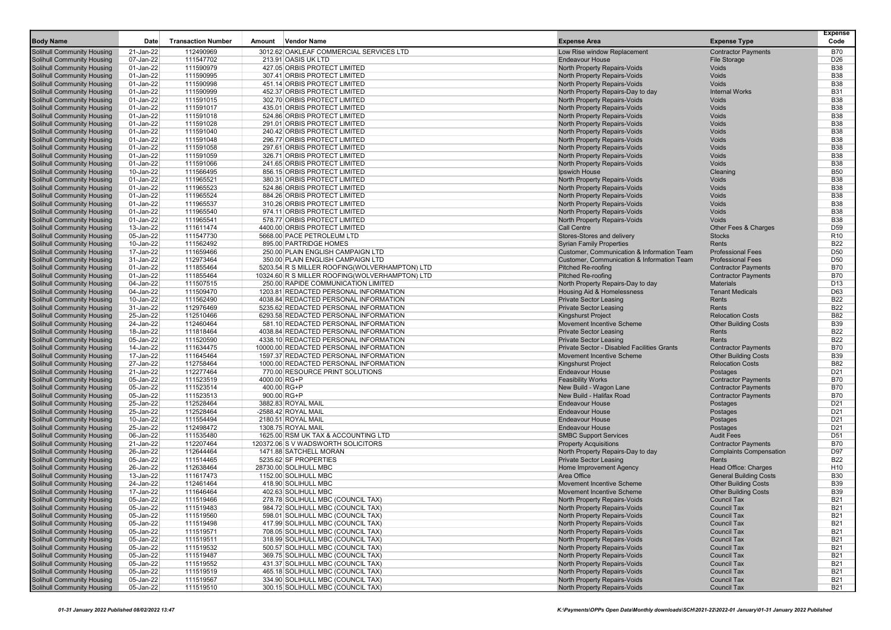| <b>Body Name</b>                  | Date      | <b>Transaction Number</b> | Amount       | <b>Vendor Name</b>                             | <b>Expense Area</b>                         | <b>Expense Type</b>            | <b>Expense</b><br>Code |
|-----------------------------------|-----------|---------------------------|--------------|------------------------------------------------|---------------------------------------------|--------------------------------|------------------------|
| <b>Solihull Community Housing</b> | 21-Jan-22 | 112490969                 |              | 3012.62 OAKLEAF COMMERCIAL SERVICES LTD        | Low Rise window Replacement                 | <b>Contractor Payments</b>     | <b>B70</b>             |
| <b>Solihull Community Housing</b> | 07-Jan-22 | 111547702                 |              | 213.91 OASIS UK LTD                            | <b>Endeavour House</b>                      | <b>File Storage</b>            | D <sub>26</sub>        |
| <b>Solihull Community Housing</b> | 01-Jan-22 | 111590979                 |              | 427.05 ORBIS PROTECT LIMITED                   | North Property Repairs-Voids                | Voids                          | <b>B38</b>             |
| <b>Solihull Community Housing</b> | 01-Jan-22 | 111590995                 |              | 307.41 ORBIS PROTECT LIMITED                   | North Property Repairs-Voids                | Voids                          | <b>B38</b>             |
| <b>Solihull Community Housing</b> | 01-Jan-22 | 111590998                 |              | 451.14 ORBIS PROTECT LIMITED                   | North Property Repairs-Voids                | Voids                          | <b>B38</b>             |
| Solihull Community Housing        | 01-Jan-22 | 111590999                 |              | 452.37 ORBIS PROTECT LIMITED                   | North Property Repairs-Day to day           | <b>Internal Works</b>          | <b>B31</b>             |
| Solihull Community Housing        | 01-Jan-22 | 111591015                 |              | 302.70 ORBIS PROTECT LIMITED                   | North Property Repairs-Voids                | Voids                          | <b>B38</b>             |
| Solihull Community Housing        | 01-Jan-22 | 111591017                 |              | 435.01 ORBIS PROTECT LIMITED                   | North Property Repairs-Voids                | Voids                          | <b>B38</b>             |
| Solihull Community Housing        | 01-Jan-22 | 111591018                 |              | 524.86 ORBIS PROTECT LIMITED                   | North Property Repairs-Voids                | Voids                          | <b>B38</b>             |
| <b>Solihull Community Housing</b> | 01-Jan-22 | 111591028                 |              | 291.01 ORBIS PROTECT LIMITED                   | North Property Repairs-Voids                | Voids                          | <b>B38</b>             |
| <b>Solihull Community Housing</b> | 01-Jan-22 | 111591040                 |              | 240.42 ORBIS PROTECT LIMITED                   | North Property Repairs-Voids                | Voids                          | <b>B38</b>             |
| <b>Solihull Community Housing</b> | 01-Jan-22 | 111591048                 |              | 296.77 ORBIS PROTECT LIMITED                   | North Property Repairs-Voids                | Voids                          | <b>B38</b>             |
| Solihull Community Housing        | 01-Jan-22 | 111591058                 |              | 297.61 ORBIS PROTECT LIMITED                   | North Property Repairs-Voids                | Voids                          | <b>B38</b>             |
| <b>Solihull Community Housing</b> | 01-Jan-22 | 111591059                 |              | 326.71 ORBIS PROTECT LIMITED                   | North Property Repairs-Voids                | Voids                          | <b>B38</b>             |
| Solihull Community Housing        | 01-Jan-22 | 111591066                 |              | 241.65 ORBIS PROTECT LIMITED                   | North Property Repairs-Voids                | Voids                          | <b>B38</b>             |
| <b>Solihull Community Housing</b> | 10-Jan-22 | 111566495                 |              | 856.15 ORBIS PROTECT LIMITED                   | Ipswich House                               | Cleaning                       | <b>B50</b>             |
| <b>Solihull Community Housing</b> | 01-Jan-22 | 111965521                 |              | 380.31 ORBIS PROTECT LIMITED                   | North Property Repairs-Voids                | Voids                          | <b>B38</b>             |
| <b>Solihull Community Housing</b> | 01-Jan-22 | 111965523                 |              | 524.86 ORBIS PROTECT LIMITED                   | North Property Repairs-Voids                | Voids                          | <b>B38</b>             |
| <b>Solihull Community Housing</b> | 01-Jan-22 | 111965524                 |              | 884.26 ORBIS PROTECT LIMITED                   | North Property Repairs-Voids                | Voids                          | <b>B38</b>             |
| <b>Solihull Community Housing</b> | 01-Jan-22 | 111965537                 |              | 310.26 ORBIS PROTECT LIMITED                   | North Property Repairs-Voids                | Voids                          | <b>B38</b>             |
| <b>Solihull Community Housing</b> | 01-Jan-22 | 111965540                 |              | 974.11 ORBIS PROTECT LIMITED                   | North Property Repairs-Voids                | Voids                          | <b>B38</b>             |
| <b>Solihull Community Housing</b> | 01-Jan-22 | 111965541                 |              | 578.77 ORBIS PROTECT LIMITED                   | North Property Repairs-Voids                | Voids                          | <b>B38</b>             |
| <b>Solihull Community Housing</b> | 13-Jan-22 | 111611474                 |              | 4400.00 ORBIS PROTECT LIMITED                  | <b>Call Centre</b>                          | Other Fees & Charges           | D <sub>59</sub>        |
| <b>Solihull Community Housing</b> | 05-Jan-22 | 111547730                 |              | 5668.00 PACE PETROLEUM LTD                     | Stores-Stores and delivery                  | <b>Stocks</b>                  | R <sub>10</sub>        |
| <b>Solihull Community Housing</b> | 10-Jan-22 | 111562492                 |              | 895.00 PARTRIDGE HOMES                         | <b>Syrian Family Properties</b>             | Rents                          | <b>B22</b>             |
| <b>Solihull Community Housing</b> | 17-Jan-22 | 111659466                 |              | 250.00 PLAIN ENGLISH CAMPAIGN LTD              | Customer, Communication & Information Team  | <b>Professional Fees</b>       | D <sub>50</sub>        |
| <b>Solihull Community Housing</b> | 31-Jan-22 | 112973464                 |              | 350.00 PLAIN ENGLISH CAMPAIGN LTD              | Customer, Communication & Information Team  | <b>Professional Fees</b>       | D <sub>50</sub>        |
| <b>Solihull Community Housing</b> | 01-Jan-22 | 111855464                 |              | 5203.54 R S MILLER ROOFING(WOLVERHAMPTON) LTD  | <b>Pitched Re-roofing</b>                   | <b>Contractor Payments</b>     | <b>B70</b>             |
| <b>Solihull Community Housing</b> | 01-Jan-22 | 111855464                 |              | 10324.60 R S MILLER ROOFING(WOLVERHAMPTON) LTD | Pitched Re-roofing                          | <b>Contractor Payments</b>     | <b>B70</b>             |
| <b>Solihull Community Housing</b> | 04-Jan-22 | 111507515                 |              | 250.00 RAPIDE COMMUNICATION LIMITED            | North Property Repairs-Day to day           | <b>Materials</b>               | D <sub>13</sub>        |
| Solihull Community Housing        | 04-Jan-22 | 111509470                 |              | 1203.81 REDACTED PERSONAL INFORMATION          | <b>Housing Aid &amp; Homelessness</b>       | <b>Tenant Medicals</b>         | D63                    |
| Solihull Community Housing        | 10-Jan-22 | 111562490                 |              | 4038.84 REDACTED PERSONAL INFORMATION          | <b>Private Sector Leasing</b>               | Rents                          | <b>B22</b>             |
| Solihull Community Housing        | 31-Jan-22 | 112976469                 |              | 5235.62 REDACTED PERSONAL INFORMATION          | <b>Private Sector Leasing</b>               | Rents                          | <b>B22</b>             |
| <b>Solihull Community Housing</b> | 25-Jan-22 | 112510466                 |              | 6293.58 REDACTED PERSONAL INFORMATION          | <b>Kingshurst Project</b>                   | <b>Relocation Costs</b>        | <b>B82</b>             |
| <b>Solihull Community Housing</b> | 24-Jan-22 | 112460464                 |              | 581.10 REDACTED PERSONAL INFORMATION           | Movement Incentive Scheme                   | <b>Other Building Costs</b>    | <b>B39</b>             |
| <b>Solihull Community Housing</b> | 18-Jan-22 | 111818464                 |              | 4038.84 REDACTED PERSONAL INFORMATION          | <b>Private Sector Leasing</b>               | Rents                          | <b>B22</b>             |
| Solihull Community Housing        | 05-Jan-22 | 111520590                 |              | 4338.10 REDACTED PERSONAL INFORMATION          | <b>Private Sector Leasing</b>               | Rents                          | <b>B22</b>             |
| Solihull Community Housing        | 14-Jan-22 | 111634475                 |              | 10000.00 REDACTED PERSONAL INFORMATION         | Private Sector - Disabled Facilities Grants | <b>Contractor Payments</b>     | <b>B70</b>             |
| <b>Solihull Community Housing</b> | 17-Jan-22 | 111645464                 |              | 1597.37 REDACTED PERSONAL INFORMATION          | <b>Movement Incentive Scheme</b>            | <b>Other Building Costs</b>    | <b>B39</b>             |
| <b>Solihull Community Housing</b> | 27-Jan-22 | 112758464                 |              | 1000.00 REDACTED PERSONAL INFORMATION          | <b>Kingshurst Project</b>                   | <b>Relocation Costs</b>        | <b>B82</b>             |
| <b>Solihull Community Housing</b> | 21-Jan-22 | 112277464                 |              | 770.00 RESOURCE PRINT SOLUTIONS                | <b>Endeavour House</b>                      | Postages                       | D <sub>21</sub>        |
| <b>Solihull Community Housing</b> | 05-Jan-22 | 111523519                 | 4000.00 RG+P |                                                | <b>Feasibility Works</b>                    | <b>Contractor Payments</b>     | <b>B70</b>             |
| <b>Solihull Community Housing</b> | 05-Jan-22 | 111523514                 | 400.00 RG+P  |                                                | New Build - Wagon Lane                      | <b>Contractor Payments</b>     | <b>B70</b>             |
| <b>Solihull Community Housing</b> | 05-Jan-22 | 111523513                 | 900.00 RG+P  |                                                | New Build - Halifax Road                    | <b>Contractor Payments</b>     | <b>B70</b>             |
| <b>Solihull Community Housing</b> | 25-Jan-22 | 112528464                 |              | 3882.83 ROYAL MAIL                             | <b>Endeavour House</b>                      | Postages                       | D <sub>21</sub>        |
| <b>Solihull Community Housing</b> | 25-Jan-22 | 112528464                 |              | -2588.42 ROYAL MAIL                            | <b>Endeavour House</b>                      | Postages                       | D <sub>21</sub>        |
| <b>Solihull Community Housing</b> | 10-Jan-22 | 111554494                 |              | 2180.51 ROYAL MAIL                             | <b>Endeavour House</b>                      | Postages                       | D <sub>21</sub>        |
| <b>Solihull Community Housing</b> | 25-Jan-22 | 112498472                 |              | 1308.75 ROYAL MAIL                             | <b>Endeavour House</b>                      | Postages                       | D <sub>21</sub>        |
| <b>Solihull Community Housing</b> | 06-Jan-22 | 111535480                 |              | 1625.00 RSM UK TAX & ACCOUNTING LTD            | <b>SMBC Support Services</b>                | <b>Audit Fees</b>              | D <sub>51</sub>        |
| <b>Solihull Community Housing</b> | 21-Jan-22 | 112207464                 |              | 120372.06 S V WADSWORTH SOLICITORS             | <b>Property Acquisitions</b>                | <b>Contractor Payments</b>     | <b>B70</b>             |
| <b>Solihull Community Housing</b> | 26-Jan-22 | 112644464                 |              | 1471.88 SATCHELL MORAN                         | North Property Repairs-Day to day           | <b>Complaints Compensation</b> | D97                    |
| <b>Solihull Community Housing</b> | 05-Jan-22 | 111514465                 |              | 5235.62 SF PROPERTIES                          | <b>Private Sector Leasing</b>               | Rents                          | <b>B22</b>             |
| <b>Solihull Community Housing</b> | 26-Jan-22 | 112638464                 |              | 28730.00 SOLIHULL MBC                          | Home Improvement Agency                     | Head Office: Charges           | H <sub>10</sub>        |
| <b>Solihull Community Housing</b> | 13-Jan-22 | 111617473                 |              | 1152.00 SOLIHULL MBC                           | Area Office                                 | <b>General Building Costs</b>  | <b>B30</b>             |
| Solihull Community Housing        | 24-Jan-22 | 112461464                 |              | 418.90 SOLIHULL MBC                            | Movement Incentive Scheme                   | <b>Other Building Costs</b>    | <b>B39</b>             |
| <b>Solihull Community Housing</b> | 17-Jan-22 | 111646464                 |              | 402.63 SOLIHULL MBC                            | <b>Movement Incentive Scheme</b>            | <b>Other Building Costs</b>    | <b>B39</b>             |
| <b>Solihull Community Housing</b> | 05-Jan-22 | 111519466                 |              | 278.78 SOLIHULL MBC (COUNCIL TAX)              | North Property Repairs-Voids                | <b>Council Tax</b>             | <b>B21</b>             |
| <b>Solihull Community Housing</b> | 05-Jan-22 | 111519483                 |              | 984.72 SOLIHULL MBC (COUNCIL TAX)              | North Property Repairs-Voids                | <b>Council Tax</b>             | <b>B21</b>             |
| Solihull Community Housing        | 05-Jan-22 | 111519560                 |              | 598.01 SOLIHULL MBC (COUNCIL TAX)              | North Property Repairs-Voids                | <b>Council Tax</b>             | <b>B21</b>             |
| Solihull Community Housing        | 05-Jan-22 | 111519498                 |              | 417.99 SOLIHULL MBC (COUNCIL TAX)              | North Property Repairs-Voids                | <b>Council Tax</b>             | <b>B21</b>             |
| <b>Solihull Community Housing</b> | 05-Jan-22 | 111519571                 |              | 708.05 SOLIHULL MBC (COUNCIL TAX)              | North Property Repairs-Voids                | <b>Council Tax</b>             | <b>B21</b>             |
| <b>Solihull Community Housing</b> | 05-Jan-22 | 111519511                 |              | 318.99 SOLIHULL MBC (COUNCIL TAX)              | North Property Repairs-Voids                | <b>Council Tax</b>             | <b>B21</b>             |
| Solihull Community Housing        | 05-Jan-22 | 111519532                 |              | 500.57 SOLIHULL MBC (COUNCIL TAX)              | North Property Repairs-Voids                | <b>Council Tax</b>             | <b>B21</b>             |
| Solihull Community Housing        | 05-Jan-22 | 111519487                 |              | 369.75 SOLIHULL MBC (COUNCIL TAX)              | North Property Repairs-Voids                | <b>Council Tax</b>             | <b>B21</b>             |
| <b>Solihull Community Housing</b> | 05-Jan-22 | 111519552                 |              | 431.37 SOLIHULL MBC (COUNCIL TAX)              | North Property Repairs-Voids                | <b>Council Tax</b>             | <b>B21</b>             |
| <b>Solihull Community Housing</b> | 05-Jan-22 | 111519519                 |              | 465.18 SOLIHULL MBC (COUNCIL TAX)              | North Property Repairs-Voids                | <b>Council Tax</b>             | <b>B21</b>             |
| <b>Solihull Community Housing</b> | 05-Jan-22 | 111519567                 |              | 334.90 SOLIHULL MBC (COUNCIL TAX)              | North Property Repairs-Voids                | <b>Council Tax</b>             | <b>B21</b>             |
| Solihull Community Housing        | 05-Jan-22 | 111519510                 |              | 300.15 SOLIHULL MBC (COUNCIL TAX)              | North Property Repairs-Voids                | <b>Council Tax</b>             | <b>B21</b>             |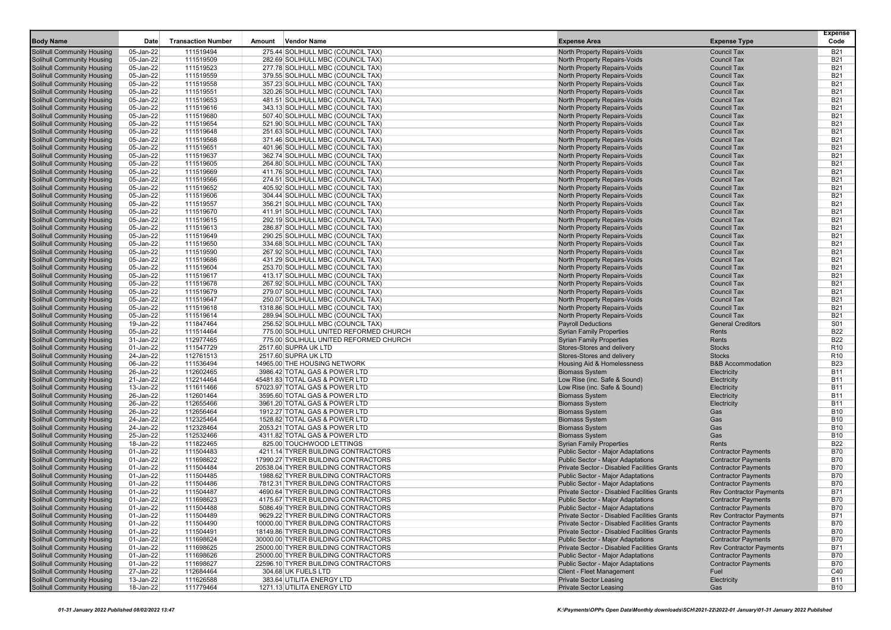| <b>Body Name</b>                                                       | Date                   | <b>Transaction Number</b> | <b>Vendor Name</b><br>Amount                                               | <b>Expense Area</b>                                                                     | <b>Expense Type</b>                                      | <b>Expense</b><br>Code   |
|------------------------------------------------------------------------|------------------------|---------------------------|----------------------------------------------------------------------------|-----------------------------------------------------------------------------------------|----------------------------------------------------------|--------------------------|
| <b>Solihull Community Housing</b>                                      | 05-Jan-22              | 111519494                 | 275.44 SOLIHULL MBC (COUNCIL TAX)                                          | North Property Repairs-Voids                                                            | <b>Council Tax</b>                                       | <b>B21</b>               |
| Solihull Community Housing                                             | 05-Jan-22              | 111519509                 | 282.69 SOLIHULL MBC (COUNCIL TAX)                                          | North Property Repairs-Voids                                                            | <b>Council Tax</b>                                       | <b>B21</b>               |
| Solihull Community Housing                                             | 05-Jan-22              | 111519523                 | 277.78 SOLIHULL MBC (COUNCIL TAX)                                          | North Property Repairs-Voids                                                            | <b>Council Tax</b>                                       | <b>B21</b>               |
| <b>Solihull Community Housing</b>                                      | 05-Jan-22              | 111519559                 | 379.55 SOLIHULL MBC (COUNCIL TAX)                                          | North Property Repairs-Voids                                                            | <b>Council Tax</b>                                       | <b>B21</b>               |
| Solihull Community Housing                                             | 05-Jan-22              | 111519558                 | 357.23 SOLIHULL MBC (COUNCIL TAX)                                          | North Property Repairs-Voids                                                            | <b>Council Tax</b>                                       | <b>B21</b>               |
| <b>Solihull Community Housing</b>                                      | 05-Jan-22              | 111519551                 | 320.26 SOLIHULL MBC (COUNCIL TAX)                                          | North Property Repairs-Voids                                                            | <b>Council Tax</b>                                       | <b>B21</b>               |
| <b>Solihull Community Housing</b>                                      | 05-Jan-22              | 111519653                 | 481.51 SOLIHULL MBC (COUNCIL TAX)                                          | <b>North Property Repairs-Voids</b>                                                     | <b>Council Tax</b>                                       | <b>B21</b>               |
| <b>Solihull Community Housing</b>                                      | 05-Jan-22              | 111519616                 | 343.13 SOLIHULL MBC (COUNCIL TAX)                                          | North Property Repairs-Voids                                                            | <b>Council Tax</b>                                       | <b>B21</b>               |
| <b>Solihull Community Housing</b>                                      | 05-Jan-22              | 111519680                 | 507.40 SOLIHULL MBC (COUNCIL TAX)                                          | North Property Repairs-Voids                                                            | <b>Council Tax</b><br><b>Council Tax</b>                 | <b>B21</b><br><b>B21</b> |
| <b>Solihull Community Housing</b><br><b>Solihull Community Housing</b> | 05-Jan-22<br>05-Jan-22 | 111519654<br>111519648    | 521.90 SOLIHULL MBC (COUNCIL TAX)<br>251.63 SOLIHULL MBC (COUNCIL TAX)     | North Property Repairs-Voids<br>North Property Repairs-Voids                            | <b>Council Tax</b>                                       | <b>B21</b>               |
| Solihull Community Housing                                             | 05-Jan-22              | 111519568                 | 371.46 SOLIHULL MBC (COUNCIL TAX)                                          | North Property Repairs-Voids                                                            | <b>Council Tax</b>                                       | <b>B21</b>               |
| <b>Solihull Community Housing</b>                                      | 05-Jan-22              | 111519651                 | 401.96 SOLIHULL MBC (COUNCIL TAX)                                          | <b>North Property Repairs-Voids</b>                                                     | <b>Council Tax</b>                                       | <b>B21</b>               |
| <b>Solihull Community Housing</b>                                      | 05-Jan-22              | 111519637                 | 362.74 SOLIHULL MBC (COUNCIL TAX)                                          | North Property Repairs-Voids                                                            | <b>Council Tax</b>                                       | <b>B21</b>               |
| <b>Solihull Community Housing</b>                                      | 05-Jan-22              | 111519605                 | 264.80 SOLIHULL MBC (COUNCIL TAX)                                          | North Property Repairs-Voids                                                            | <b>Council Tax</b>                                       | <b>B21</b>               |
| <b>Solihull Community Housing</b>                                      | 05-Jan-22              | 111519669                 | 411.76 SOLIHULL MBC (COUNCIL TAX)                                          | North Property Repairs-Voids                                                            | <b>Council Tax</b>                                       | <b>B21</b>               |
| <b>Solihull Community Housing</b>                                      | 05-Jan-22              | 111519566                 | 274.51 SOLIHULL MBC (COUNCIL TAX)                                          | North Property Repairs-Voids                                                            | <b>Council Tax</b>                                       | <b>B21</b>               |
| <b>Solihull Community Housing</b>                                      | 05-Jan-22              | 111519652                 | 405.92 SOLIHULL MBC (COUNCIL TAX)                                          | North Property Repairs-Voids                                                            | <b>Council Tax</b>                                       | <b>B21</b>               |
| <b>Solihull Community Housing</b>                                      | 05-Jan-22              | 111519606                 | 304.44 SOLIHULL MBC (COUNCIL TAX)                                          | <b>North Property Repairs-Voids</b>                                                     | <b>Council Tax</b>                                       | <b>B21</b>               |
| <b>Solihull Community Housing</b>                                      | 05-Jan-22              | 111519557                 | 356.21 SOLIHULL MBC (COUNCIL TAX)                                          | North Property Repairs-Voids                                                            | <b>Council Tax</b>                                       | <b>B21</b>               |
| <b>Solihull Community Housing</b>                                      | 05-Jan-22              | 111519670                 | 411.91 SOLIHULL MBC (COUNCIL TAX)                                          | North Property Repairs-Voids                                                            | <b>Council Tax</b>                                       | <b>B21</b>               |
| <b>Solihull Community Housing</b>                                      | 05-Jan-22              | 111519615                 | 292.19 SOLIHULL MBC (COUNCIL TAX)                                          | North Property Repairs-Voids                                                            | <b>Council Tax</b>                                       | <b>B21</b>               |
| <b>Solihull Community Housing</b>                                      | 05-Jan-22              | 111519613                 | 286.87 SOLIHULL MBC (COUNCIL TAX)                                          | North Property Repairs-Voids                                                            | <b>Council Tax</b>                                       | <b>B21</b>               |
| <b>Solihull Community Housing</b>                                      | 05-Jan-22              | 111519649                 | 290.25 SOLIHULL MBC (COUNCIL TAX)                                          | North Property Repairs-Voids                                                            | <b>Council Tax</b>                                       | <b>B21</b>               |
| <b>Solihull Community Housing</b>                                      | 05-Jan-22              | 111519650                 | 334.68 SOLIHULL MBC (COUNCIL TAX)                                          | North Property Repairs-Voids                                                            | <b>Council Tax</b>                                       | <b>B21</b>               |
| <b>Solihull Community Housing</b>                                      | 05-Jan-22              | 111519590                 | 267.92 SOLIHULL MBC (COUNCIL TAX)                                          | North Property Repairs-Voids                                                            | <b>Council Tax</b>                                       | <b>B21</b>               |
| <b>Solihull Community Housing</b>                                      | 05-Jan-22              | 111519686                 | 431.29 SOLIHULL MBC (COUNCIL TAX)                                          | North Property Repairs-Voids                                                            | <b>Council Tax</b>                                       | <b>B21</b>               |
| <b>Solihull Community Housing</b>                                      | 05-Jan-22              | 111519604                 | 253.70 SOLIHULL MBC (COUNCIL TAX)                                          | North Property Repairs-Voids                                                            | <b>Council Tax</b>                                       | <b>B21</b>               |
| <b>Solihull Community Housing</b>                                      | 05-Jan-22              | 111519617<br>111519678    | 413.17 SOLIHULL MBC (COUNCIL TAX)                                          | North Property Repairs-Voids                                                            | <b>Council Tax</b><br><b>Council Tax</b>                 | <b>B21</b><br><b>B21</b> |
| <b>Solihull Community Housing</b><br><b>Solihull Community Housing</b> | 05-Jan-22<br>05-Jan-22 | 111519679                 | 267.92 SOLIHULL MBC (COUNCIL TAX)<br>279.07 SOLIHULL MBC (COUNCIL TAX)     | North Property Repairs-Voids<br>North Property Repairs-Voids                            | <b>Council Tax</b>                                       | <b>B21</b>               |
| Solihull Community Housing                                             | 05-Jan-22              | 111519647                 | 250.07 SOLIHULL MBC (COUNCIL TAX)                                          | North Property Repairs-Voids                                                            | <b>Council Tax</b>                                       | <b>B21</b>               |
| Solihull Community Housing                                             | 05-Jan-22              | 111519618                 | 1318.86 SOLIHULL MBC (COUNCIL TAX)                                         | North Property Repairs-Voids                                                            | <b>Council Tax</b>                                       | <b>B21</b>               |
| <b>Solihull Community Housing</b>                                      | 05-Jan-22              | 111519614                 | 289.94 SOLIHULL MBC (COUNCIL TAX)                                          | North Property Repairs-Voids                                                            | <b>Council Tax</b>                                       | <b>B21</b>               |
| Solihull Community Housing                                             | 19-Jan-22              | 111847464                 | 256.52 SOLIHULL MBC (COUNCIL TAX)                                          | <b>Payroll Deductions</b>                                                               | <b>General Creditors</b>                                 | S01                      |
| <b>Solihull Community Housing</b>                                      | 05-Jan-22              | 111514464                 | 775.00 SOLIHULL UNITED REFORMED CHURCH                                     | <b>Syrian Family Properties</b>                                                         | Rents                                                    | <b>B22</b>               |
| <b>Solihull Community Housing</b>                                      | 31-Jan-22              | 112977465                 | 775.00 SOLIHULL UNITED REFORMED CHURCH                                     | <b>Syrian Family Properties</b>                                                         | Rents                                                    | <b>B22</b>               |
| <b>Solihull Community Housing</b>                                      | 01-Jan-22              | 111547729                 | 2517.60 SUPRA UK LTD                                                       | Stores-Stores and delivery                                                              | <b>Stocks</b>                                            | R <sub>10</sub>          |
| <b>Solihull Community Housing</b>                                      | 24-Jan-22              | 112761513                 | 2517.60 SUPRA UK LTD                                                       | Stores-Stores and delivery                                                              | <b>Stocks</b>                                            | R <sub>10</sub>          |
| <b>Solihull Community Housing</b>                                      | 06-Jan-22              | 111536494                 | 14965.00 THE HOUSING NETWORK                                               | <b>Housing Aid &amp; Homelessness</b>                                                   | <b>B&amp;B Accommodation</b>                             | <b>B23</b>               |
| <b>Solihull Community Housing</b>                                      | 26-Jan-22              | 112602465                 | 3986.42 TOTAL GAS & POWER LTD                                              | <b>Biomass System</b>                                                                   | Electricity                                              | <b>B11</b>               |
| <b>Solihull Community Housing</b>                                      | 21-Jan-22              | 112214464                 | 45481.83 TOTAL GAS & POWER LTD                                             | Low Rise (inc. Safe & Sound)                                                            | Electricity                                              | <b>B11</b>               |
| <b>Solihull Community Housing</b>                                      | 13-Jan-22              | 111611466                 | 57023.97 TOTAL GAS & POWER LTD                                             | Low Rise (inc. Safe & Sound)                                                            | Electricity                                              | <b>B11</b>               |
| <b>Solihull Community Housing</b>                                      | 26-Jan-22              | 112601464                 | 3595.60 TOTAL GAS & POWER LTD                                              | <b>Biomass System</b>                                                                   | Electricity                                              | <b>B11</b>               |
| <b>Solihull Community Housing</b>                                      | 26-Jan-22              | 112655466                 | 3961.20 TOTAL GAS & POWER LTD                                              | <b>Biomass System</b>                                                                   | Electricity                                              | <b>B11</b>               |
| <b>Solihull Community Housing</b>                                      | 26-Jan-22              | 112656464<br>112325464    | 1912.27 TOTAL GAS & POWER LTD<br>1528.82 TOTAL GAS & POWER LTD             | <b>Biomass System</b><br><b>Biomass System</b>                                          | Gas<br>Gas                                               | <b>B10</b><br><b>B10</b> |
| <b>Solihull Community Housing</b><br><b>Solihull Community Housing</b> | 24-Jan-22<br>24-Jan-22 | 112328464                 | 2053.21 TOTAL GAS & POWER LTD                                              | <b>Biomass System</b>                                                                   | Gas                                                      | <b>B10</b>               |
| <b>Solihull Community Housing</b>                                      | 25-Jan-22              | 112532466                 | 4311.82 TOTAL GAS & POWER LTD                                              | <b>Biomass System</b>                                                                   | Gas                                                      | <b>B10</b>               |
| <b>Solihull Community Housing</b>                                      | 18-Jan-22              | 111822465                 | 825.00 TOUCHWOOD LETTINGS                                                  | <b>Syrian Family Properties</b>                                                         | Rents                                                    | <b>B22</b>               |
| <b>Solihull Community Housing</b>                                      | 01-Jan-22              | 111504483                 | 4211.14 TYRER BUILDING CONTRACTORS                                         | <b>Public Sector - Major Adaptations</b>                                                | <b>Contractor Payments</b>                               | <b>B70</b>               |
| <b>Solihull Community Housing</b>                                      | 01-Jan-22              | 111698622                 | 17990.27 TYRER BUILDING CONTRACTORS                                        | <b>Public Sector - Major Adaptations</b>                                                | <b>Contractor Payments</b>                               | <b>B70</b>               |
| <b>Solihull Community Housing</b>                                      | 01-Jan-22              | 111504484                 | 20538.04 TYRER BUILDING CONTRACTORS                                        | Private Sector - Disabled Facilities Grants                                             | <b>Contractor Payments</b>                               | <b>B70</b>               |
| <b>Solihull Community Housing</b>                                      | 01-Jan-22              | 111504485                 | 1988.62 TYRER BUILDING CONTRACTORS                                         | Public Sector - Major Adaptations                                                       | <b>Contractor Payments</b>                               | <b>B70</b>               |
| <b>Solihull Community Housing</b>                                      | 01-Jan-22              | 111504486                 | 7812.31 TYRER BUILDING CONTRACTORS                                         | Public Sector - Major Adaptations                                                       | <b>Contractor Payments</b>                               | <b>B70</b>               |
| <b>Solihull Community Housing</b>                                      | 01-Jan-22              | 111504487                 | 4690.64 TYRER BUILDING CONTRACTORS                                         | Private Sector - Disabled Facilities Grants                                             | <b>Rev Contractor Payments</b>                           | <b>B71</b>               |
| <b>Solihull Community Housing</b>                                      | 01-Jan-22              | 111698623                 | 4175.67 TYRER BUILDING CONTRACTORS                                         | Public Sector - Major Adaptations                                                       | <b>Contractor Payments</b>                               | <b>B70</b>               |
| <b>Solihull Community Housing</b>                                      | 01-Jan-22              | 111504488                 | 5086.49 TYRER BUILDING CONTRACTORS                                         | Public Sector - Major Adaptations                                                       | <b>Contractor Payments</b>                               | <b>B70</b>               |
| <b>Solihull Community Housing</b>                                      | 01-Jan-22              | 111504489                 | 9629.22 TYRER BUILDING CONTRACTORS                                         | Private Sector - Disabled Facilities Grants                                             | <b>Rev Contractor Payments</b>                           | <b>B71</b>               |
| <b>Solihull Community Housing</b>                                      | 01-Jan-22              | 111504490                 | 10000.00 TYRER BUILDING CONTRACTORS                                        | Private Sector - Disabled Facilities Grants                                             | <b>Contractor Payments</b>                               | <b>B70</b>               |
| Solihull Community Housing                                             | 01-Jan-22              | 111504491                 | 18149.86 TYRER BUILDING CONTRACTORS                                        | Private Sector - Disabled Facilities Grants                                             | <b>Contractor Payments</b>                               | <b>B70</b>               |
| Solihull Community Housing                                             | 01-Jan-22              | 111698624                 | 30000.00 TYRER BUILDING CONTRACTORS                                        | <b>Public Sector - Maior Adaptations</b>                                                | <b>Contractor Payments</b>                               | <b>B70</b>               |
| Solihull Community Housing<br>Solihull Community Housing               | 01-Jan-22              | 111698625                 | 25000.00 TYRER BUILDING CONTRACTORS                                        | Private Sector - Disabled Facilities Grants<br><b>Public Sector - Maior Adaptations</b> | <b>Rev Contractor Payments</b>                           | <b>B71</b>               |
| Solihull Community Housing                                             | 01-Jan-22<br>01-Jan-22 | 111698626                 | 25000.00 TYRER BUILDING CONTRACTORS<br>22596.10 TYRER BUILDING CONTRACTORS | <b>Public Sector - Major Adaptations</b>                                                | <b>Contractor Payments</b><br><b>Contractor Payments</b> | <b>B70</b>               |
| <b>Solihull Community Housing</b>                                      | 27-Jan-22              | 111698627<br>112684464    | 304.68 UK FUELS LTD                                                        | Client - Fleet Management                                                               | Fuel                                                     | <b>B70</b><br>C40        |
| <b>Solihull Community Housing</b>                                      | 13-Jan-22              | 111626588                 | 383.64 UTILITA ENERGY LTD                                                  | Private Sector Leasing                                                                  | Electricity                                              | B11                      |
| <b>Solihull Community Housing</b>                                      | 18-Jan-22              | 111779464                 | 1271.13 UTILITA ENERGY LTD                                                 | <b>Private Sector Leasing</b>                                                           | Gas                                                      | B10                      |